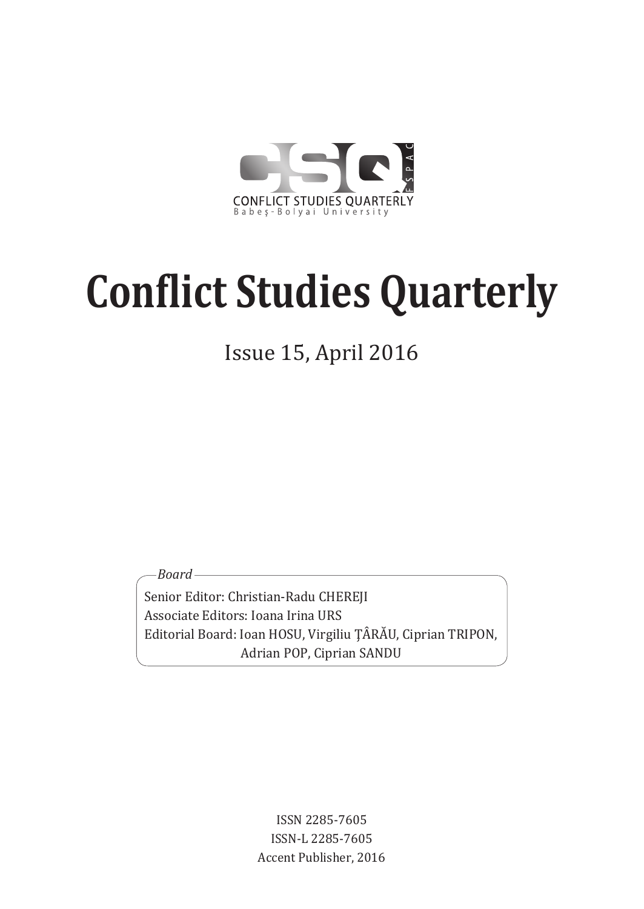

Issue 15, April 2016

*Board*

Senior Editor: Christian-Radu CHEREJI Associate Editors: Ioana Irina URS Editorial Board: Ioan HOSU, Virgiliu ŢÂRĂU, Ciprian TRIPON, Adrian POP, Ciprian SANDU

> ISSN 2285-7605 ISSN-L 2285-7605 Accent Publisher, 2016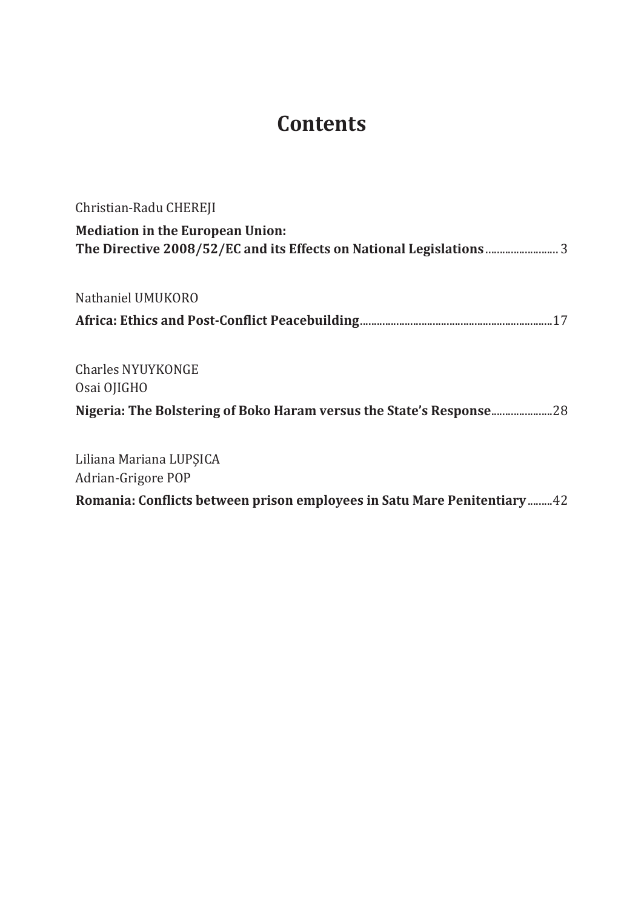# **Contents**

| Christian-Radu CHEREJI                                                  |
|-------------------------------------------------------------------------|
| <b>Mediation in the European Union:</b>                                 |
| Nathaniel UMUKORO                                                       |
|                                                                         |
| Charles NYUYKONGE<br>Osai OJIGHO                                        |
| Nigeria: The Bolstering of Boko Haram versus the State's Response       |
| Liliana Mariana LUPŞICA<br>Adrian-Grigore POP                           |
| Romania: Conflicts between prison employees in Satu Mare Penitentiary42 |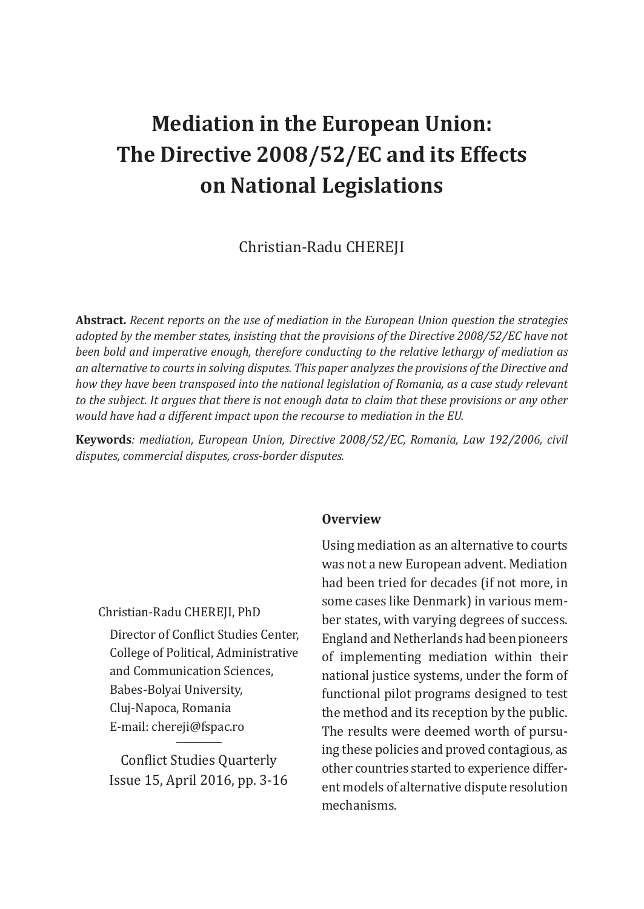# **Mediation in the European Union: The Directive 2008/52/EC and its Effects on National Legislations**

Christian-Radu CHEREJI

**Abstract.** *Recent reports on the use of mediation in the European Union question the strategies adopted by the member states, insisting that the provisions of the Directive 2008/52/EC have not been bold and imperative enough, therefore conducting to the relative lethargy of mediation as an alternative to courts in solving disputes. This paper analyzes the provisions of the Directive and how they have been transposed into the national legislation of Romania, as a case study relevant to the subject. It argues that there is not enough data to claim that these provisions or any other would have had a different impact upon the recourse to mediation in the EU.*

**Keywords***: mediation, European Union, Directive 2008/52/EC, Romania, Law 192/2006, civil disputes, commercial disputes, cross-border disputes.*

#### **Overview**

Christian-Radu CHEREJI, PhD

Director of Conflict Studies Center, College of Political, Administrative and Communication Sciences, Babes-Bolyai University, Cluj-Napoca, Romania E-mail: chereji@fspac.ro

Conflict Studies Quarterly Issue 15, April 2016, pp. 3-16 Using mediation as an alternative to courts was not a new European advent. Mediation had been tried for decades (if not more, in some cases like Denmark) in various member states, with varying degrees of success. England and Netherlands had been pioneers of implementing mediation within their national justice systems, under the form of functional pilot programs designed to test the method and its reception by the public. The results were deemed worth of pursuing these policies and proved contagious, as other countries started to experience different models of alternative dispute resolution mechanisms.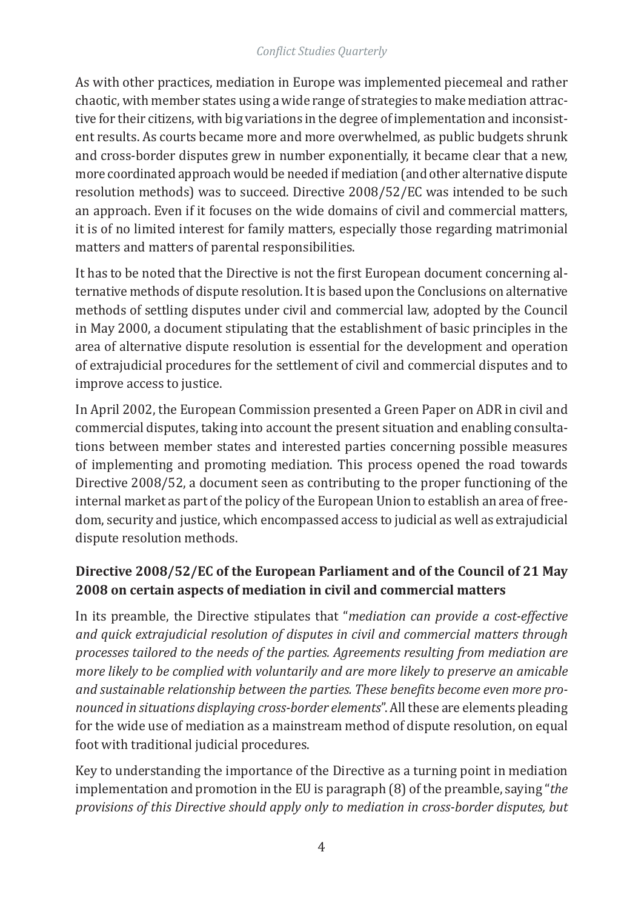As with other practices, mediation in Europe was implemented piecemeal and rather chaotic, with member states using a wide range of strategies to make mediation attractive for their citizens, with big variations in the degree of implementation and inconsistent results. As courts became more and more overwhelmed, as public budgets shrunk and cross-border disputes grew in number exponentially, it became clear that a new, more coordinated approach would be needed if mediation (and other alternative dispute resolution methods) was to succeed. Directive 2008/52/EC was intended to be such an approach. Even if it focuses on the wide domains of civil and commercial matters, it is of no limited interest for family matters, especially those regarding matrimonial matters and matters of parental responsibilities.

It has to be noted that the Directive is not the first European document concerning alternative methods of dispute resolution. It is based upon the Conclusions on alternative methods of settling disputes under civil and commercial law, adopted by the Council in May 2000, a document stipulating that the establishment of basic principles in the area of alternative dispute resolution is essential for the development and operation of extrajudicial procedures for the settlement of civil and commercial disputes and to improve access to justice.

In April 2002, the European Commission presented a Green Paper on ADR in civil and commercial disputes, taking into account the present situation and enabling consultations between member states and interested parties concerning possible measures of implementing and promoting mediation. This process opened the road towards Directive 2008/52, a document seen as contributing to the proper functioning of the internal market as part of the policy of the European Union to establish an area of freedom, security and justice, which encompassed access to judicial as well as extrajudicial dispute resolution methods.

# **Directive 2008/52/EC of the European Parliament and of the Council of 21 May 2008 on certain aspects of mediation in civil and commercial matters**

In its preamble, the Directive stipulates that "*mediation can provide a cost-effective and quick extrajudicial resolution of disputes in civil and commercial matters through processes tailored to the needs of the parties. Agreements resulting from mediation are more likely to be complied with voluntarily and are more likely to preserve an amicable and sustainable relationship between the parties. These benefits become even more pronounced in situations displaying cross-border elements*". All these are elements pleading for the wide use of mediation as a mainstream method of dispute resolution, on equal foot with traditional judicial procedures.

Key to understanding the importance of the Directive as a turning point in mediation implementation and promotion in the EU is paragraph (8) of the preamble, saying "*the provisions of this Directive should apply only to mediation in cross-border disputes, but*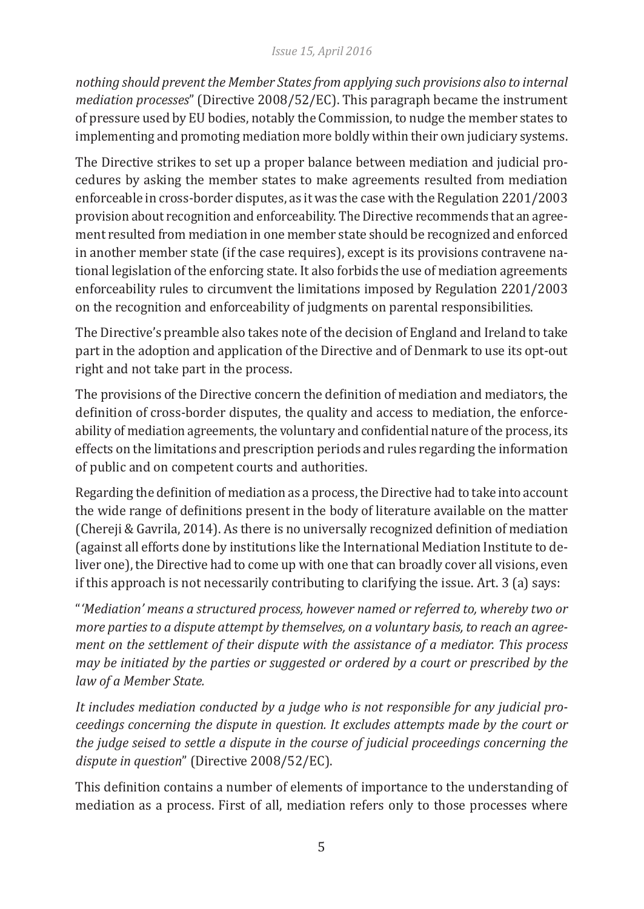#### *Issue 15, April 2016*

*nothing should prevent the Member States from applying such provisions also to internal mediation processes*" (Directive 2008/52/EC). This paragraph became the instrument of pressure used by EU bodies, notably the Commission, to nudge the member states to implementing and promoting mediation more boldly within their own judiciary systems.

The Directive strikes to set up a proper balance between mediation and judicial procedures by asking the member states to make agreements resulted from mediation enforceable in cross-border disputes, as it was the case with the Regulation 2201/2003 provision about recognition and enforceability. The Directive recommends that an agreement resulted from mediation in one member state should be recognized and enforced in another member state (if the case requires), except is its provisions contravene national legislation of the enforcing state. It also forbids the use of mediation agreements enforceability rules to circumvent the limitations imposed by Regulation 2201/2003 on the recognition and enforceability of judgments on parental responsibilities.

The Directive's preamble also takes note of the decision of England and Ireland to take part in the adoption and application of the Directive and of Denmark to use its opt-out right and not take part in the process.

The provisions of the Directive concern the definition of mediation and mediators, the definition of cross-border disputes, the quality and access to mediation, the enforceability of mediation agreements, the voluntary and confidential nature of the process, its effects on the limitations and prescription periods and rules regarding the information of public and on competent courts and authorities.

Regarding the definition of mediation as a process, the Directive had to take into account the wide range of definitions present in the body of literature available on the matter (Chereji & Gavrila, 2014). As there is no universally recognized definition of mediation (against all efforts done by institutions like the International Mediation Institute to deliver one), the Directive had to come up with one that can broadly cover all visions, even if this approach is not necessarily contributing to clarifying the issue. Art. 3 (a) says:

"*'Mediation' means a structured process, however named or referred to, whereby two or more parties to a dispute attempt by themselves, on a voluntary basis, to reach an agreement on the settlement of their dispute with the assistance of a mediator. This process may be initiated by the parties or suggested or ordered by a court or prescribed by the law of a Member State.*

*It includes mediation conducted by a judge who is not responsible for any judicial proceedings concerning the dispute in question. It excludes attempts made by the court or the judge seised to settle a dispute in the course of judicial proceedings concerning the dispute in question*" (Directive 2008/52/EC).

This definition contains a number of elements of importance to the understanding of mediation as a process. First of all, mediation refers only to those processes where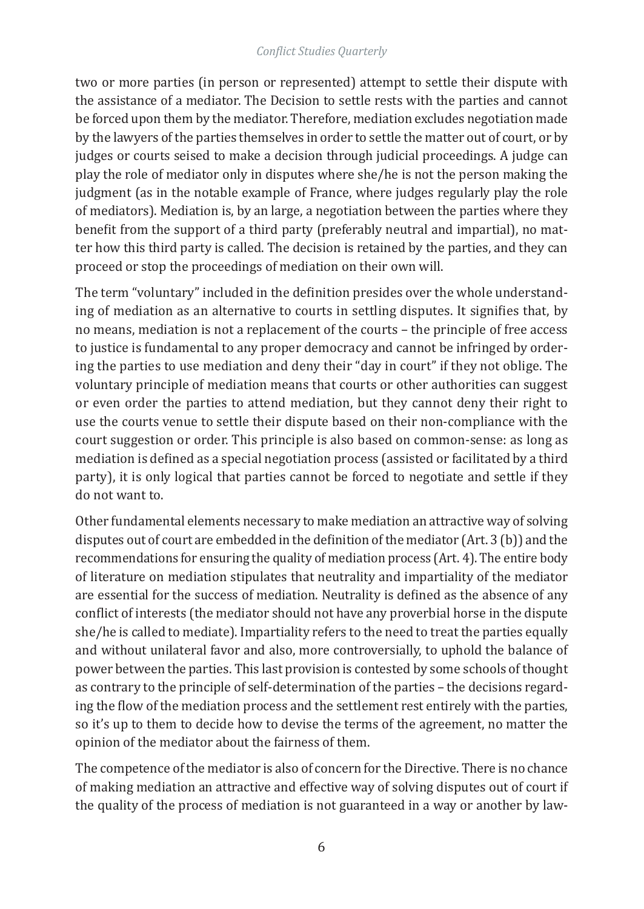two or more parties (in person or represented) attempt to settle their dispute with the assistance of a mediator. The Decision to settle rests with the parties and cannot be forced upon them by the mediator. Therefore, mediation excludes negotiation made by the lawyers of the parties themselves in order to settle the matter out of court, or by judges or courts seised to make a decision through judicial proceedings. A judge can play the role of mediator only in disputes where she/he is not the person making the judgment (as in the notable example of France, where judges regularly play the role of mediators). Mediation is, by an large, a negotiation between the parties where they benefit from the support of a third party (preferably neutral and impartial), no matter how this third party is called. The decision is retained by the parties, and they can proceed or stop the proceedings of mediation on their own will.

The term "voluntary" included in the definition presides over the whole understanding of mediation as an alternative to courts in settling disputes. It signifies that, by no means, mediation is not a replacement of the courts – the principle of free access to justice is fundamental to any proper democracy and cannot be infringed by ordering the parties to use mediation and deny their "day in court" if they not oblige. The voluntary principle of mediation means that courts or other authorities can suggest or even order the parties to attend mediation, but they cannot deny their right to use the courts venue to settle their dispute based on their non-compliance with the court suggestion or order. This principle is also based on common-sense: as long as mediation is defined as a special negotiation process (assisted or facilitated by a third party), it is only logical that parties cannot be forced to negotiate and settle if they do not want to.

Other fundamental elements necessary to make mediation an attractive way of solving disputes out of court are embedded in the definition of the mediator (Art. 3 (b)) and the recommendations for ensuring the quality of mediation process (Art. 4). The entire body of literature on mediation stipulates that neutrality and impartiality of the mediator are essential for the success of mediation. Neutrality is defined as the absence of any conflict of interests (the mediator should not have any proverbial horse in the dispute she/he is called to mediate). Impartiality refers to the need to treat the parties equally and without unilateral favor and also, more controversially, to uphold the balance of power between the parties. This last provision is contested by some schools of thought as contrary to the principle of self-determination of the parties – the decisions regarding the flow of the mediation process and the settlement rest entirely with the parties, so it's up to them to decide how to devise the terms of the agreement, no matter the opinion of the mediator about the fairness of them.

The competence of the mediator is also of concern for the Directive. There is no chance of making mediation an attractive and effective way of solving disputes out of court if the quality of the process of mediation is not guaranteed in a way or another by law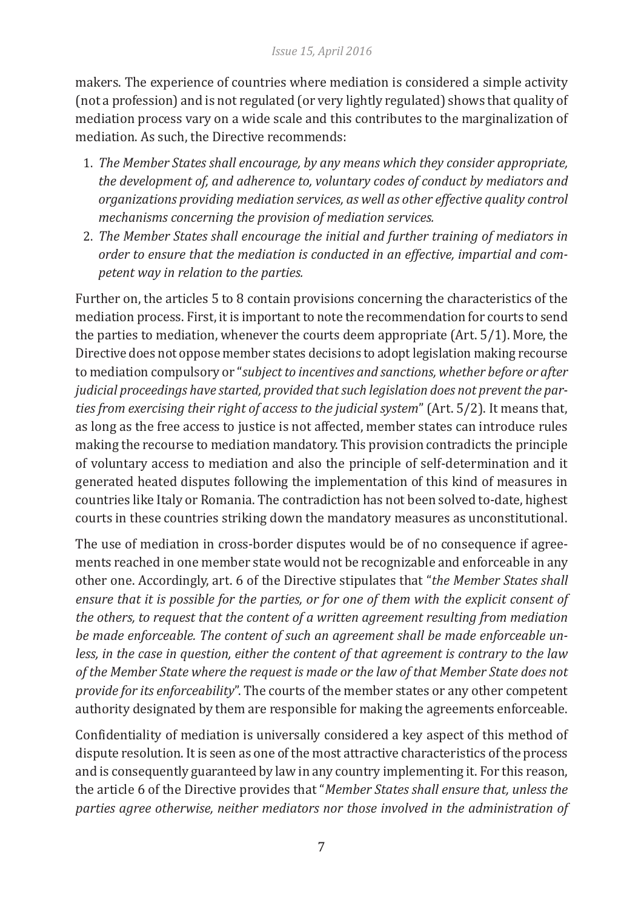makers. The experience of countries where mediation is considered a simple activity (not a profession) and is not regulated (or very lightly regulated) shows that quality of mediation process vary on a wide scale and this contributes to the marginalization of mediation. As such, the Directive recommends:

- 1. *The Member States shall encourage, by any means which they consider appropriate, the development of, and adherence to, voluntary codes of conduct by mediators and organizations providing mediation services, as well as other effective quality control mechanisms concerning the provision of mediation services.*
- 2. *The Member States shall encourage the initial and further training of mediators in order to ensure that the mediation is conducted in an effective, impartial and competent way in relation to the parties.*

Further on, the articles 5 to 8 contain provisions concerning the characteristics of the mediation process. First, it is important to note the recommendation for courts to send the parties to mediation, whenever the courts deem appropriate (Art. 5/1). More, the Directive does not oppose member states decisions to adopt legislation making recourse to mediation compulsory or "*subject to incentives and sanctions, whether before or after judicial proceedings have started, provided that such legislation does not prevent the parties from exercising their right of access to the judicial system*" (Art. 5/2). It means that, as long as the free access to justice is not affected, member states can introduce rules making the recourse to mediation mandatory. This provision contradicts the principle of voluntary access to mediation and also the principle of self-determination and it generated heated disputes following the implementation of this kind of measures in countries like Italy or Romania. The contradiction has not been solved to-date, highest courts in these countries striking down the mandatory measures as unconstitutional.

The use of mediation in cross-border disputes would be of no consequence if agreements reached in one member state would not be recognizable and enforceable in any other one. Accordingly, art. 6 of the Directive stipulates that "*the Member States shall ensure that it is possible for the parties, or for one of them with the explicit consent of the others, to request that the content of a written agreement resulting from mediation be made enforceable. The content of such an agreement shall be made enforceable unless, in the case in question, either the content of that agreement is contrary to the law of the Member State where the request is made or the law of that Member State does not provide for its enforceability*". The courts of the member states or any other competent authority designated by them are responsible for making the agreements enforceable.

Confidentiality of mediation is universally considered a key aspect of this method of dispute resolution. It is seen as one of the most attractive characteristics of the process and is consequently guaranteed by law in any country implementing it. For this reason, the article 6 of the Directive provides that "*Member States shall ensure that, unless the parties agree otherwise, neither mediators nor those involved in the administration of*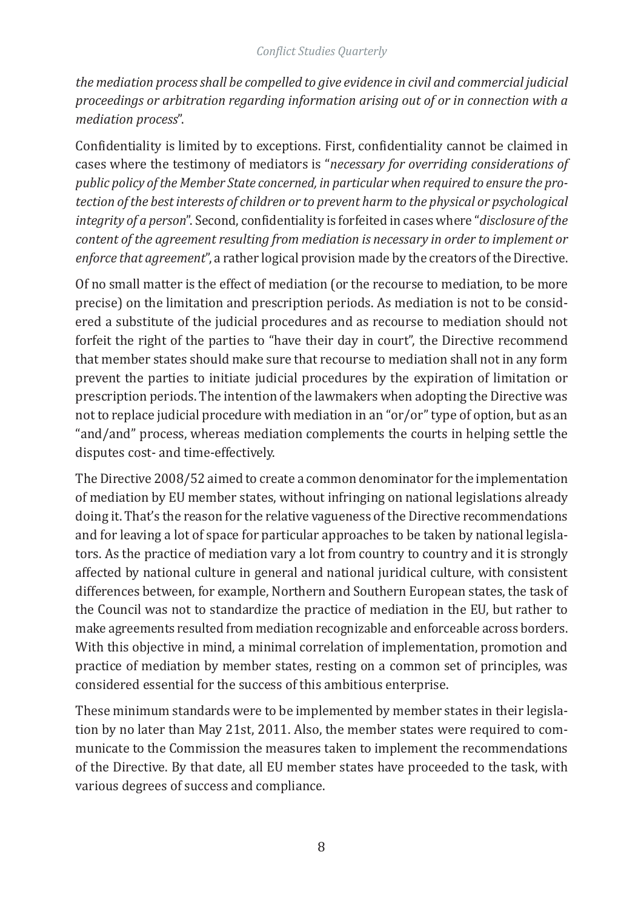*the mediation process shall be compelled to give evidence in civil and commercial judicial proceedings or arbitration regarding information arising out of or in connection with a mediation process*".

Confidentiality is limited by to exceptions. First, confidentiality cannot be claimed in cases where the testimony of mediators is "*necessary for overriding considerations of public policy of the Member State concerned, in particular when required to ensure the protection of the best interests of children or to prevent harm to the physical or psychological integrity of a person*". Second, confidentiality is forfeited in cases where "*disclosure of the content of the agreement resulting from mediation is necessary in order to implement or enforce that agreement*", a rather logical provision made by the creators of the Directive.

Of no small matter is the effect of mediation (or the recourse to mediation, to be more precise) on the limitation and prescription periods. As mediation is not to be considered a substitute of the judicial procedures and as recourse to mediation should not forfeit the right of the parties to "have their day in court", the Directive recommend that member states should make sure that recourse to mediation shall not in any form prevent the parties to initiate judicial procedures by the expiration of limitation or prescription periods. The intention of the lawmakers when adopting the Directive was not to replace judicial procedure with mediation in an "or/or" type of option, but as an "and/and" process, whereas mediation complements the courts in helping settle the disputes cost- and time-effectively.

The Directive 2008/52 aimed to create a common denominator for the implementation of mediation by EU member states, without infringing on national legislations already doing it. That's the reason for the relative vagueness of the Directive recommendations and for leaving a lot of space for particular approaches to be taken by national legislators. As the practice of mediation vary a lot from country to country and it is strongly affected by national culture in general and national juridical culture, with consistent differences between, for example, Northern and Southern European states, the task of the Council was not to standardize the practice of mediation in the EU, but rather to make agreements resulted from mediation recognizable and enforceable across borders. With this objective in mind, a minimal correlation of implementation, promotion and practice of mediation by member states, resting on a common set of principles, was considered essential for the success of this ambitious enterprise.

These minimum standards were to be implemented by member states in their legislation by no later than May 21st, 2011. Also, the member states were required to communicate to the Commission the measures taken to implement the recommendations of the Directive. By that date, all EU member states have proceeded to the task, with various degrees of success and compliance.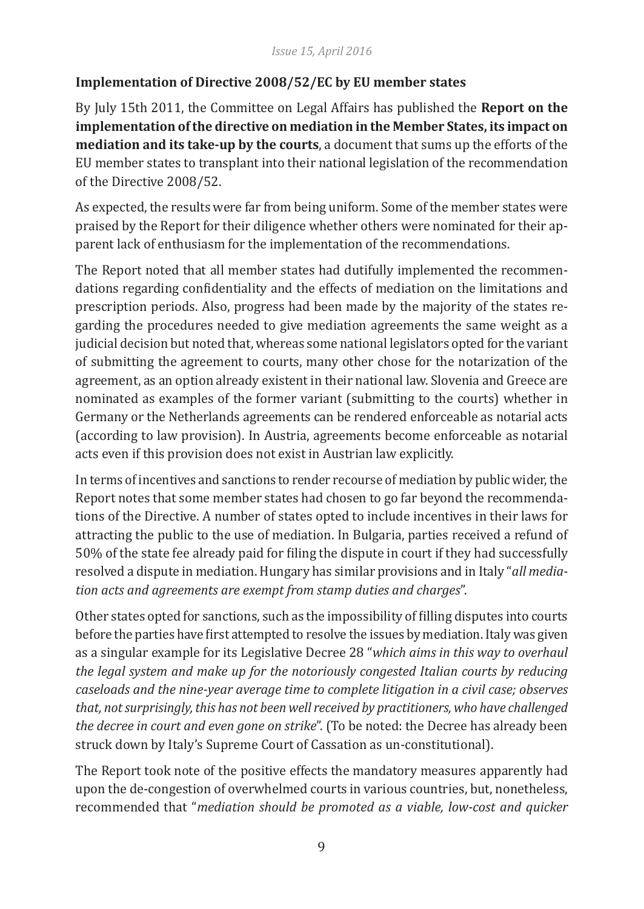# **Implementation of Directive 2008/52/EC by EU member states**

By July 15th 2011, the Committee on Legal Affairs has published the **Report on the implementation of the directive on mediation in the Member States, its impact on mediation and its take-up by the courts**, a document that sums up the efforts of the EU member states to transplant into their national legislation of the recommendation of the Directive 2008/52.

As expected, the results were far from being uniform. Some of the member states were praised by the Report for their diligence whether others were nominated for their apparent lack of enthusiasm for the implementation of the recommendations.

The Report noted that all member states had dutifully implemented the recommendations regarding confidentiality and the effects of mediation on the limitations and prescription periods. Also, progress had been made by the majority of the states regarding the procedures needed to give mediation agreements the same weight as a judicial decision but noted that, whereas some national legislators opted for the variant of submitting the agreement to courts, many other chose for the notarization of the agreement, as an option already existent in their national law. Slovenia and Greece are nominated as examples of the former variant (submitting to the courts) whether in Germany or the Netherlands agreements can be rendered enforceable as notarial acts (according to law provision). In Austria, agreements become enforceable as notarial acts even if this provision does not exist in Austrian law explicitly.

In terms of incentives and sanctions to render recourse of mediation by public wider, the Report notes that some member states had chosen to go far beyond the recommendations of the Directive. A number of states opted to include incentives in their laws for attracting the public to the use of mediation. In Bulgaria, parties received a refund of 50% of the state fee already paid for filing the dispute in court if they had successfully resolved a dispute in mediation. Hungary has similar provisions and in Italy "*all mediation acts and agreements are exempt from stamp duties and charges*".

Other states opted for sanctions, such as the impossibility of filling disputes into courts before the parties have first attempted to resolve the issues by mediation. Italy was given as a singular example for its Legislative Decree 28 "*which aims in this way to overhaul the legal system and make up for the notoriously congested Italian courts by reducing caseloads and the nine-year average time to complete litigation in a civil case; observes that, not surprisingly, this has not been well received by practitioners, who have challenged the decree in court and even gone on strike*". (To be noted: the Decree has already been struck down by Italy's Supreme Court of Cassation as un-constitutional).

The Report took note of the positive effects the mandatory measures apparently had upon the de-congestion of overwhelmed courts in various countries, but, nonetheless, recommended that "*mediation should be promoted as a viable, low-cost and quicker*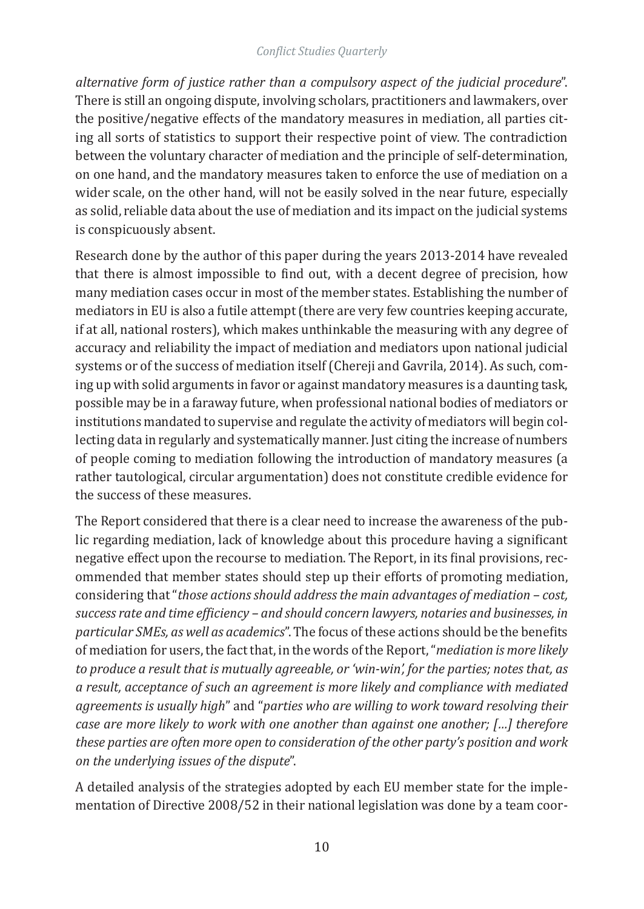*alternative form of justice rather than a compulsory aspect of the judicial procedure*". There is still an ongoing dispute, involving scholars, practitioners and lawmakers, over the positive/negative effects of the mandatory measures in mediation, all parties citing all sorts of statistics to support their respective point of view. The contradiction between the voluntary character of mediation and the principle of self-determination, on one hand, and the mandatory measures taken to enforce the use of mediation on a wider scale, on the other hand, will not be easily solved in the near future, especially as solid, reliable data about the use of mediation and its impact on the judicial systems is conspicuously absent.

Research done by the author of this paper during the years 2013-2014 have revealed that there is almost impossible to find out, with a decent degree of precision, how many mediation cases occur in most of the member states. Establishing the number of mediators in EU is also a futile attempt (there are very few countries keeping accurate, if at all, national rosters), which makes unthinkable the measuring with any degree of accuracy and reliability the impact of mediation and mediators upon national judicial systems or of the success of mediation itself (Chereji and Gavrila, 2014). As such, coming up with solid arguments in favor or against mandatory measures is a daunting task, possible may be in a faraway future, when professional national bodies of mediators or institutions mandated to supervise and regulate the activity of mediators will begin collecting data in regularly and systematically manner. Just citing the increase of numbers of people coming to mediation following the introduction of mandatory measures (a rather tautological, circular argumentation) does not constitute credible evidence for the success of these measures.

The Report considered that there is a clear need to increase the awareness of the public regarding mediation, lack of knowledge about this procedure having a significant negative effect upon the recourse to mediation. The Report, in its final provisions, recommended that member states should step up their efforts of promoting mediation, considering that "*those actions should address the main advantages of mediation – cost, success rate and time efficiency – and should concern lawyers, notaries and businesses, in particular SMEs, as well as academics*". The focus of these actions should be the benefits of mediation for users, the fact that, in the words of the Report, "*mediation is more likely to produce a result that is mutually agreeable, or 'win-win', for the parties; notes that, as a result, acceptance of such an agreement is more likely and compliance with mediated agreements is usually high*" and "*parties who are willing to work toward resolving their case are more likely to work with one another than against one another; […] therefore these parties are often more open to consideration of the other party's position and work on the underlying issues of the dispute*".

A detailed analysis of the strategies adopted by each EU member state for the implementation of Directive 2008/52 in their national legislation was done by a team coor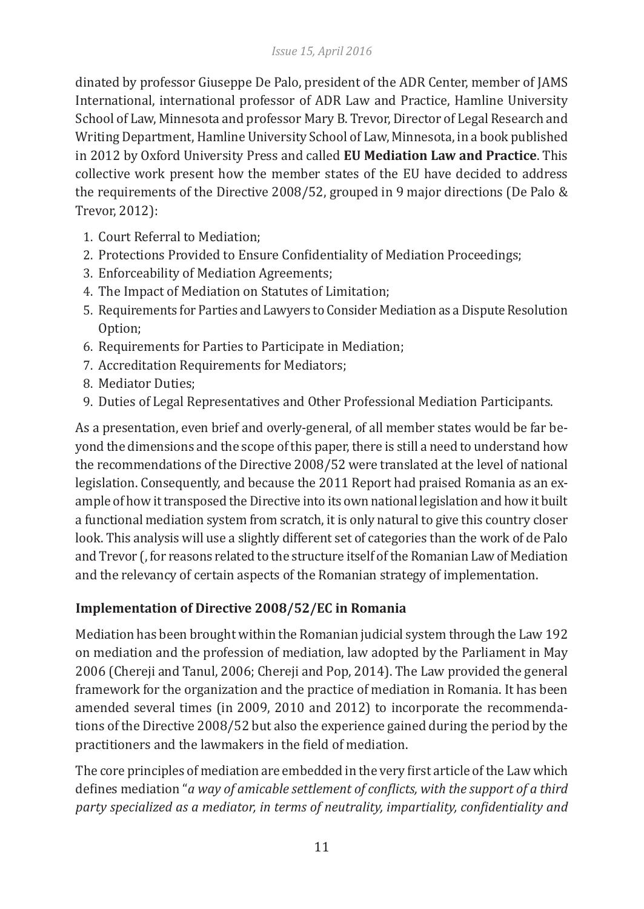dinated by professor Giuseppe De Palo, president of the ADR Center, member of JAMS International, international professor of ADR Law and Practice, Hamline University School of Law, Minnesota and professor Mary B. Trevor, Director of Legal Research and Writing Department, Hamline University School of Law, Minnesota, in a book published in 2012 by Oxford University Press and called **EU Mediation Law and Practice**. This collective work present how the member states of the EU have decided to address the requirements of the Directive 2008/52, grouped in 9 major directions (De Palo & Trevor, 2012):

- 1. Court Referral to Mediation;
- 2. Protections Provided to Ensure Confidentiality of Mediation Proceedings;
- 3. Enforceability of Mediation Agreements;
- 4. The Impact of Mediation on Statutes of Limitation;
- 5. Requirements for Parties and Lawyers to Consider Mediation as a Dispute Resolution Option;
- 6. Requirements for Parties to Participate in Mediation;
- 7. Accreditation Requirements for Mediators;
- 8. Mediator Duties;
- 9. Duties of Legal Representatives and Other Professional Mediation Participants.

As a presentation, even brief and overly-general, of all member states would be far beyond the dimensions and the scope of this paper, there is still a need to understand how the recommendations of the Directive 2008/52 were translated at the level of national legislation. Consequently, and because the 2011 Report had praised Romania as an example of how it transposed the Directive into its own national legislation and how it built a functional mediation system from scratch, it is only natural to give this country closer look. This analysis will use a slightly different set of categories than the work of de Palo and Trevor (, for reasons related to the structure itself of the Romanian Law of Mediation and the relevancy of certain aspects of the Romanian strategy of implementation.

# **Implementation of Directive 2008/52/EC in Romania**

Mediation has been brought within the Romanian judicial system through the Law 192 on mediation and the profession of mediation, law adopted by the Parliament in May 2006 (Chereji and Tanul, 2006; Chereji and Pop, 2014). The Law provided the general framework for the organization and the practice of mediation in Romania. It has been amended several times (in 2009, 2010 and 2012) to incorporate the recommendations of the Directive 2008/52 but also the experience gained during the period by the practitioners and the lawmakers in the field of mediation.

The core principles of mediation are embedded in the very first article of the Law which defines mediation "*a way of amicable settlement of conflicts, with the support of a third party specialized as a mediator, in terms of neutrality, impartiality, confidentiality and*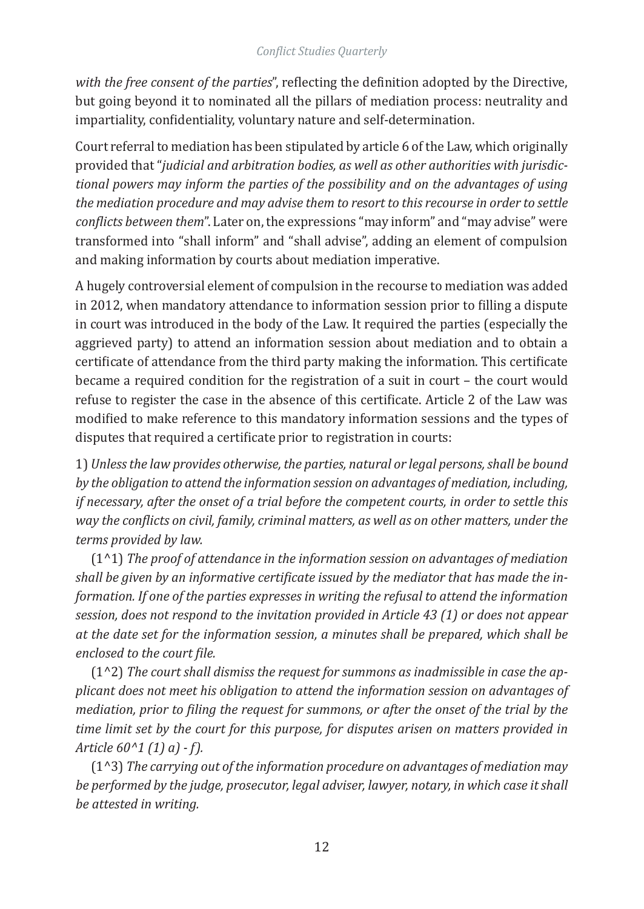*with the free consent of the parties*", reflecting the definition adopted by the Directive, but going beyond it to nominated all the pillars of mediation process: neutrality and impartiality, confidentiality, voluntary nature and self-determination.

Court referral to mediation has been stipulated by article 6 of the Law, which originally provided that "*judicial and arbitration bodies, as well as other authorities with jurisdictional powers may inform the parties of the possibility and on the advantages of using the mediation procedure and may advise them to resort to this recourse in order to settle conflicts between them*". Later on, the expressions "may inform" and "may advise" were transformed into "shall inform" and "shall advise", adding an element of compulsion and making information by courts about mediation imperative.

A hugely controversial element of compulsion in the recourse to mediation was added in 2012, when mandatory attendance to information session prior to filling a dispute in court was introduced in the body of the Law. It required the parties (especially the aggrieved party) to attend an information session about mediation and to obtain a certificate of attendance from the third party making the information. This certificate became a required condition for the registration of a suit in court – the court would refuse to register the case in the absence of this certificate. Article 2 of the Law was modified to make reference to this mandatory information sessions and the types of disputes that required a certificate prior to registration in courts:

1) *Unless the law provides otherwise, the parties, natural or legal persons, shall be bound by the obligation to attend the information session on advantages of mediation, including, if necessary, after the onset of a trial before the competent courts, in order to settle this way the conflicts on civil, family, criminal matters, as well as on other matters, under the terms provided by law.*

(1^1) *The proof of attendance in the information session on advantages of mediation shall be given by an informative certificate issued by the mediator that has made the information. If one of the parties expresses in writing the refusal to attend the information session, does not respond to the invitation provided in Article 43 (1) or does not appear at the date set for the information session, a minutes shall be prepared, which shall be enclosed to the court file.*

(1^2) *The court shall dismiss the request for summons as inadmissible in case the applicant does not meet his obligation to attend the information session on advantages of mediation, prior to filing the request for summons, or after the onset of the trial by the time limit set by the court for this purpose, for disputes arisen on matters provided in Article 60^1 (1) a) - f).*

(1^3) *The carrying out of the information procedure on advantages of mediation may be performed by the judge, prosecutor, legal adviser, lawyer, notary, in which case it shall be attested in writing.*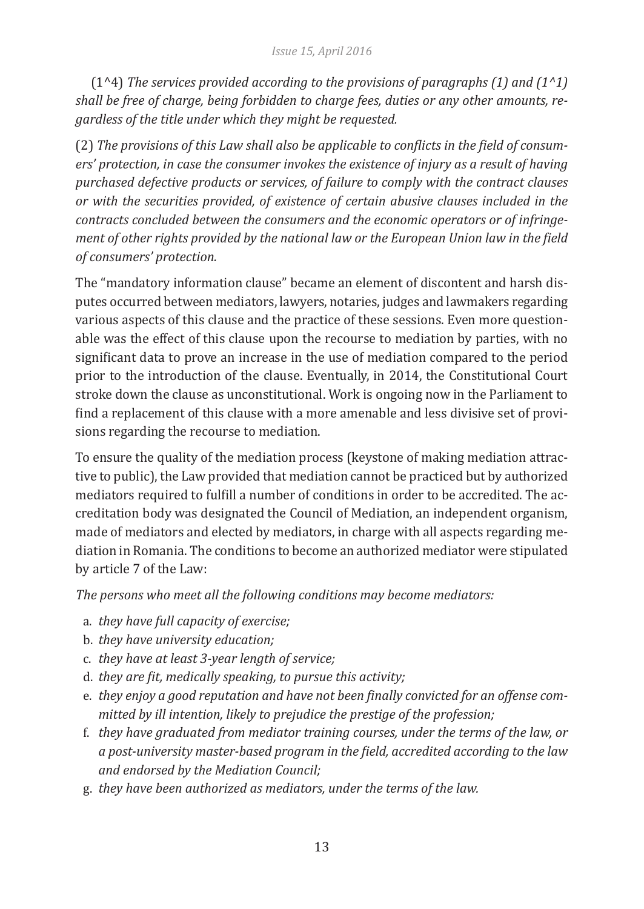(1^4) *The services provided according to the provisions of paragraphs (1) and (1^1) shall be free of charge, being forbidden to charge fees, duties or any other amounts, regardless of the title under which they might be requested.*

(2) *The provisions of this Law shall also be applicable to conflicts in the field of consumers' protection, in case the consumer invokes the existence of injury as a result of having purchased defective products or services, of failure to comply with the contract clauses or with the securities provided, of existence of certain abusive clauses included in the contracts concluded between the consumers and the economic operators or of infringement of other rights provided by the national law or the European Union law in the field of consumers' protection.*

The "mandatory information clause" became an element of discontent and harsh disputes occurred between mediators, lawyers, notaries, judges and lawmakers regarding various aspects of this clause and the practice of these sessions. Even more questionable was the effect of this clause upon the recourse to mediation by parties, with no significant data to prove an increase in the use of mediation compared to the period prior to the introduction of the clause. Eventually, in 2014, the Constitutional Court stroke down the clause as unconstitutional. Work is ongoing now in the Parliament to find a replacement of this clause with a more amenable and less divisive set of provisions regarding the recourse to mediation.

To ensure the quality of the mediation process (keystone of making mediation attractive to public), the Law provided that mediation cannot be practiced but by authorized mediators required to fulfill a number of conditions in order to be accredited. The accreditation body was designated the Council of Mediation, an independent organism, made of mediators and elected by mediators, in charge with all aspects regarding mediation in Romania. The conditions to become an authorized mediator were stipulated by article 7 of the Law:

*The persons who meet all the following conditions may become mediators:*

- a. *they have full capacity of exercise;*
- b. *they have university education;*
- c. *they have at least 3-year length of service;*
- d. *they are fit, medically speaking, to pursue this activity;*
- e. *they enjoy a good reputation and have not been finally convicted for an offense committed by ill intention, likely to prejudice the prestige of the profession;*
- f. *they have graduated from mediator training courses, under the terms of the law, or a post-university master-based program in the field, accredited according to the law and endorsed by the Mediation Council;*
- g. *they have been authorized as mediators, under the terms of the law.*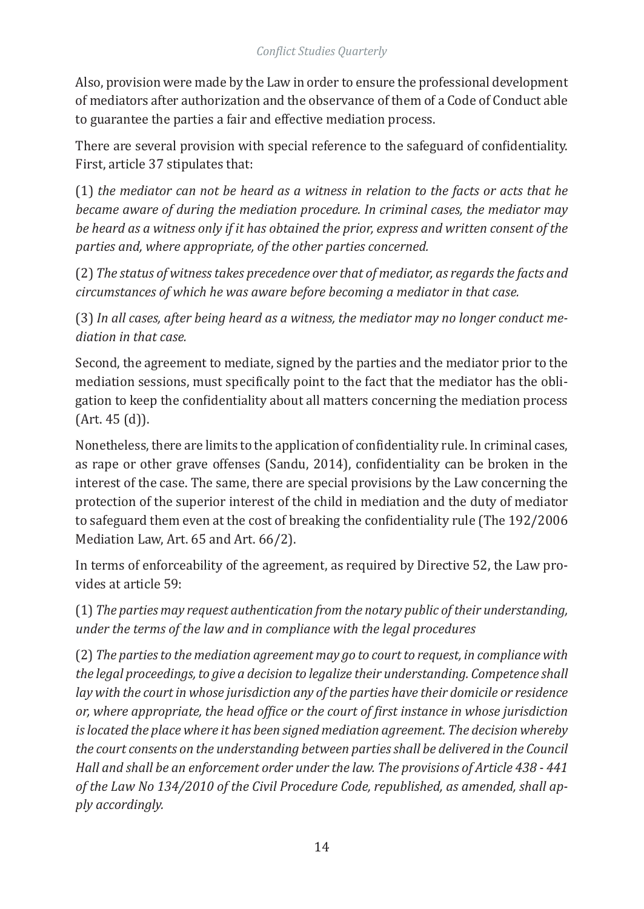Also, provision were made by the Law in order to ensure the professional development of mediators after authorization and the observance of them of a Code of Conduct able to guarantee the parties a fair and effective mediation process.

There are several provision with special reference to the safeguard of confidentiality. First, article 37 stipulates that:

(1) *the mediator can not be heard as a witness in relation to the facts or acts that he became aware of during the mediation procedure. In criminal cases, the mediator may be heard as a witness only if it has obtained the prior, express and written consent of the parties and, where appropriate, of the other parties concerned.*

(2) *The status of witness takes precedence over that of mediator, as regards the facts and circumstances of which he was aware before becoming a mediator in that case.*

(3) *In all cases, after being heard as a witness, the mediator may no longer conduct mediation in that case.*

Second, the agreement to mediate, signed by the parties and the mediator prior to the mediation sessions, must specifically point to the fact that the mediator has the obligation to keep the confidentiality about all matters concerning the mediation process (Art. 45 (d)).

Nonetheless, there are limits to the application of confidentiality rule. In criminal cases, as rape or other grave offenses (Sandu, 2014), confidentiality can be broken in the interest of the case. The same, there are special provisions by the Law concerning the protection of the superior interest of the child in mediation and the duty of mediator to safeguard them even at the cost of breaking the confidentiality rule (The 192/2006 Mediation Law, Art. 65 and Art. 66/2).

In terms of enforceability of the agreement, as required by Directive 52, the Law provides at article 59:

(1) *The parties may request authentication from the notary public of their understanding, under the terms of the law and in compliance with the legal procedures*

(2) *The parties to the mediation agreement may go to court to request, in compliance with the legal proceedings, to give a decision to legalize their understanding. Competence shall lay with the court in whose jurisdiction any of the parties have their domicile or residence or, where appropriate, the head office or the court of first instance in whose jurisdiction is located the place where it has been signed mediation agreement. The decision whereby the court consents on the understanding between parties shall be delivered in the Council Hall and shall be an enforcement order under the law. The provisions of Article 438 - 441 of the Law No 134/2010 of the Civil Procedure Code, republished, as amended, shall apply accordingly.*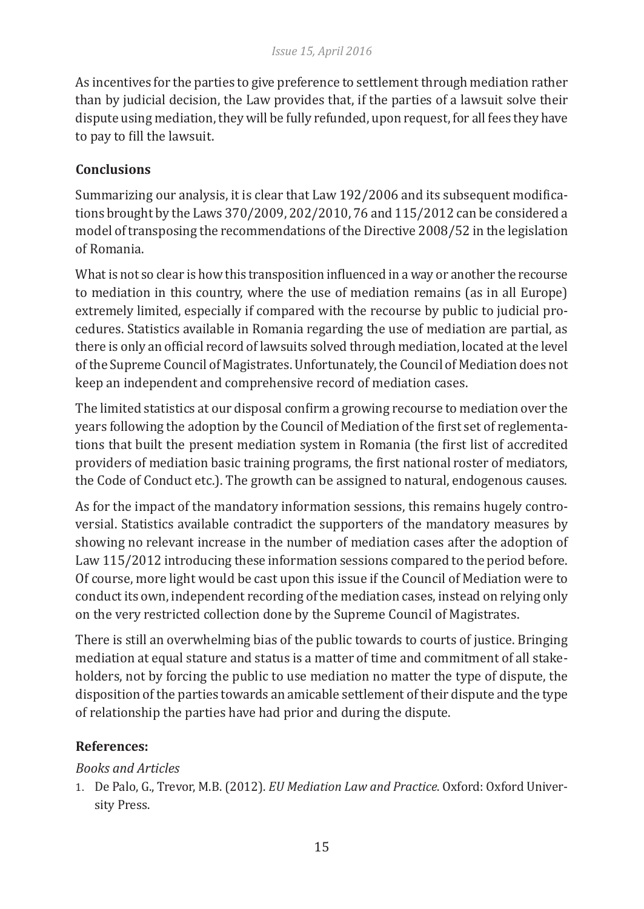As incentives for the parties to give preference to settlement through mediation rather than by judicial decision, the Law provides that, if the parties of a lawsuit solve their dispute using mediation, they will be fully refunded, upon request, for all fees they have to pay to fill the lawsuit.

# **Conclusions**

Summarizing our analysis, it is clear that Law 192/2006 and its subsequent modifications brought by the Laws 370/2009, 202/2010, 76 and 115/2012 can be considered a model of transposing the recommendations of the Directive 2008/52 in the legislation of Romania.

What is not so clear is how this transposition influenced in a way or another the recourse to mediation in this country, where the use of mediation remains (as in all Europe) extremely limited, especially if compared with the recourse by public to judicial procedures. Statistics available in Romania regarding the use of mediation are partial, as there is only an official record of lawsuits solved through mediation, located at the level of the Supreme Council of Magistrates. Unfortunately, the Council of Mediation does not keep an independent and comprehensive record of mediation cases.

The limited statistics at our disposal confirm a growing recourse to mediation over the years following the adoption by the Council of Mediation of the first set of reglementations that built the present mediation system in Romania (the first list of accredited providers of mediation basic training programs, the first national roster of mediators, the Code of Conduct etc.). The growth can be assigned to natural, endogenous causes.

As for the impact of the mandatory information sessions, this remains hugely controversial. Statistics available contradict the supporters of the mandatory measures by showing no relevant increase in the number of mediation cases after the adoption of Law 115/2012 introducing these information sessions compared to the period before. Of course, more light would be cast upon this issue if the Council of Mediation were to conduct its own, independent recording of the mediation cases, instead on relying only on the very restricted collection done by the Supreme Council of Magistrates.

There is still an overwhelming bias of the public towards to courts of justice. Bringing mediation at equal stature and status is a matter of time and commitment of all stakeholders, not by forcing the public to use mediation no matter the type of dispute, the disposition of the parties towards an amicable settlement of their dispute and the type of relationship the parties have had prior and during the dispute.

# **References:**

# *Books and Articles*

1. De Palo, G., Trevor, M.B. (2012). *EU Mediation Law and Practice*. Oxford: Oxford University Press.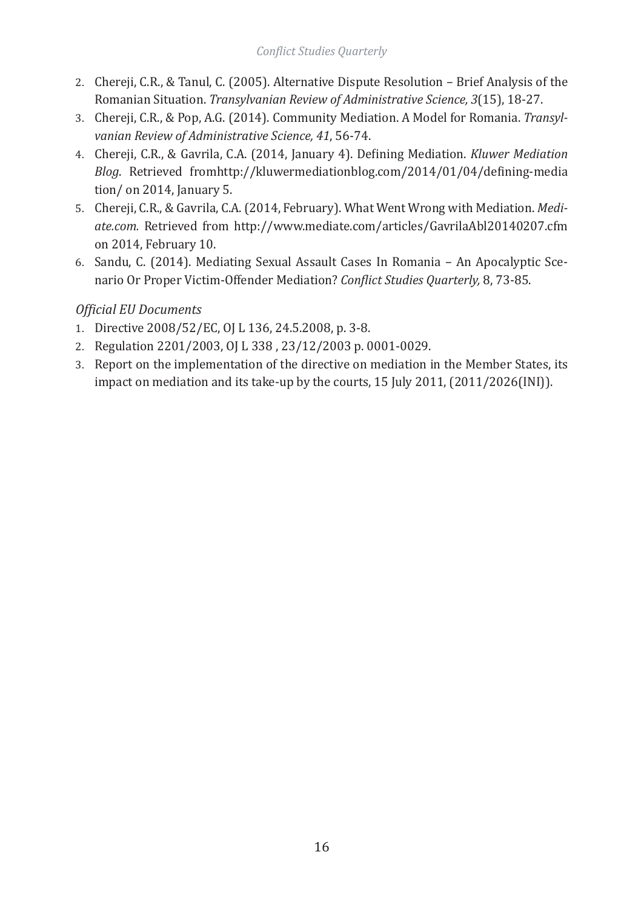- 2. Chereji, C.R., & Tanul, C. (2005). Alternative Dispute Resolution Brief Analysis of the Romanian Situation. *Transylvanian Review of Administrative Science, 3*(15), 18-27.
- 3. Chereji, C.R., & Pop, A.G. (2014). Community Mediation. A Model for Romania. *Transylvanian Review of Administrative Science, 41*, 56-74.
- 4. Chereji, C.R., & Gavrila, C.A. (2014, January 4). Defining Mediation. *Kluwer Mediation Blog*. Retrieved fromhttp://kluwermediationblog.com/2014/01/04/defining-media tion/ on 2014, January 5.
- 5. Chereji, C.R., & Gavrila, C.A. (2014, February). What Went Wrong with Mediation. *Mediate.com.* Retrieved from http://www.mediate.com/articles/GavrilaAbl20140207.cfm on 2014, February 10.
- 6. Sandu, C. (2014). Mediating Sexual Assault Cases In Romania An Apocalyptic Scenario Or Proper Victim-Offender Mediation? *Conflict Studies Quarterly,* 8, 73-85.

# *Official EU Documents*

- 1. Directive 2008/52/EC, OJ L 136, 24.5.2008, p. 3-8.
- 2. Regulation 2201/2003, OJ L 338 , 23/12/2003 p. 0001-0029.
- 3. Report on the implementation of the directive on mediation in the Member States, its impact on mediation and its take-up by the courts, 15 July 2011, (2011/2026(INI)).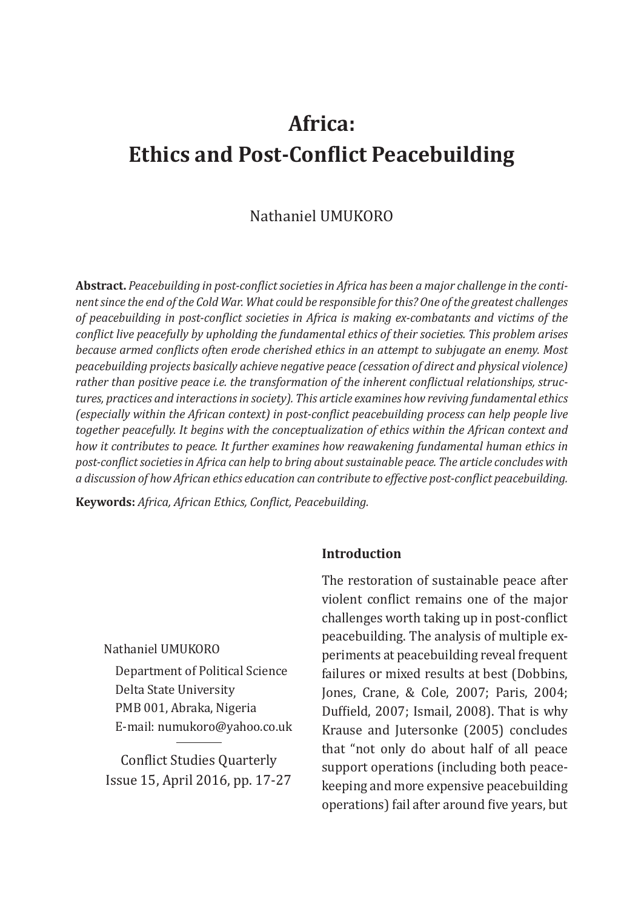# **Africa: Ethics and Post-Conflict Peacebuilding**

# Nathaniel UMUKORO

**Abstract.** *Peacebuilding in post-conflict societies in Africa has been a major challenge in the continent since the end of the Cold War. What could be responsible for this? One of the greatest challenges of peacebuilding in post-conflict societies in Africa is making ex-combatants and victims of the conflict live peacefully by upholding the fundamental ethics of their societies. This problem arises because armed conflicts often erode cherished ethics in an attempt to subjugate an enemy. Most peacebuilding projects basically achieve negative peace (cessation of direct and physical violence) rather than positive peace i.e. the transformation of the inherent conflictual relationships, structures, practices and interactions in society). This article examines how reviving fundamental ethics (especially within the African context) in post-conflict peacebuilding process can help people live together peacefully. It begins with the conceptualization of ethics within the African context and how it contributes to peace. It further examines how reawakening fundamental human ethics in post-conflict societies in Africa can help to bring about sustainable peace. The article concludes with a discussion of how African ethics education can contribute to effective post-conflict peacebuilding.*

**Keywords:** *Africa, African Ethics, Conflict, Peacebuilding.*

# **Introduction**

Nathaniel UMUKORO

Department of Political Science Delta State University PMB 001, Abraka, Nigeria E-mail: numukoro@yahoo.co.uk

Conflict Studies Quarterly Issue 15, April 2016, pp. 17-27 The restoration of sustainable peace after violent conflict remains one of the major challenges worth taking up in post-conflict peacebuilding. The analysis of multiple experiments at peacebuilding reveal frequent failures or mixed results at best (Dobbins, Jones, Crane, & Cole, 2007; Paris, 2004; Duffield, 2007; Ismail, 2008). That is why Krause and Jutersonke (2005) concludes that "not only do about half of all peace support operations (including both peacekeeping and more expensive peacebuilding operations) fail after around five years, but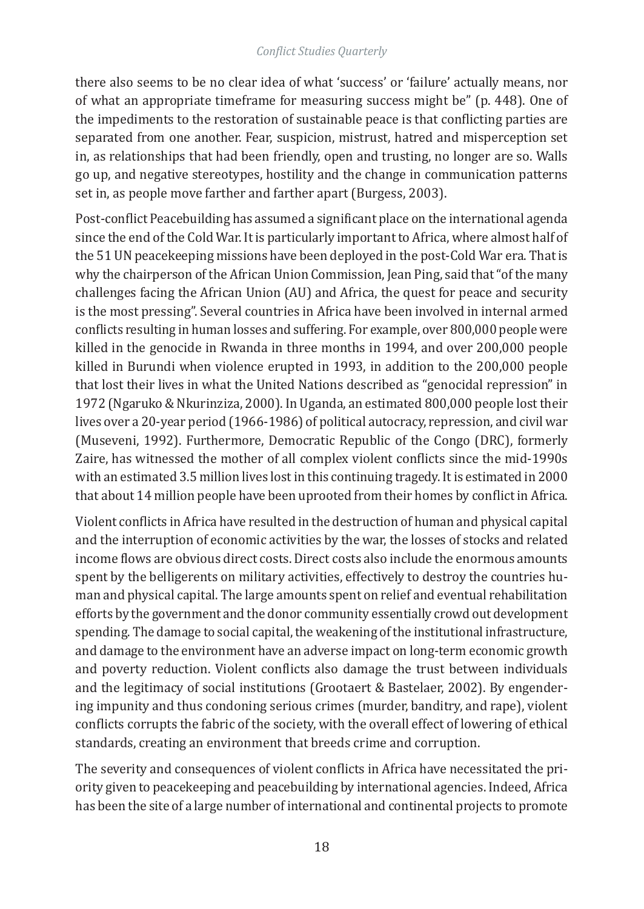there also seems to be no clear idea of what 'success' or 'failure' actually means, nor of what an appropriate timeframe for measuring success might be" (p. 448). One of the impediments to the restoration of sustainable peace is that conflicting parties are separated from one another. Fear, suspicion, mistrust, hatred and misperception set in, as relationships that had been friendly, open and trusting, no longer are so. Walls go up, and negative stereotypes, hostility and the change in communication patterns set in, as people move farther and farther apart (Burgess, 2003).

Post-conflict Peacebuilding has assumed a significant place on the international agenda since the end of the Cold War. It is particularly important to Africa, where almost half of the 51 UN peacekeeping missions have been deployed in the post-Cold War era. That is why the chairperson of the African Union Commission, Jean Ping, said that "of the many challenges facing the African Union (AU) and Africa, the quest for peace and security is the most pressing". Several countries in Africa have been involved in internal armed conflicts resulting in human losses and suffering. For example, over 800,000 people were killed in the genocide in Rwanda in three months in 1994, and over 200,000 people killed in Burundi when violence erupted in 1993, in addition to the 200,000 people that lost their lives in what the United Nations described as "genocidal repression" in 1972 (Ngaruko & Nkurinziza, 2000). In Uganda, an estimated 800,000 people lost their lives over a 20-year period (1966-1986) of political autocracy, repression, and civil war (Museveni, 1992). Furthermore, Democratic Republic of the Congo (DRC), formerly Zaire, has witnessed the mother of all complex violent conflicts since the mid-1990s with an estimated 3.5 million lives lost in this continuing tragedy. It is estimated in 2000 that about 14 million people have been uprooted from their homes by conflict in Africa.

Violent conflicts in Africa have resulted in the destruction of human and physical capital and the interruption of economic activities by the war, the losses of stocks and related income flows are obvious direct costs. Direct costs also include the enormous amounts spent by the belligerents on military activities, effectively to destroy the countries human and physical capital. The large amounts spent on relief and eventual rehabilitation efforts by the government and the donor community essentially crowd out development spending. The damage to social capital, the weakening of the institutional infrastructure, and damage to the environment have an adverse impact on long-term economic growth and poverty reduction. Violent conflicts also damage the trust between individuals and the legitimacy of social institutions (Grootaert & Bastelaer, 2002). By engendering impunity and thus condoning serious crimes (murder, banditry, and rape), violent conflicts corrupts the fabric of the society, with the overall effect of lowering of ethical standards, creating an environment that breeds crime and corruption.

The severity and consequences of violent conflicts in Africa have necessitated the priority given to peacekeeping and peacebuilding by international agencies. Indeed, Africa has been the site of a large number of international and continental projects to promote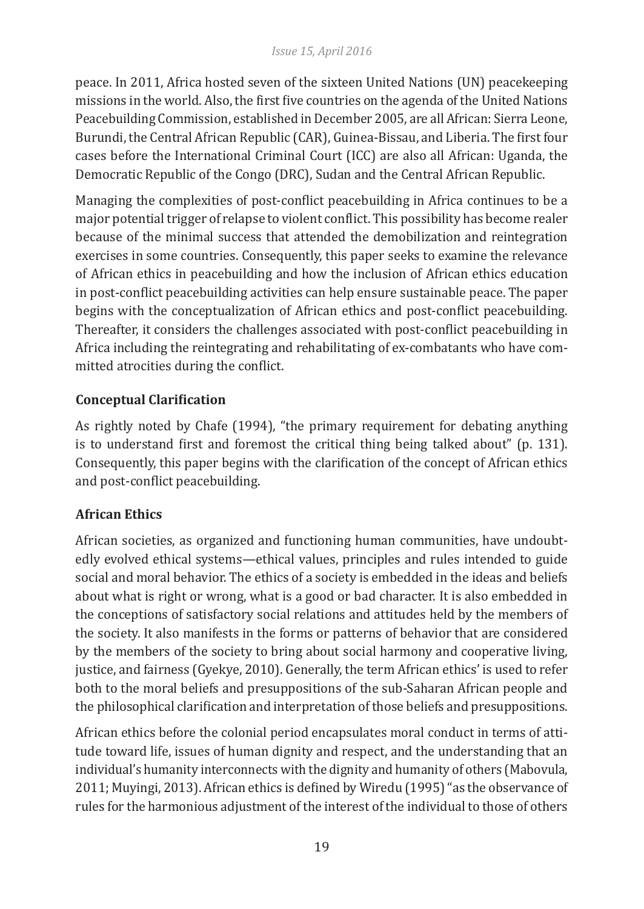peace. In 2011, Africa hosted seven of the sixteen United Nations (UN) peacekeeping missions in the world. Also, the first five countries on the agenda of the United Nations Peacebuilding Commission, established in December 2005, are all African: Sierra Leone, Burundi, the Central African Republic (CAR), Guinea-Bissau, and Liberia. The first four cases before the International Criminal Court (ICC) are also all African: Uganda, the Democratic Republic of the Congo (DRC), Sudan and the Central African Republic.

Managing the complexities of post-conflict peacebuilding in Africa continues to be a major potential trigger of relapse to violent conflict. This possibility has become realer because of the minimal success that attended the demobilization and reintegration exercises in some countries. Consequently, this paper seeks to examine the relevance of African ethics in peacebuilding and how the inclusion of African ethics education in post-conflict peacebuilding activities can help ensure sustainable peace. The paper begins with the conceptualization of African ethics and post-conflict peacebuilding. Thereafter, it considers the challenges associated with post-conflict peacebuilding in Africa including the reintegrating and rehabilitating of ex-combatants who have committed atrocities during the conflict.

# **Conceptual Clarification**

As rightly noted by Chafe (1994), "the primary requirement for debating anything is to understand first and foremost the critical thing being talked about" (p. 131). Consequently, this paper begins with the clarification of the concept of African ethics and post-conflict peacebuilding.

# **African Ethics**

African societies, as organized and functioning human communities, have undoubtedly evolved ethical systems—ethical values, principles and rules intended to guide social and moral behavior. The ethics of a society is embedded in the ideas and beliefs about what is right or wrong, what is a good or bad character. It is also embedded in the conceptions of satisfactory social relations and attitudes held by the members of the society. It also manifests in the forms or patterns of behavior that are considered by the members of the society to bring about social harmony and cooperative living, justice, and fairness (Gyekye, 2010). Generally, the term African ethics' is used to refer both to the moral beliefs and presuppositions of the sub-Saharan African people and the philosophical clarification and interpretation of those beliefs and presuppositions.

African ethics before the colonial period encapsulates moral conduct in terms of attitude toward life, issues of human dignity and respect, and the understanding that an individual's humanity interconnects with the dignity and humanity of others (Mabovula, 2011; Muyingi, 2013). African ethics is defined by Wiredu (1995) "as the observance of rules for the harmonious adjustment of the interest of the individual to those of others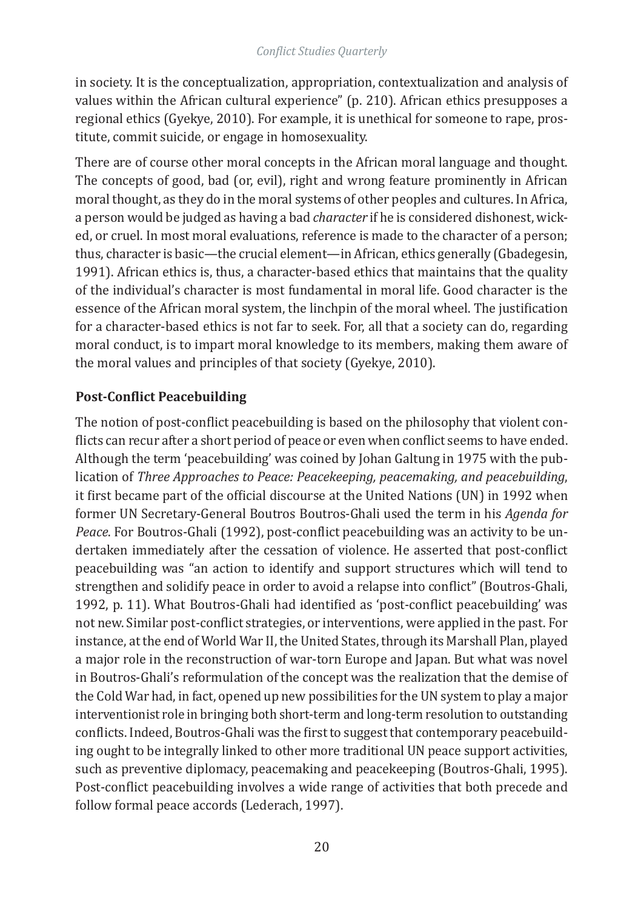in society. It is the conceptualization, appropriation, contextualization and analysis of values within the African cultural experience" (p. 210). African ethics presupposes a regional ethics (Gyekye, 2010). For example, it is unethical for someone to rape, prostitute, commit suicide, or engage in homosexuality.

There are of course other moral concepts in the African moral language and thought. The concepts of good, bad (or, evil), right and wrong feature prominently in African moral thought, as they do in the moral systems of other peoples and cultures. In Africa, a person would be judged as having a bad *character* if he is considered dishonest, wicked, or cruel. In most moral evaluations, reference is made to the character of a person; thus, character is basic—the crucial element—in African, ethics generally (Gbadegesin, 1991). African ethics is, thus, a character-based ethics that maintains that the quality of the individual's character is most fundamental in moral life. Good character is the essence of the African moral system, the linchpin of the moral wheel. The justification for a character-based ethics is not far to seek. For, all that a society can do, regarding moral conduct, is to impart moral knowledge to its members, making them aware of the moral values and principles of that society (Gyekye, 2010).

# **Post-Conflict Peacebuilding**

The notion of post-conflict peacebuilding is based on the philosophy that violent conflicts can recur after a short period of peace or even when conflict seems to have ended. Although the term 'peacebuilding' was coined by Johan Galtung in 1975 with the publication of *Three Approaches to Peace: Peacekeeping, peacemaking, and peacebuilding*, it first became part of the official discourse at the United Nations (UN) in 1992 when former UN Secretary-General Boutros Boutros-Ghali used the term in his *Agenda for Peace*. For Boutros-Ghali (1992), post-conflict peacebuilding was an activity to be undertaken immediately after the cessation of violence. He asserted that post-conflict peacebuilding was "an action to identify and support structures which will tend to strengthen and solidify peace in order to avoid a relapse into conflict" (Boutros-Ghali, 1992, p. 11). What Boutros-Ghali had identified as 'post-conflict peacebuilding' was not new. Similar post-conflict strategies, or interventions, were applied in the past. For instance, at the end of World War II, the United States, through its Marshall Plan, played a major role in the reconstruction of war-torn Europe and Japan. But what was novel in Boutros-Ghali's reformulation of the concept was the realization that the demise of the Cold War had, in fact, opened up new possibilities for the UN system to play a major interventionist role in bringing both short-term and long-term resolution to outstanding conflicts. Indeed, Boutros-Ghali was the first to suggest that contemporary peacebuilding ought to be integrally linked to other more traditional UN peace support activities, such as preventive diplomacy, peacemaking and peacekeeping (Boutros-Ghali, 1995). Post-conflict peacebuilding involves a wide range of activities that both precede and follow formal peace accords (Lederach, 1997).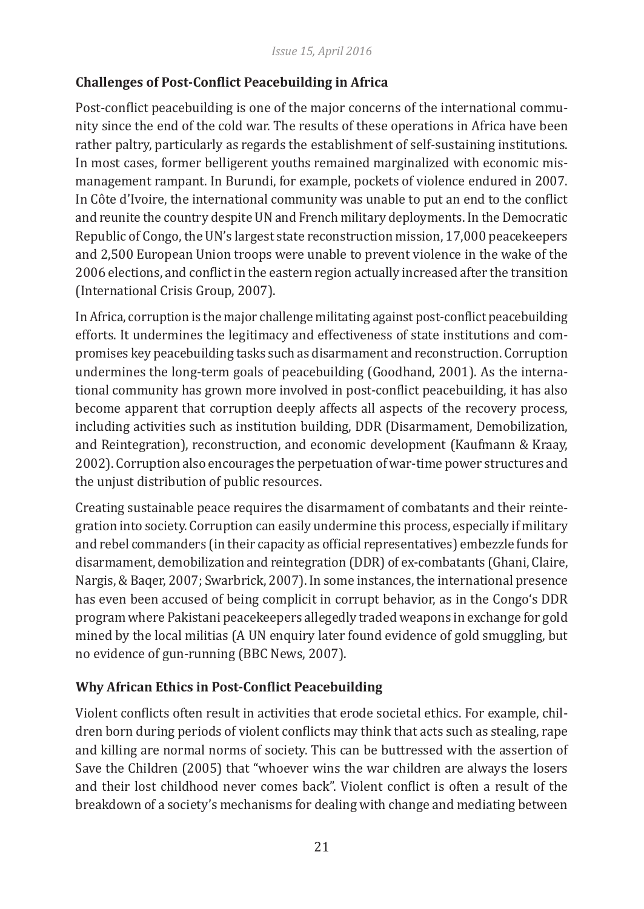# **Challenges of Post-Conflict Peacebuilding in Africa**

Post-conflict peacebuilding is one of the major concerns of the international community since the end of the cold war. The results of these operations in Africa have been rather paltry, particularly as regards the establishment of self-sustaining institutions. In most cases, former belligerent youths remained marginalized with economic mismanagement rampant. In Burundi, for example, pockets of violence endured in 2007. In Côte d'Ivoire, the international community was unable to put an end to the conflict and reunite the country despite UN and French military deployments. In the Democratic Republic of Congo, the UN's largest state reconstruction mission, 17,000 peacekeepers and 2,500 European Union troops were unable to prevent violence in the wake of the 2006 elections, and conflict in the eastern region actually increased after the transition (International Crisis Group, 2007).

In Africa, corruption is the major challenge militating against post-conflict peacebuilding efforts. It undermines the legitimacy and effectiveness of state institutions and compromises key peacebuilding tasks such as disarmament and reconstruction. Corruption undermines the long-term goals of peacebuilding (Goodhand, 2001). As the international community has grown more involved in post-conflict peacebuilding, it has also become apparent that corruption deeply affects all aspects of the recovery process, including activities such as institution building, DDR (Disarmament, Demobilization, and Reintegration), reconstruction, and economic development (Kaufmann & Kraay, 2002). Corruption also encourages the perpetuation of war-time power structures and the unjust distribution of public resources.

Creating sustainable peace requires the disarmament of combatants and their reintegration into society. Corruption can easily undermine this process, especially if military and rebel commanders (in their capacity as official representatives) embezzle funds for disarmament, demobilization and reintegration (DDR) of ex-combatants (Ghani, Claire, Nargis, & Baqer, 2007; Swarbrick, 2007). In some instances, the international presence has even been accused of being complicit in corrupt behavior, as in the Congo's DDR program where Pakistani peacekeepers allegedly traded weapons in exchange for gold mined by the local militias (A UN enquiry later found evidence of gold smuggling, but no evidence of gun-running (BBC News, 2007).

# **Why African Ethics in Post-Conflict Peacebuilding**

Violent conflicts often result in activities that erode societal ethics. For example, children born during periods of violent conflicts may think that acts such as stealing, rape and killing are normal norms of society. This can be buttressed with the assertion of Save the Children (2005) that "whoever wins the war children are always the losers and their lost childhood never comes back". Violent conflict is often a result of the breakdown of a society's mechanisms for dealing with change and mediating between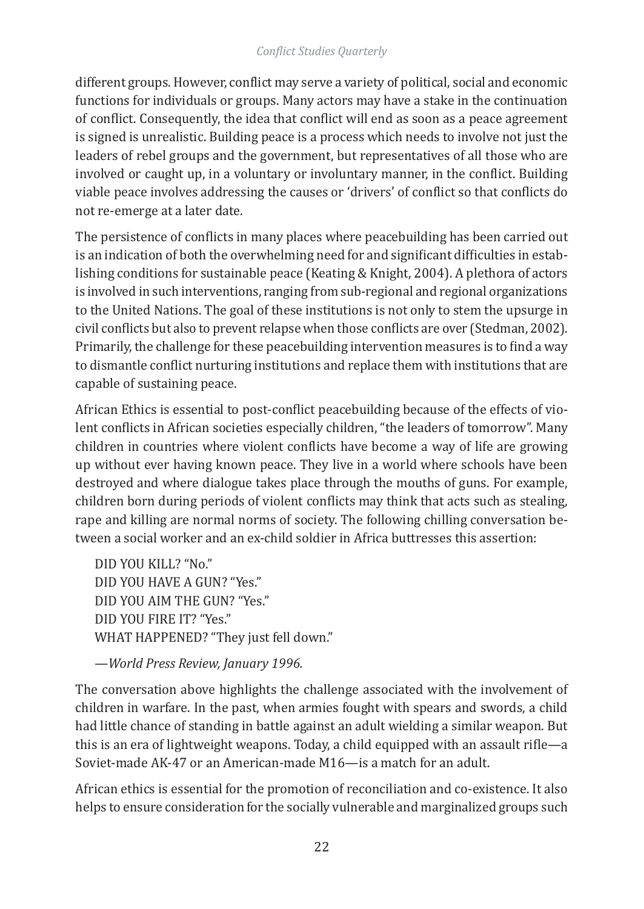different groups. However, conflict may serve a variety of political, social and economic functions for individuals or groups. Many actors may have a stake in the continuation of conflict. Consequently, the idea that conflict will end as soon as a peace agreement is signed is unrealistic. Building peace is a process which needs to involve not just the leaders of rebel groups and the government, but representatives of all those who are involved or caught up, in a voluntary or involuntary manner, in the conflict. Building viable peace involves addressing the causes or 'drivers' of conflict so that conflicts do not re-emerge at a later date.

The persistence of conflicts in many places where peacebuilding has been carried out is an indication of both the overwhelming need for and significant difficulties in establishing conditions for sustainable peace (Keating & Knight, 2004). A plethora of actors is involved in such interventions, ranging from sub-regional and regional organizations to the United Nations. The goal of these institutions is not only to stem the upsurge in civil conflicts but also to prevent relapse when those conflicts are over (Stedman, 2002). Primarily, the challenge for these peacebuilding intervention measures is to find a way to dismantle conflict nurturing institutions and replace them with institutions that are capable of sustaining peace.

African Ethics is essential to post-conflict peacebuilding because of the effects of violent conflicts in African societies especially children, "the leaders of tomorrow". Many children in countries where violent conflicts have become a way of life are growing up without ever having known peace. They live in a world where schools have been destroyed and where dialogue takes place through the mouths of guns. For example, children born during periods of violent conflicts may think that acts such as stealing, rape and killing are normal norms of society. The following chilling conversation between a social worker and an ex-child soldier in Africa buttresses this assertion:

DID YOU KILL? "No." DID YOU HAVE A GUN? "Yes." DID YOU AIM THE GUN? "Yes." DID YOU FIRE IT? "Yes." WHAT HAPPENED? "They just fell down."

—*World Press Review, January 1996.*

The conversation above highlights the challenge associated with the involvement of children in warfare. In the past, when armies fought with spears and swords, a child had little chance of standing in battle against an adult wielding a similar weapon. But this is an era of lightweight weapons. Today, a child equipped with an assault rifle—a Soviet-made AK-47 or an American-made M16—is a match for an adult.

African ethics is essential for the promotion of reconciliation and co-existence. It also helps to ensure consideration for the socially vulnerable and marginalized groups such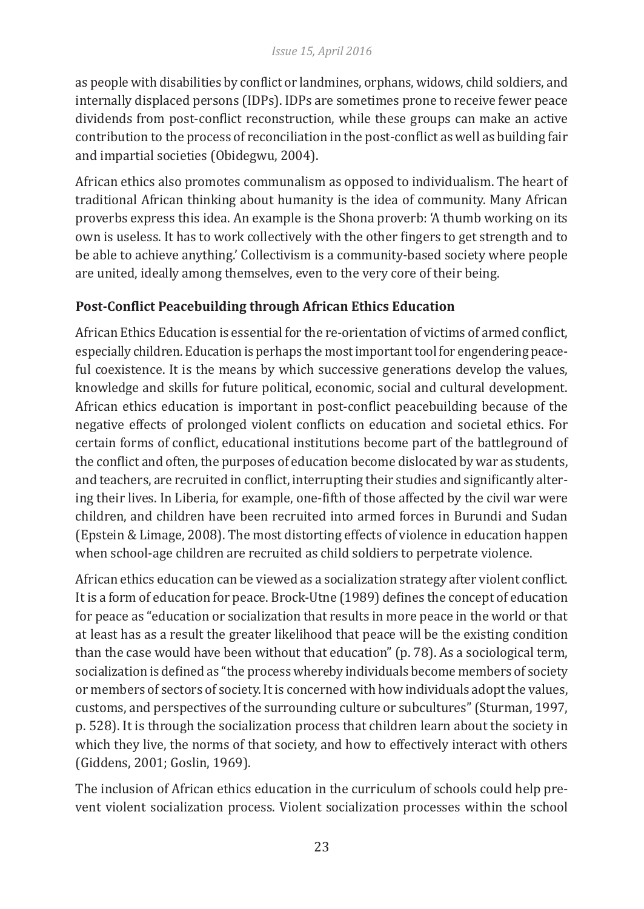as people with disabilities by conflict or landmines, orphans, widows, child soldiers, and internally displaced persons (IDPs). IDPs are sometimes prone to receive fewer peace dividends from post-conflict reconstruction, while these groups can make an active contribution to the process of reconciliation in the post-conflict as well as building fair and impartial societies (Obidegwu, 2004).

African ethics also promotes communalism as opposed to individualism. The heart of traditional African thinking about humanity is the idea of community. Many African proverbs express this idea. An example is the Shona proverb: 'A thumb working on its own is useless. It has to work collectively with the other fingers to get strength and to be able to achieve anything.' Collectivism is a community-based society where people are united, ideally among themselves, even to the very core of their being.

# **Post-Conflict Peacebuilding through African Ethics Education**

African Ethics Education is essential for the re-orientation of victims of armed conflict, especially children. Education is perhaps the most important tool for engendering peaceful coexistence. It is the means by which successive generations develop the values, knowledge and skills for future political, economic, social and cultural development. African ethics education is important in post-conflict peacebuilding because of the negative effects of prolonged violent conflicts on education and societal ethics. For certain forms of conflict, educational institutions become part of the battleground of the conflict and often, the purposes of education become dislocated by war as students, and teachers, are recruited in conflict, interrupting their studies and significantly altering their lives. In Liberia, for example, one-fifth of those affected by the civil war were children, and children have been recruited into armed forces in Burundi and Sudan (Epstein & Limage, 2008). The most distorting effects of violence in education happen when school-age children are recruited as child soldiers to perpetrate violence.

African ethics education can be viewed as a socialization strategy after violent conflict. It is a form of education for peace. Brock-Utne (1989) defines the concept of education for peace as "education or socialization that results in more peace in the world or that at least has as a result the greater likelihood that peace will be the existing condition than the case would have been without that education" (p. 78). As a sociological term, socialization is defined as "the process whereby individuals become members of society or members of sectors of society. It is concerned with how individuals adopt the values, customs, and perspectives of the surrounding culture or subcultures" (Sturman, 1997, p. 528). It is through the socialization process that children learn about the society in which they live, the norms of that society, and how to effectively interact with others (Giddens, 2001; Goslin, 1969).

The inclusion of African ethics education in the curriculum of schools could help prevent violent socialization process. Violent socialization processes within the school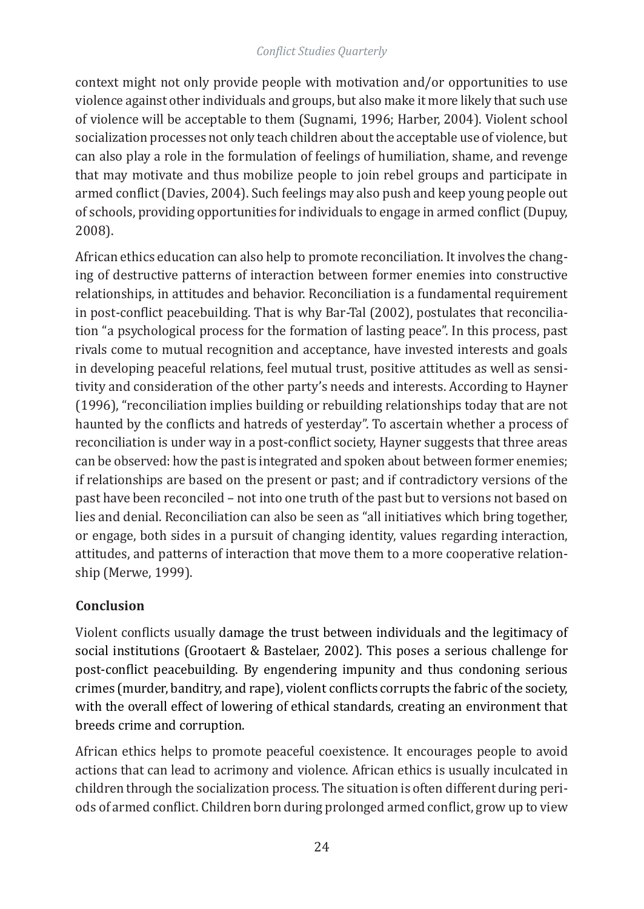context might not only provide people with motivation and/or opportunities to use violence against other individuals and groups, but also make it more likely that such use of violence will be acceptable to them (Sugnami, 1996; Harber, 2004). Violent school socialization processes not only teach children about the acceptable use of violence, but can also play a role in the formulation of feelings of humiliation, shame, and revenge that may motivate and thus mobilize people to join rebel groups and participate in armed conflict (Davies, 2004). Such feelings may also push and keep young people out of schools, providing opportunities for individuals to engage in armed conflict (Dupuy, 2008).

African ethics education can also help to promote reconciliation. It involves the changing of destructive patterns of interaction between former enemies into constructive relationships, in attitudes and behavior. Reconciliation is a fundamental requirement in post-conflict peacebuilding. That is why Bar-Tal (2002), postulates that reconciliation "a psychological process for the formation of lasting peace". In this process, past rivals come to mutual recognition and acceptance, have invested interests and goals in developing peaceful relations, feel mutual trust, positive attitudes as well as sensitivity and consideration of the other party's needs and interests. According to Hayner (1996), "reconciliation implies building or rebuilding relationships today that are not haunted by the conflicts and hatreds of yesterday". To ascertain whether a process of reconciliation is under way in a post-conflict society, Hayner suggests that three areas can be observed: how the past is integrated and spoken about between former enemies; if relationships are based on the present or past; and if contradictory versions of the past have been reconciled – not into one truth of the past but to versions not based on lies and denial. Reconciliation can also be seen as "all initiatives which bring together, or engage, both sides in a pursuit of changing identity, values regarding interaction, attitudes, and patterns of interaction that move them to a more cooperative relationship (Merwe, 1999).

# **Conclusion**

Violent conflicts usually damage the trust between individuals and the legitimacy of social institutions (Grootaert & Bastelaer, 2002). This poses a serious challenge for post-conflict peacebuilding. By engendering impunity and thus condoning serious crimes (murder, banditry, and rape), violent conflicts corrupts the fabric of the society, with the overall effect of lowering of ethical standards, creating an environment that breeds crime and corruption.

African ethics helps to promote peaceful coexistence. It encourages people to avoid actions that can lead to acrimony and violence. African ethics is usually inculcated in children through the socialization process. The situation is often different during periods of armed conflict. Children born during prolonged armed conflict, grow up to view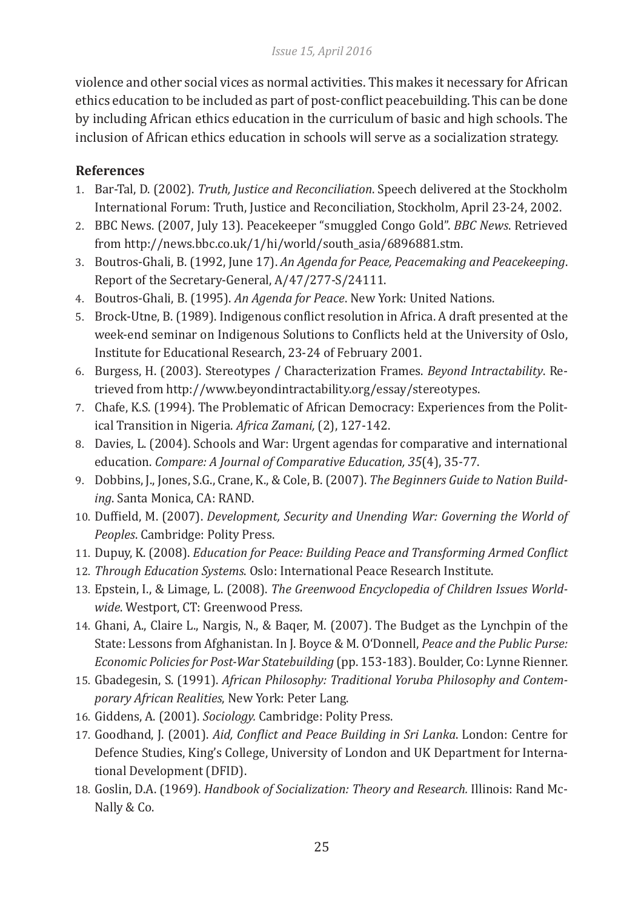violence and other social vices as normal activities. This makes it necessary for African ethics education to be included as part of post-conflict peacebuilding. This can be done by including African ethics education in the curriculum of basic and high schools. The inclusion of African ethics education in schools will serve as a socialization strategy.

# **References**

- 1. Bar-Tal, D. (2002). *Truth, Justice and Reconciliation*. Speech delivered at the Stockholm International Forum: Truth, Justice and Reconciliation, Stockholm, April 23-24, 2002.
- 2. BBC News. (2007, July 13). Peacekeeper "smuggled Congo Gold". *BBC News*. Retrieved from http://news.bbc.co.uk/1/hi/world/south\_asia/6896881.stm.
- 3. Boutros-Ghali, B. (1992, June 17). *An Agenda for Peace, Peacemaking and Peacekeeping*. Report of the Secretary-General, A/47/277-S/24111.
- 4. Boutros-Ghali, B. (1995). *An Agenda for Peace*. New York: United Nations.
- 5. Brock-Utne, B. (1989). Indigenous conflict resolution in Africa. A draft presented at the week-end seminar on Indigenous Solutions to Conflicts held at the University of Oslo, Institute for Educational Research, 23-24 of February 2001.
- 6. Burgess, H. (2003). Stereotypes / Characterization Frames. *Beyond Intractability*. Retrieved from http://www.beyondintractability.org/essay/stereotypes.
- 7. Chafe, K.S. (1994). The Problematic of African Democracy: Experiences from the Political Transition in Nigeria. *Africa Zamani,* (2), 127-142.
- 8. Davies, L. (2004). Schools and War: Urgent agendas for comparative and international education. *Compare: A Journal of Comparative Education, 35*(4), 35-77.
- 9. Dobbins, J., Jones, S.G., Crane, K., & Cole, B. (2007). *The Beginners Guide to Nation Building*. Santa Monica, CA: RAND.
- 10. Duffield, M. (2007). *Development, Security and Unending War: Governing the World of Peoples*. Cambridge: Polity Press.
- 11. Dupuy, K. (2008). *Education for Peace: Building Peace and Transforming Armed Conflict*
- 12. *Through Education Systems*. Oslo: International Peace Research Institute.
- 13. Epstein, I., & Limage, L. (2008). *The Greenwood Encyclopedia of Children Issues Worldwide*. Westport, CT: Greenwood Press.
- 14. Ghani, A., Claire L., Nargis, N., & Baqer, M. (2007). The Budget as the Lynchpin of the State: Lessons from Afghanistan. In J. Boyce & M. O'Donnell, *Peace and the Public Purse: Economic Policies for Post-War Statebuilding* (pp. 153-183). Boulder, Co: Lynne Rienner.
- 15. Gbadegesin, S. (1991). *African Philosophy: Traditional Yoruba Philosophy and Contemporary African Realities*, New York: Peter Lang.
- 16. Giddens, A. (2001). *Sociology.* Cambridge: Polity Press.
- 17. Goodhand, J. (2001). *Aid, Conflict and Peace Building in Sri Lanka*. London: Centre for Defence Studies, King's College, University of London and UK Department for International Development (DFID).
- 18. Goslin, D.A. (1969). *Handbook of Socialization: Theory and Research.* Illinois: Rand Mc-Nally & Co.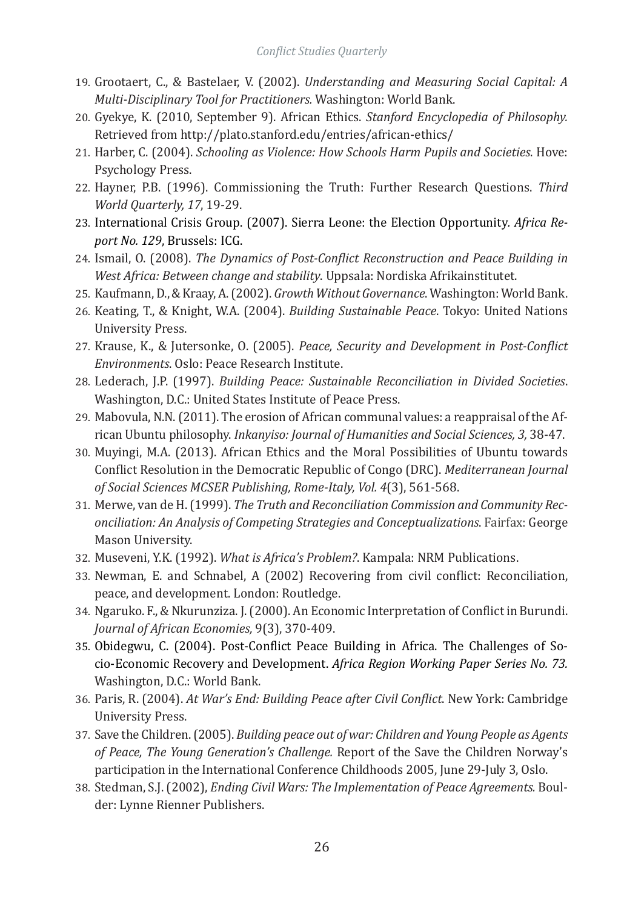- 19. Grootaert, C., & Bastelaer, V. (2002). *Understanding and Measuring Social Capital: A Multi-Disciplinary Tool for Practitioners.* Washington: World Bank.
- 20. Gyekye, K. (2010, September 9). African Ethics. *Stanford Encyclopedia of Philosophy.*  Retrieved from http://plato.stanford.edu/entries/african-ethics/
- 21. Harber, C. (2004). *Schooling as Violence: How Schools Harm Pupils and Societies*. Hove: Psychology Press.
- 22. Hayner, P.B. (1996). Commissioning the Truth: Further Research Questions. *Third World Quarterly, 17*, 19-29.
- 23. International Crisis Group. (2007). Sierra Leone: the Election Opportunity*. Africa Report No. 129*, Brussels: ICG.
- 24. Ismail, O. (2008). *The Dynamics of Post-Conflict Reconstruction and Peace Building in West Africa: Between change and stability*. Uppsala: Nordiska Afrikainstitutet.
- 25. Kaufmann, D., & Kraay, A. (2002). *Growth Without Governance*. Washington: World Bank.
- 26. Keating, T., & Knight, W.A. (2004). *Building Sustainable Peace*. Tokyo: United Nations University Press.
- 27. Krause, K., & Jutersonke, O. (2005). *Peace, Security and Development in Post-Conflict Environments*. Oslo: Peace Research Institute.
- 28. Lederach, J.P. (1997). *Building Peace: Sustainable Reconciliation in Divided Societies*. Washington, D.C.: United States Institute of Peace Press.
- 29. Mabovula, N.N. (2011). The erosion of African communal values: a reappraisal of the African Ubuntu philosophy. *Inkanyiso: Journal of Humanities and Social Sciences, 3,* 38-47.
- 30. Muyingi, M.A. (2013). African Ethics and the Moral Possibilities of Ubuntu towards Conflict Resolution in the Democratic Republic of Congo (DRC). *Mediterranean Journal of Social Sciences MCSER Publishing, Rome-Italy, Vol. 4*(3), 561-568.
- 31. Merwe, van de H. (1999). *The Truth and Reconciliation Commission and Community Reconciliation: An Analysis of Competing Strategies and Conceptualizations*. Fairfax: George Mason University.
- 32. Museveni, Y.K. (1992). *What is Africa's Problem?*. Kampala: NRM Publications.
- 33. Newman, E. and Schnabel, A (2002) Recovering from civil conflict: Reconciliation, peace, and development. London: Routledge.
- 34. Ngaruko. F., & Nkurunziza. J. (2000). An Economic Interpretation of Conflict in Burundi. *Journal of African Economies,* 9(3), 370-409.
- 35. Obidegwu, C. (2004). Post-Conflict Peace Building in Africa. The Challenges of Socio-Economic Recovery and Development. *Africa Region Working Paper Series No. 73.*  Washington, D.C.: World Bank.
- 36. Paris, R. (2004). *At War's End: Building Peace after Civil Conflict*. New York: Cambridge University Press.
- 37. Save the Children. (2005). *Building peace out of war: Children and Young People as Agents of Peace, The Young Generation's Challenge.* Report of the Save the Children Norway's participation in the International Conference Childhoods 2005, June 29-July 3, Oslo.
- 38. Stedman, S.J. (2002), *Ending Civil Wars: The Implementation of Peace Agreements.* Boulder: Lynne Rienner Publishers.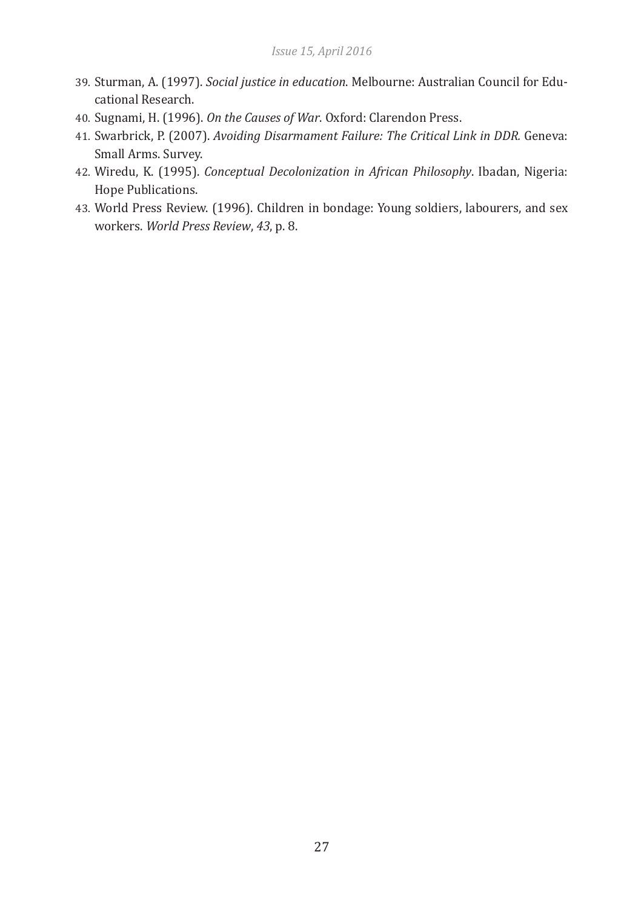- 39. Sturman, A. (1997). *Social justice in education*. Melbourne: Australian Council for Educational Research.
- 40. Sugnami, H. (1996). *On the Causes of War*. Oxford: Clarendon Press.
- 41. Swarbrick, P. (2007). *Avoiding Disarmament Failure: The Critical Link in DDR.* Geneva: Small Arms. Survey.
- 42. Wiredu, K. (1995). *Conceptual Decolonization in African Philosophy*. Ibadan, Nigeria: Hope Publications.
- 43. World Press Review. (1996). Children in bondage: Young soldiers, labourers, and sex workers. *World Press Review*, *43*, p. 8.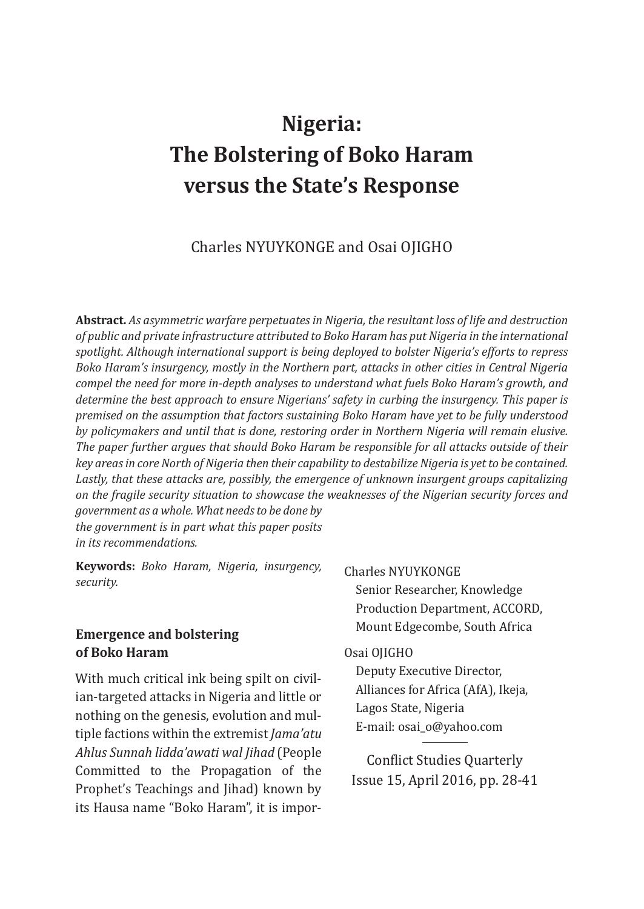# **Nigeria: The Bolstering of Boko Haram versus the State's Response**

### Charles NYUYKONGE and Osai OJIGHO

**Abstract.** *As asymmetric warfare perpetuates in Nigeria, the resultant loss of life and destruction of public and private infrastructure attributed to Boko Haram has put Nigeria in the international spotlight. Although international support is being deployed to bolster Nigeria's efforts to repress Boko Haram's insurgency, mostly in the Northern part, attacks in other cities in Central Nigeria compel the need for more in-depth analyses to understand what fuels Boko Haram's growth, and determine the best approach to ensure Nigerians' safety in curbing the insurgency. This paper is premised on the assumption that factors sustaining Boko Haram have yet to be fully understood by policymakers and until that is done, restoring order in Northern Nigeria will remain elusive. The paper further argues that should Boko Haram be responsible for all attacks outside of their key areas in core North of Nigeria then their capability to destabilize Nigeria is yet to be contained. Lastly, that these attacks are, possibly, the emergence of unknown insurgent groups capitalizing on the fragile security situation to showcase the weaknesses of the Nigerian security forces and government as a whole. What needs to be done by the government is in part what this paper posits* 

*in its recommendations.*

**Keywords:** *Boko Haram, Nigeria, insurgency, security.*

### **Emergence and bolstering of Boko Haram**

With much critical ink being spilt on civilian-targeted attacks in Nigeria and little or nothing on the genesis, evolution and multiple factions within the extremist *Jama'atu Ahlus Sunnah lidda'awati wal Jihad* (People Committed to the Propagation of the Prophet's Teachings and Jihad) known by its Hausa name "Boko Haram", it is impor-

#### Charles NYUYKONGE

Senior Researcher, Knowledge Production Department, ACCORD, Mount Edgecombe, South Africa

#### Osai OJIGHO

Deputy Executive Director, Alliances for Africa (AfA), Ikeja, Lagos State, Nigeria E-mail: osai\_o@yahoo.com

Conflict Studies Quarterly Issue 15, April 2016, pp. 28-41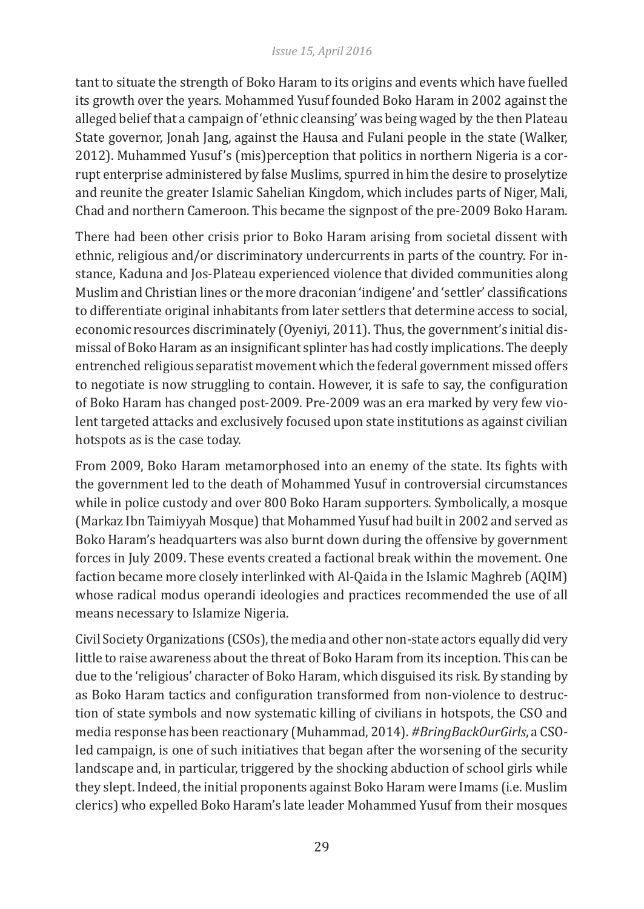#### *Issue 15, April 2016*

tant to situate the strength of Boko Haram to its origins and events which have fuelled its growth over the years. Mohammed Yusuf founded Boko Haram in 2002 against the alleged belief that a campaign of 'ethnic cleansing' was being waged by the then Plateau State governor, Jonah Jang, against the Hausa and Fulani people in the state (Walker, 2012). Muhammed Yusuf's (mis)perception that politics in northern Nigeria is a corrupt enterprise administered by false Muslims, spurred in him the desire to proselytize and reunite the greater Islamic Sahelian Kingdom, which includes parts of Niger, Mali, Chad and northern Cameroon. This became the signpost of the pre-2009 Boko Haram.

There had been other crisis prior to Boko Haram arising from societal dissent with ethnic, religious and/or discriminatory undercurrents in parts of the country. For instance, Kaduna and Jos-Plateau experienced violence that divided communities along Muslim and Christian lines or the more draconian 'indigene' and 'settler' classifications to differentiate original inhabitants from later settlers that determine access to social, economic resources discriminately (Oyeniyi, 2011). Thus, the government's initial dismissal of Boko Haram as an insignificant splinter has had costly implications. The deeply entrenched religious separatist movement which the federal government missed offers to negotiate is now struggling to contain. However, it is safe to say, the configuration of Boko Haram has changed post-2009. Pre-2009 was an era marked by very few violent targeted attacks and exclusively focused upon state institutions as against civilian hotspots as is the case today.

From 2009, Boko Haram metamorphosed into an enemy of the state. Its fights with the government led to the death of Mohammed Yusuf in controversial circumstances while in police custody and over 800 Boko Haram supporters. Symbolically, a mosque (Markaz Ibn Taimiyyah Mosque) that Mohammed Yusuf had built in 2002 and served as Boko Haram's headquarters was also burnt down during the offensive by government forces in July 2009. These events created a factional break within the movement. One faction became more closely interlinked with Al-Qaida in the Islamic Maghreb (AQIM) whose radical modus operandi ideologies and practices recommended the use of all means necessary to Islamize Nigeria.

Civil Society Organizations (CSOs), the media and other non-state actors equally did very little to raise awareness about the threat of Boko Haram from its inception. This can be due to the 'religious' character of Boko Haram, which disguised its risk. By standing by as Boko Haram tactics and configuration transformed from non-violence to destruction of state symbols and now systematic killing of civilians in hotspots, the CSO and media response has been reactionary (Muhammad, 2014). *#BringBackOurGirls*, a CSOled campaign, is one of such initiatives that began after the worsening of the security landscape and, in particular, triggered by the shocking abduction of school girls while they slept. Indeed, the initial proponents against Boko Haram were Imams (i.e. Muslim clerics) who expelled Boko Haram's late leader Mohammed Yusuf from their mosques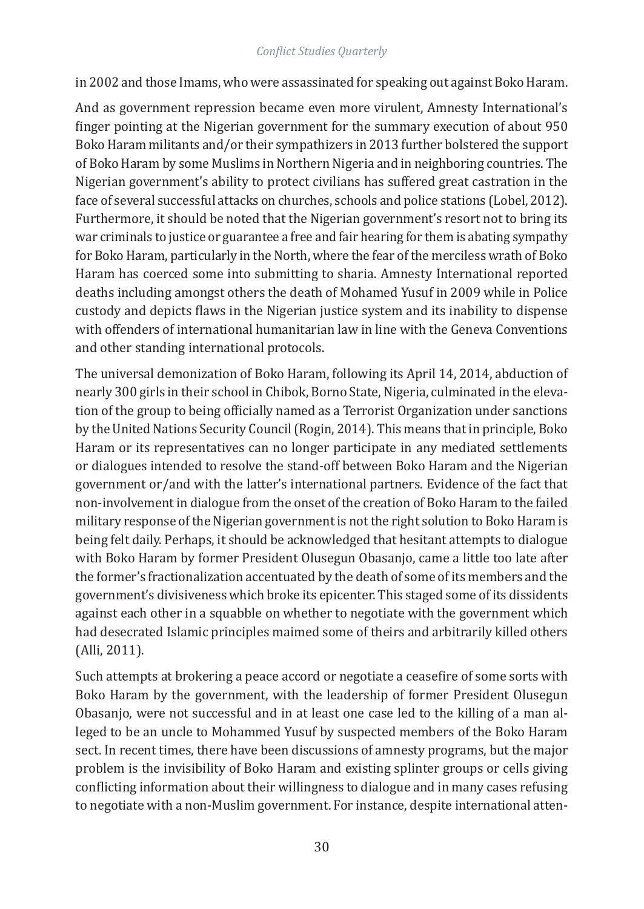in 2002 and those Imams, who were assassinated for speaking out against Boko Haram.

And as government repression became even more virulent, Amnesty International's finger pointing at the Nigerian government for the summary execution of about 950 Boko Haram militants and/or their sympathizers in 2013 further bolstered the support of Boko Haram by some Muslims in Northern Nigeria and in neighboring countries. The Nigerian government's ability to protect civilians has suffered great castration in the face of several successful attacks on churches, schools and police stations (Lobel, 2012). Furthermore, it should be noted that the Nigerian government's resort not to bring its war criminals to justice or guarantee a free and fair hearing for them is abating sympathy for Boko Haram, particularly in the North, where the fear of the merciless wrath of Boko Haram has coerced some into submitting to sharia. Amnesty International reported deaths including amongst others the death of Mohamed Yusuf in 2009 while in Police custody and depicts flaws in the Nigerian justice system and its inability to dispense with offenders of international humanitarian law in line with the Geneva Conventions and other standing international protocols.

The universal demonization of Boko Haram, following its April 14, 2014, abduction of nearly 300 girls in their school in Chibok, Borno State, Nigeria, culminated in the elevation of the group to being officially named as a Terrorist Organization under sanctions by the United Nations Security Council (Rogin, 2014). This means that in principle, Boko Haram or its representatives can no longer participate in any mediated settlements or dialogues intended to resolve the stand-off between Boko Haram and the Nigerian government or/and with the latter's international partners. Evidence of the fact that non-involvement in dialogue from the onset of the creation of Boko Haram to the failed military response of the Nigerian government is not the right solution to Boko Haram is being felt daily. Perhaps, it should be acknowledged that hesitant attempts to dialogue with Boko Haram by former President Olusegun Obasanjo, came a little too late after the former's fractionalization accentuated by the death of some of its members and the government's divisiveness which broke its epicenter. This staged some of its dissidents against each other in a squabble on whether to negotiate with the government which had desecrated Islamic principles maimed some of theirs and arbitrarily killed others (Alli, 2011).

Such attempts at brokering a peace accord or negotiate a ceasefire of some sorts with Boko Haram by the government, with the leadership of former President Olusegun Obasanjo, were not successful and in at least one case led to the killing of a man alleged to be an uncle to Mohammed Yusuf by suspected members of the Boko Haram sect. In recent times, there have been discussions of amnesty programs, but the major problem is the invisibility of Boko Haram and existing splinter groups or cells giving conflicting information about their willingness to dialogue and in many cases refusing to negotiate with a non-Muslim government. For instance, despite international atten-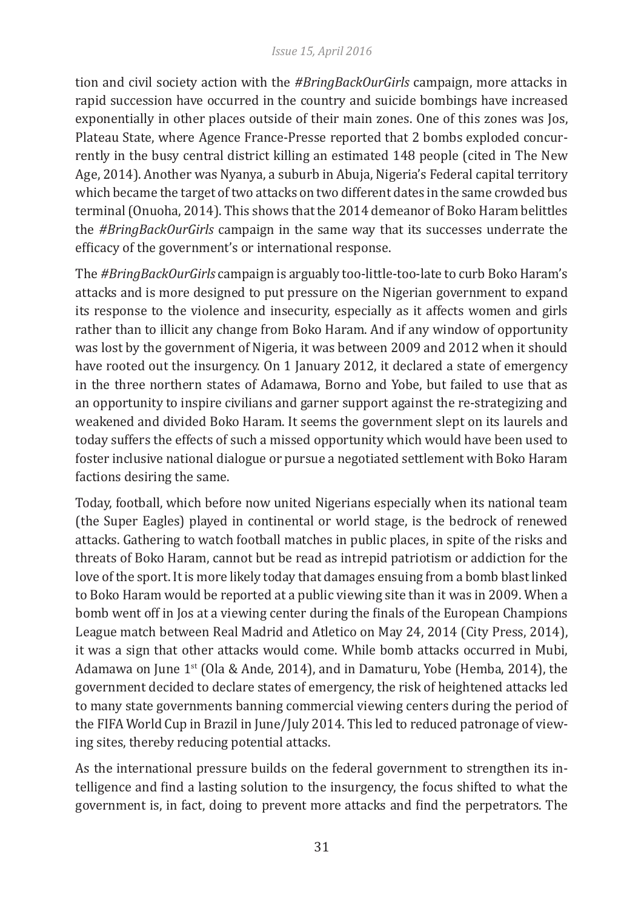#### *Issue 15, April 2016*

tion and civil society action with the *#BringBackOurGirls* campaign, more attacks in rapid succession have occurred in the country and suicide bombings have increased exponentially in other places outside of their main zones. One of this zones was Jos, Plateau State, where Agence France-Presse reported that 2 bombs exploded concurrently in the busy central district killing an estimated 148 people (cited in The New Age, 2014). Another was Nyanya, a suburb in Abuja, Nigeria's Federal capital territory which became the target of two attacks on two different dates in the same crowded bus terminal (Onuoha, 2014). This shows that the 2014 demeanor of Boko Haram belittles the *#BringBackOurGirls* campaign in the same way that its successes underrate the efficacy of the government's or international response.

The *#BringBackOurGirls* campaign is arguably too-little-too-late to curb Boko Haram's attacks and is more designed to put pressure on the Nigerian government to expand its response to the violence and insecurity, especially as it affects women and girls rather than to illicit any change from Boko Haram. And if any window of opportunity was lost by the government of Nigeria, it was between 2009 and 2012 when it should have rooted out the insurgency. On 1 January 2012, it declared a state of emergency in the three northern states of Adamawa, Borno and Yobe, but failed to use that as an opportunity to inspire civilians and garner support against the re-strategizing and weakened and divided Boko Haram. It seems the government slept on its laurels and today suffers the effects of such a missed opportunity which would have been used to foster inclusive national dialogue or pursue a negotiated settlement with Boko Haram factions desiring the same.

Today, football, which before now united Nigerians especially when its national team (the Super Eagles) played in continental or world stage, is the bedrock of renewed attacks. Gathering to watch football matches in public places, in spite of the risks and threats of Boko Haram, cannot but be read as intrepid patriotism or addiction for the love of the sport. It is more likely today that damages ensuing from a bomb blast linked to Boko Haram would be reported at a public viewing site than it was in 2009. When a bomb went off in Jos at a viewing center during the finals of the European Champions League match between Real Madrid and Atletico on May 24, 2014 (City Press, 2014), it was a sign that other attacks would come. While bomb attacks occurred in Mubi, Adamawa on June  $1<sup>st</sup>$  (Ola & Ande, 2014), and in Damaturu, Yobe (Hemba, 2014), the government decided to declare states of emergency, the risk of heightened attacks led to many state governments banning commercial viewing centers during the period of the FIFA World Cup in Brazil in June/July 2014. This led to reduced patronage of viewing sites, thereby reducing potential attacks.

As the international pressure builds on the federal government to strengthen its intelligence and find a lasting solution to the insurgency, the focus shifted to what the government is, in fact, doing to prevent more attacks and find the perpetrators. The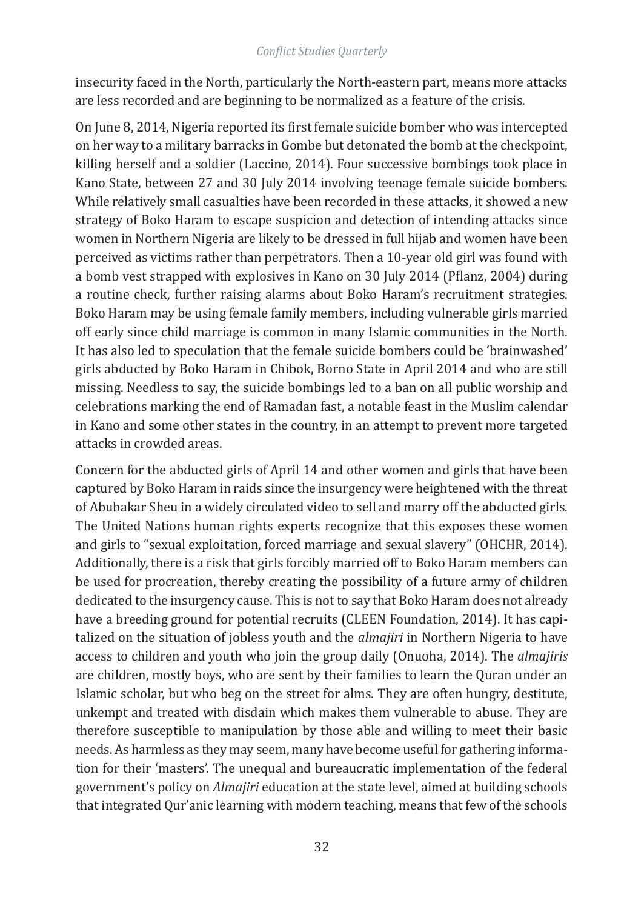insecurity faced in the North, particularly the North-eastern part, means more attacks are less recorded and are beginning to be normalized as a feature of the crisis.

On June 8, 2014, Nigeria reported its first female suicide bomber who was intercepted on her way to a military barracks in Gombe but detonated the bomb at the checkpoint, killing herself and a soldier (Laccino, 2014). Four successive bombings took place in Kano State, between 27 and 30 July 2014 involving teenage female suicide bombers. While relatively small casualties have been recorded in these attacks, it showed a new strategy of Boko Haram to escape suspicion and detection of intending attacks since women in Northern Nigeria are likely to be dressed in full hijab and women have been perceived as victims rather than perpetrators. Then a 10-year old girl was found with a bomb vest strapped with explosives in Kano on 30 July 2014 (Pflanz, 2004) during a routine check, further raising alarms about Boko Haram's recruitment strategies. Boko Haram may be using female family members, including vulnerable girls married off early since child marriage is common in many Islamic communities in the North. It has also led to speculation that the female suicide bombers could be 'brainwashed' girls abducted by Boko Haram in Chibok, Borno State in April 2014 and who are still missing. Needless to say, the suicide bombings led to a ban on all public worship and celebrations marking the end of Ramadan fast, a notable feast in the Muslim calendar in Kano and some other states in the country, in an attempt to prevent more targeted attacks in crowded areas.

Concern for the abducted girls of April 14 and other women and girls that have been captured by Boko Haram in raids since the insurgency were heightened with the threat of Abubakar Sheu in a widely circulated video to sell and marry off the abducted girls. The United Nations human rights experts recognize that this exposes these women and girls to "sexual exploitation, forced marriage and sexual slavery" (OHCHR, 2014). Additionally, there is a risk that girls forcibly married off to Boko Haram members can be used for procreation, thereby creating the possibility of a future army of children dedicated to the insurgency cause. This is not to say that Boko Haram does not already have a breeding ground for potential recruits (CLEEN Foundation, 2014). It has capitalized on the situation of jobless youth and the *almajiri* in Northern Nigeria to have access to children and youth who join the group daily (Onuoha, 2014). The *almajiris* are children, mostly boys, who are sent by their families to learn the Quran under an Islamic scholar, but who beg on the street for alms. They are often hungry, destitute, unkempt and treated with disdain which makes them vulnerable to abuse. They are therefore susceptible to manipulation by those able and willing to meet their basic needs. As harmless as they may seem, many have become useful for gathering information for their 'masters'. The unequal and bureaucratic implementation of the federal government's policy on *Almajiri* education at the state level, aimed at building schools that integrated Qur'anic learning with modern teaching, means that few of the schools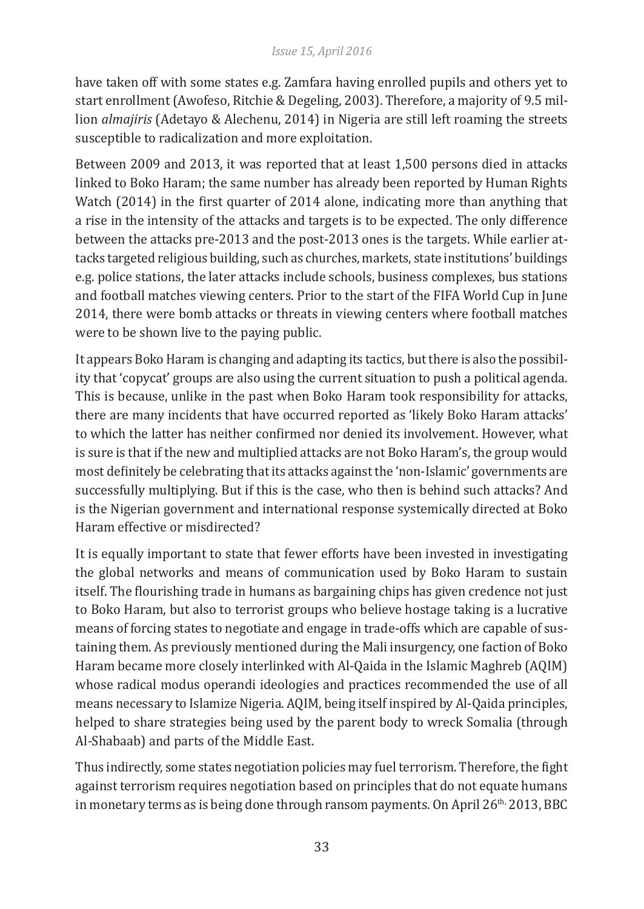have taken off with some states e.g. Zamfara having enrolled pupils and others yet to start enrollment (Awofeso, Ritchie & Degeling, 2003). Therefore, a majority of 9.5 million *almajiris* (Adetayo & Alechenu, 2014) in Nigeria are still left roaming the streets susceptible to radicalization and more exploitation.

Between 2009 and 2013, it was reported that at least 1,500 persons died in attacks linked to Boko Haram; the same number has already been reported by Human Rights Watch (2014) in the first quarter of 2014 alone, indicating more than anything that a rise in the intensity of the attacks and targets is to be expected. The only difference between the attacks pre-2013 and the post-2013 ones is the targets. While earlier attacks targeted religious building, such as churches, markets, state institutions' buildings e.g. police stations, the later attacks include schools, business complexes, bus stations and football matches viewing centers. Prior to the start of the FIFA World Cup in June 2014, there were bomb attacks or threats in viewing centers where football matches were to be shown live to the paying public.

It appears Boko Haram is changing and adapting its tactics, but there is also the possibility that 'copycat' groups are also using the current situation to push a political agenda. This is because, unlike in the past when Boko Haram took responsibility for attacks, there are many incidents that have occurred reported as 'likely Boko Haram attacks' to which the latter has neither confirmed nor denied its involvement. However, what is sure is that if the new and multiplied attacks are not Boko Haram's, the group would most definitely be celebrating that its attacks against the 'non-Islamic' governments are successfully multiplying. But if this is the case, who then is behind such attacks? And is the Nigerian government and international response systemically directed at Boko Haram effective or misdirected?

It is equally important to state that fewer efforts have been invested in investigating the global networks and means of communication used by Boko Haram to sustain itself. The flourishing trade in humans as bargaining chips has given credence not just to Boko Haram, but also to terrorist groups who believe hostage taking is a lucrative means of forcing states to negotiate and engage in trade-offs which are capable of sustaining them. As previously mentioned during the Mali insurgency, one faction of Boko Haram became more closely interlinked with Al-Qaida in the Islamic Maghreb (AQIM) whose radical modus operandi ideologies and practices recommended the use of all means necessary to Islamize Nigeria. AQIM, being itself inspired by Al-Qaida principles, helped to share strategies being used by the parent body to wreck Somalia (through Al-Shabaab) and parts of the Middle East.

Thus indirectly, some states negotiation policies may fuel terrorism. Therefore, the fight against terrorism requires negotiation based on principles that do not equate humans in monetary terms as is being done through ransom payments. On April  $26<sup>th</sup>$ , 2013, BBC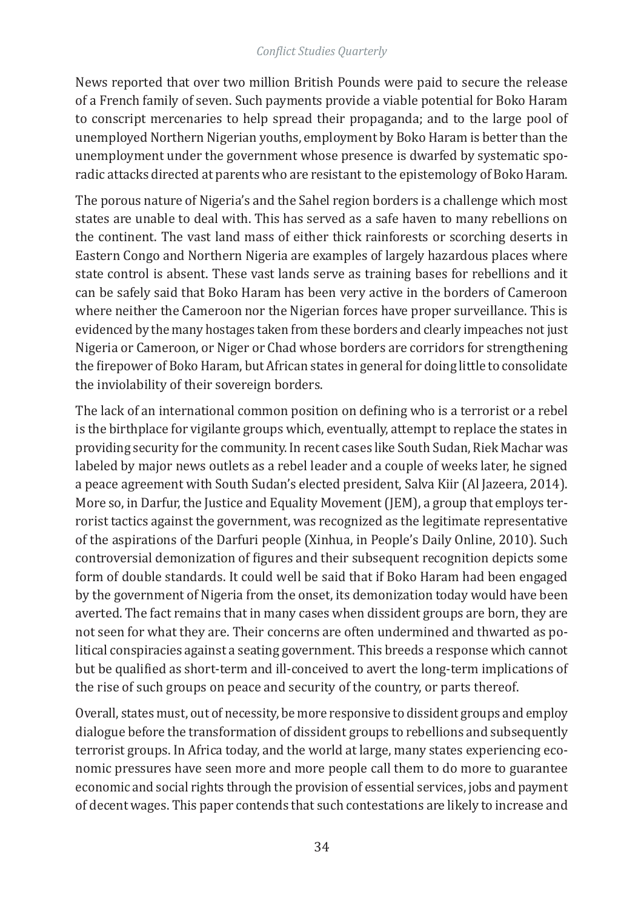News reported that over two million British Pounds were paid to secure the release of a French family of seven. Such payments provide a viable potential for Boko Haram to conscript mercenaries to help spread their propaganda; and to the large pool of unemployed Northern Nigerian youths, employment by Boko Haram is better than the unemployment under the government whose presence is dwarfed by systematic sporadic attacks directed at parents who are resistant to the epistemology of Boko Haram.

The porous nature of Nigeria's and the Sahel region borders is a challenge which most states are unable to deal with. This has served as a safe haven to many rebellions on the continent. The vast land mass of either thick rainforests or scorching deserts in Eastern Congo and Northern Nigeria are examples of largely hazardous places where state control is absent. These vast lands serve as training bases for rebellions and it can be safely said that Boko Haram has been very active in the borders of Cameroon where neither the Cameroon nor the Nigerian forces have proper surveillance. This is evidenced by the many hostages taken from these borders and clearly impeaches not just Nigeria or Cameroon, or Niger or Chad whose borders are corridors for strengthening the firepower of Boko Haram, but African states in general for doing little to consolidate the inviolability of their sovereign borders.

The lack of an international common position on defining who is a terrorist or a rebel is the birthplace for vigilante groups which, eventually, attempt to replace the states in providing security for the community. In recent cases like South Sudan, Riek Machar was labeled by major news outlets as a rebel leader and a couple of weeks later, he signed a peace agreement with South Sudan's elected president, Salva Kiir (Al Jazeera, 2014). More so, in Darfur, the Justice and Equality Movement (JEM), a group that employs terrorist tactics against the government, was recognized as the legitimate representative of the aspirations of the Darfuri people (Xinhua, in People's Daily Online, 2010). Such controversial demonization of figures and their subsequent recognition depicts some form of double standards. It could well be said that if Boko Haram had been engaged by the government of Nigeria from the onset, its demonization today would have been averted. The fact remains that in many cases when dissident groups are born, they are not seen for what they are. Their concerns are often undermined and thwarted as political conspiracies against a seating government. This breeds a response which cannot but be qualified as short-term and ill-conceived to avert the long-term implications of the rise of such groups on peace and security of the country, or parts thereof.

Overall, states must, out of necessity, be more responsive to dissident groups and employ dialogue before the transformation of dissident groups to rebellions and subsequently terrorist groups. In Africa today, and the world at large, many states experiencing economic pressures have seen more and more people call them to do more to guarantee economic and social rights through the provision of essential services, jobs and payment of decent wages. This paper contends that such contestations are likely to increase and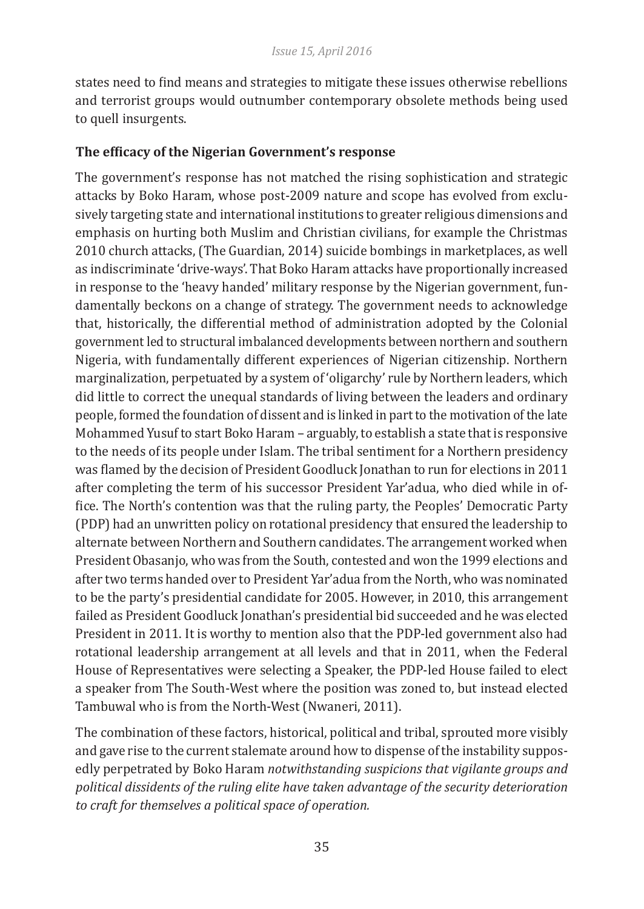states need to find means and strategies to mitigate these issues otherwise rebellions and terrorist groups would outnumber contemporary obsolete methods being used to quell insurgents.

### **The efficacy of the Nigerian Government's response**

The government's response has not matched the rising sophistication and strategic attacks by Boko Haram, whose post-2009 nature and scope has evolved from exclusively targeting state and international institutions to greater religious dimensions and emphasis on hurting both Muslim and Christian civilians, for example the Christmas 2010 church attacks, (The Guardian, 2014) suicide bombings in marketplaces, as well as indiscriminate 'drive-ways'. That Boko Haram attacks have proportionally increased in response to the 'heavy handed' military response by the Nigerian government, fundamentally beckons on a change of strategy. The government needs to acknowledge that, historically, the differential method of administration adopted by the Colonial government led to structural imbalanced developments between northern and southern Nigeria, with fundamentally different experiences of Nigerian citizenship. Northern marginalization, perpetuated by a system of 'oligarchy' rule by Northern leaders, which did little to correct the unequal standards of living between the leaders and ordinary people, formed the foundation of dissent and is linked in part to the motivation of the late Mohammed Yusuf to start Boko Haram – arguably, to establish a state that is responsive to the needs of its people under Islam. The tribal sentiment for a Northern presidency was flamed by the decision of President Goodluck Jonathan to run for elections in 2011 after completing the term of his successor President Yar'adua, who died while in office. The North's contention was that the ruling party, the Peoples' Democratic Party (PDP) had an unwritten policy on rotational presidency that ensured the leadership to alternate between Northern and Southern candidates. The arrangement worked when President Obasanjo, who was from the South, contested and won the 1999 elections and after two terms handed over to President Yar'adua from the North, who was nominated to be the party's presidential candidate for 2005. However, in 2010, this arrangement failed as President Goodluck Jonathan's presidential bid succeeded and he was elected President in 2011. It is worthy to mention also that the PDP-led government also had rotational leadership arrangement at all levels and that in 2011, when the Federal House of Representatives were selecting a Speaker, the PDP-led House failed to elect a speaker from The South-West where the position was zoned to, but instead elected Tambuwal who is from the North-West (Nwaneri, 2011).

The combination of these factors, historical, political and tribal, sprouted more visibly and gave rise to the current stalemate around how to dispense of the instability supposedly perpetrated by Boko Haram *notwithstanding suspicions that vigilante groups and political dissidents of the ruling elite have taken advantage of the security deterioration to craft for themselves a political space of operation.*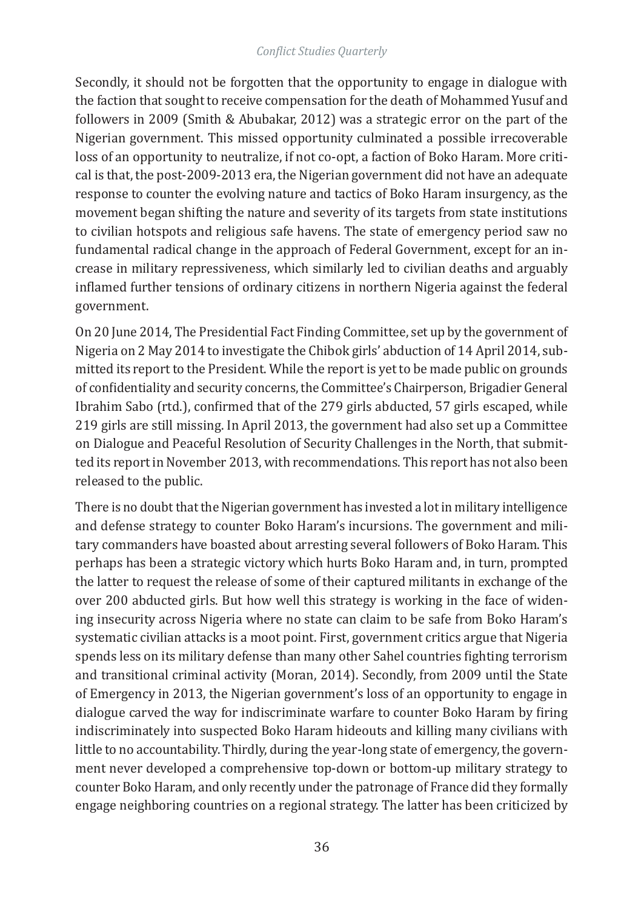Secondly, it should not be forgotten that the opportunity to engage in dialogue with the faction that sought to receive compensation for the death of Mohammed Yusuf and followers in 2009 (Smith & Abubakar, 2012) was a strategic error on the part of the Nigerian government. This missed opportunity culminated a possible irrecoverable loss of an opportunity to neutralize, if not co-opt, a faction of Boko Haram. More critical is that, the post-2009-2013 era, the Nigerian government did not have an adequate response to counter the evolving nature and tactics of Boko Haram insurgency, as the movement began shifting the nature and severity of its targets from state institutions to civilian hotspots and religious safe havens. The state of emergency period saw no fundamental radical change in the approach of Federal Government, except for an increase in military repressiveness, which similarly led to civilian deaths and arguably inflamed further tensions of ordinary citizens in northern Nigeria against the federal government.

On 20 June 2014, The Presidential Fact Finding Committee, set up by the government of Nigeria on 2 May 2014 to investigate the Chibok girls' abduction of 14 April 2014, submitted its report to the President. While the report is yet to be made public on grounds of confidentiality and security concerns, the Committee's Chairperson, Brigadier General Ibrahim Sabo (rtd.), confirmed that of the 279 girls abducted, 57 girls escaped, while 219 girls are still missing. In April 2013, the government had also set up a Committee on Dialogue and Peaceful Resolution of Security Challenges in the North, that submitted its report in November 2013, with recommendations. This report has not also been released to the public.

There is no doubt that the Nigerian government has invested a lot in military intelligence and defense strategy to counter Boko Haram's incursions. The government and military commanders have boasted about arresting several followers of Boko Haram. This perhaps has been a strategic victory which hurts Boko Haram and, in turn, prompted the latter to request the release of some of their captured militants in exchange of the over 200 abducted girls. But how well this strategy is working in the face of widening insecurity across Nigeria where no state can claim to be safe from Boko Haram's systematic civilian attacks is a moot point. First, government critics argue that Nigeria spends less on its military defense than many other Sahel countries fighting terrorism and transitional criminal activity (Moran, 2014). Secondly, from 2009 until the State of Emergency in 2013, the Nigerian government's loss of an opportunity to engage in dialogue carved the way for indiscriminate warfare to counter Boko Haram by firing indiscriminately into suspected Boko Haram hideouts and killing many civilians with little to no accountability. Thirdly, during the year-long state of emergency, the government never developed a comprehensive top-down or bottom-up military strategy to counter Boko Haram, and only recently under the patronage of France did they formally engage neighboring countries on a regional strategy. The latter has been criticized by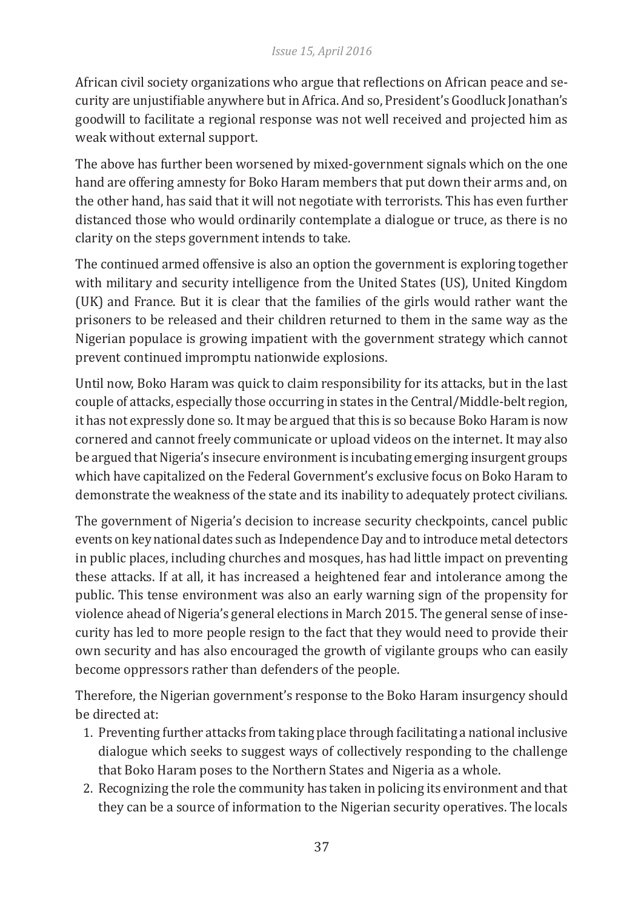African civil society organizations who argue that reflections on African peace and security are unjustifiable anywhere but in Africa. And so, President's Goodluck Jonathan's goodwill to facilitate a regional response was not well received and projected him as weak without external support.

The above has further been worsened by mixed-government signals which on the one hand are offering amnesty for Boko Haram members that put down their arms and, on the other hand, has said that it will not negotiate with terrorists. This has even further distanced those who would ordinarily contemplate a dialogue or truce, as there is no clarity on the steps government intends to take.

The continued armed offensive is also an option the government is exploring together with military and security intelligence from the United States (US), United Kingdom (UK) and France. But it is clear that the families of the girls would rather want the prisoners to be released and their children returned to them in the same way as the Nigerian populace is growing impatient with the government strategy which cannot prevent continued impromptu nationwide explosions.

Until now, Boko Haram was quick to claim responsibility for its attacks, but in the last couple of attacks, especially those occurring in states in the Central/Middle-belt region, it has not expressly done so. It may be argued that this is so because Boko Haram is now cornered and cannot freely communicate or upload videos on the internet. It may also be argued that Nigeria's insecure environment is incubating emerging insurgent groups which have capitalized on the Federal Government's exclusive focus on Boko Haram to demonstrate the weakness of the state and its inability to adequately protect civilians.

The government of Nigeria's decision to increase security checkpoints, cancel public events on key national dates such as Independence Day and to introduce metal detectors in public places, including churches and mosques, has had little impact on preventing these attacks. If at all, it has increased a heightened fear and intolerance among the public. This tense environment was also an early warning sign of the propensity for violence ahead of Nigeria's general elections in March 2015. The general sense of insecurity has led to more people resign to the fact that they would need to provide their own security and has also encouraged the growth of vigilante groups who can easily become oppressors rather than defenders of the people.

Therefore, the Nigerian government's response to the Boko Haram insurgency should be directed at:

- 1. Preventing further attacks from taking place through facilitating a national inclusive dialogue which seeks to suggest ways of collectively responding to the challenge that Boko Haram poses to the Northern States and Nigeria as a whole.
- 2. Recognizing the role the community has taken in policing its environment and that they can be a source of information to the Nigerian security operatives. The locals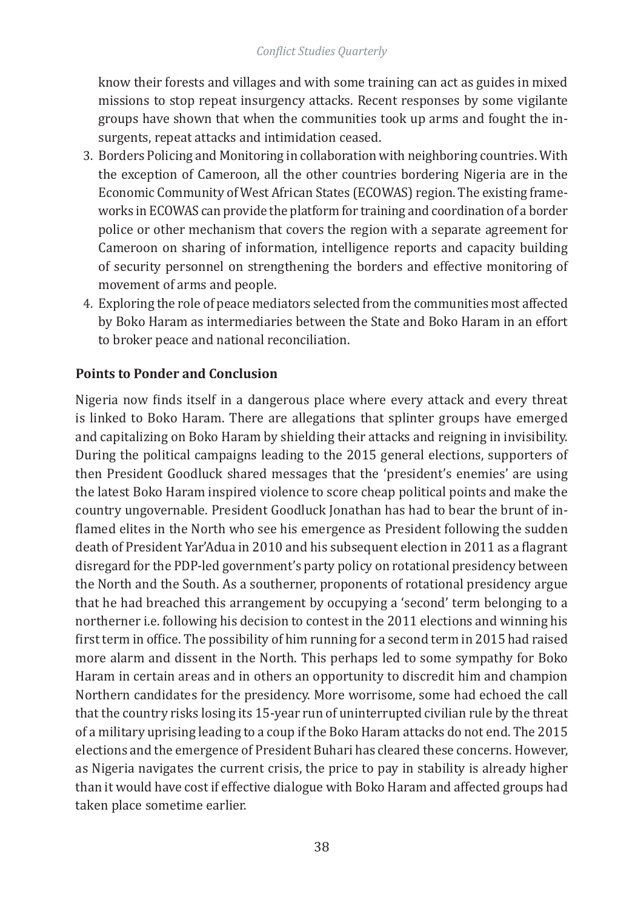know their forests and villages and with some training can act as guides in mixed missions to stop repeat insurgency attacks. Recent responses by some vigilante groups have shown that when the communities took up arms and fought the insurgents, repeat attacks and intimidation ceased.

- 3. Borders Policing and Monitoring in collaboration with neighboring countries. With the exception of Cameroon, all the other countries bordering Nigeria are in the Economic Community of West African States (ECOWAS) region. The existing frameworks in ECOWAS can provide the platform for training and coordination of a border police or other mechanism that covers the region with a separate agreement for Cameroon on sharing of information, intelligence reports and capacity building of security personnel on strengthening the borders and effective monitoring of movement of arms and people.
- 4. Exploring the role of peace mediators selected from the communities most affected by Boko Haram as intermediaries between the State and Boko Haram in an effort to broker peace and national reconciliation.

#### **Points to Ponder and Conclusion**

Nigeria now finds itself in a dangerous place where every attack and every threat is linked to Boko Haram. There are allegations that splinter groups have emerged and capitalizing on Boko Haram by shielding their attacks and reigning in invisibility. During the political campaigns leading to the 2015 general elections, supporters of then President Goodluck shared messages that the 'president's enemies' are using the latest Boko Haram inspired violence to score cheap political points and make the country ungovernable. President Goodluck Jonathan has had to bear the brunt of inflamed elites in the North who see his emergence as President following the sudden death of President Yar'Adua in 2010 and his subsequent election in 2011 as a flagrant disregard for the PDP-led government's party policy on rotational presidency between the North and the South. As a southerner, proponents of rotational presidency argue that he had breached this arrangement by occupying a 'second' term belonging to a northerner i.e. following his decision to contest in the 2011 elections and winning his first term in office. The possibility of him running for a second term in 2015 had raised more alarm and dissent in the North. This perhaps led to some sympathy for Boko Haram in certain areas and in others an opportunity to discredit him and champion Northern candidates for the presidency. More worrisome, some had echoed the call that the country risks losing its 15-year run of uninterrupted civilian rule by the threat of a military uprising leading to a coup if the Boko Haram attacks do not end. The 2015 elections and the emergence of President Buhari has cleared these concerns. However, as Nigeria navigates the current crisis, the price to pay in stability is already higher than it would have cost if effective dialogue with Boko Haram and affected groups had taken place sometime earlier.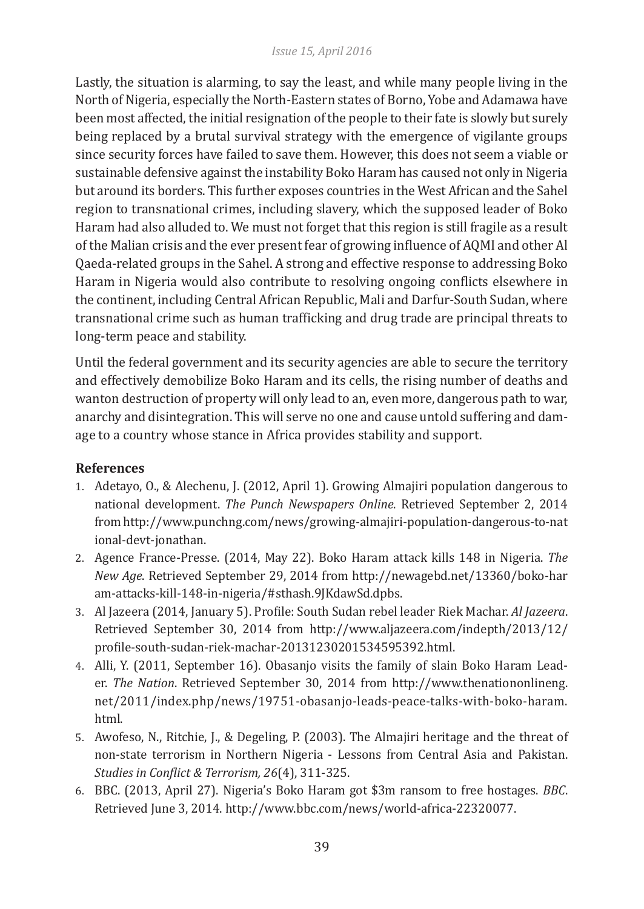Lastly, the situation is alarming, to say the least, and while many people living in the North of Nigeria, especially the North-Eastern states of Borno, Yobe and Adamawa have been most affected, the initial resignation of the people to their fate is slowly but surely being replaced by a brutal survival strategy with the emergence of vigilante groups since security forces have failed to save them. However, this does not seem a viable or sustainable defensive against the instability Boko Haram has caused not only in Nigeria but around its borders. This further exposes countries in the West African and the Sahel region to transnational crimes, including slavery, which the supposed leader of Boko Haram had also alluded to. We must not forget that this region is still fragile as a result of the Malian crisis and the ever present fear of growing influence of AQMI and other Al Qaeda-related groups in the Sahel. A strong and effective response to addressing Boko Haram in Nigeria would also contribute to resolving ongoing conflicts elsewhere in the continent, including Central African Republic, Mali and Darfur-South Sudan, where transnational crime such as human trafficking and drug trade are principal threats to long-term peace and stability.

Until the federal government and its security agencies are able to secure the territory and effectively demobilize Boko Haram and its cells, the rising number of deaths and wanton destruction of property will only lead to an, even more, dangerous path to war, anarchy and disintegration. This will serve no one and cause untold suffering and damage to a country whose stance in Africa provides stability and support.

### **References**

- 1. Adetayo, O., & Alechenu, J. (2012, April 1). Growing Almajiri population dangerous to national development. *The Punch Newspapers Online*. Retrieved September 2, 2014 from http://www.punchng.com/news/growing-almajiri-population-dangerous-to-nat ional-devt-jonathan.
- 2. Agence France-Presse. (2014, May 22). Boko Haram attack kills 148 in Nigeria. *The New Age*. Retrieved September 29, 2014 from http://newagebd.net/13360/boko-har am-attacks-kill-148-in-nigeria/#sthash.9JKdawSd.dpbs.
- 3. Al Jazeera (2014, January 5). Profile: South Sudan rebel leader Riek Machar. *Al Jazeera*. Retrieved September 30, 2014 from http://www.aljazeera.com/indepth/2013/12/ profile-south-sudan-riek-machar-20131230201534595392.html.
- 4. Alli, Y. (2011, September 16). Obasanjo visits the family of slain Boko Haram Leader. *The Nation*. Retrieved September 30, 2014 from http://www.thenationonlineng. net/2011/index.php/news/19751-obasanjo-leads-peace-talks-with-boko-haram. html.
- 5. Awofeso, N., Ritchie, J., & Degeling, P. (2003). The Almajiri heritage and the threat of non-state terrorism in Northern Nigeria - Lessons from Central Asia and Pakistan. *Studies in Conflict & Terrorism, 26*(4), 311-325.
- 6. BBC. (2013, April 27). Nigeria's Boko Haram got \$3m ransom to free hostages. *BBC*. Retrieved June 3, 2014. http://www.bbc.com/news/world-africa-22320077.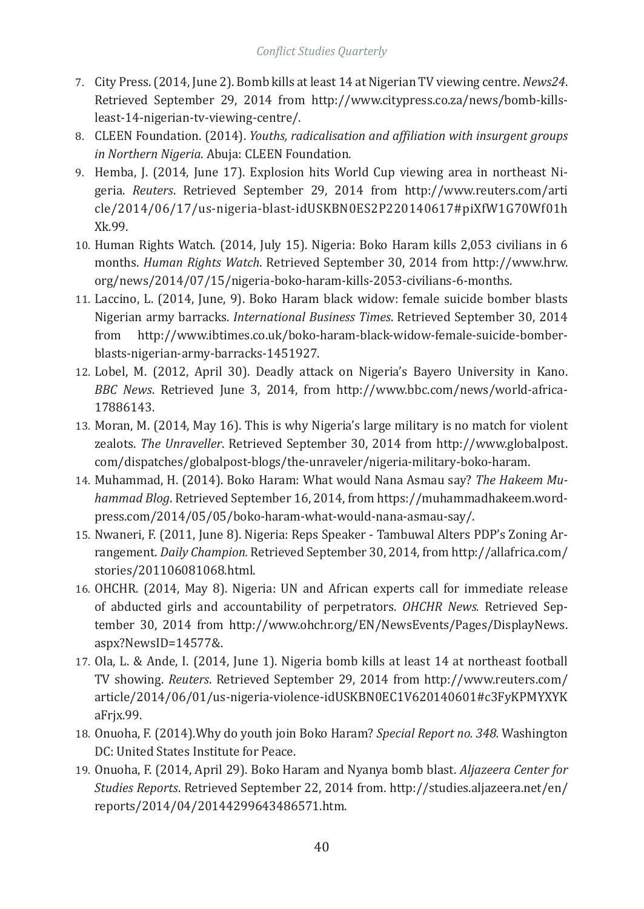- 7. City Press. (2014, June 2). Bomb kills at least 14 at Nigerian TV viewing centre. *News24*. Retrieved September 29, 2014 from http://www.citypress.co.za/news/bomb-killsleast-14-nigerian-tv-viewing-centre/.
- 8. CLEEN Foundation. (2014). *Youths, radicalisation and affiliation with insurgent groups in Northern Nigeria*. Abuja: CLEEN Foundation*.*
- 9. Hemba, J. (2014, June 17). Explosion hits World Cup viewing area in northeast Nigeria. *Reuters*. Retrieved September 29, 2014 from http://www.reuters.com/arti cle/2014/06/17/us-nigeria-blast-idUSKBN0ES2P220140617#piXfW1G70Wf01h Xk.99.
- 10. Human Rights Watch. (2014, July 15). Nigeria: Boko Haram kills 2,053 civilians in 6 months. *Human Rights Watch*. Retrieved September 30, 2014 from http://www.hrw. org/news/2014/07/15/nigeria-boko-haram-kills-2053-civilians-6-months.
- 11. Laccino, L. (2014, June, 9). Boko Haram black widow: female suicide bomber blasts Nigerian army barracks. *International Business Times*. Retrieved September 30, 2014 from http://www.ibtimes.co.uk/boko-haram-black-widow-female-suicide-bomberblasts-nigerian-army-barracks-1451927.
- 12. Lobel, M. (2012, April 30). Deadly attack on Nigeria's Bayero University in Kano. *BBC News*. Retrieved June 3, 2014, from http://www.bbc.com/news/world-africa-17886143.
- 13. Moran, M. (2014, May 16). This is why Nigeria's large military is no match for violent zealots. *The Unraveller*. Retrieved September 30, 2014 from http://www.globalpost. com/dispatches/globalpost-blogs/the-unraveler/nigeria-military-boko-haram.
- 14. Muhammad, H. (2014). Boko Haram: What would Nana Asmau say? *The Hakeem Muhammad Blog*. Retrieved September 16, 2014, from https://muhammadhakeem.wordpress.com/2014/05/05/boko-haram-what-would-nana-asmau-say/.
- 15. Nwaneri, F. (2011, June 8). Nigeria: Reps Speaker Tambuwal Alters PDP's Zoning Arrangement. *Daily Champion.* Retrieved September 30, 2014, from http://allafrica.com/ stories/201106081068.html.
- 16. OHCHR. (2014, May 8). Nigeria: UN and African experts call for immediate release of abducted girls and accountability of perpetrators. *OHCHR News.* Retrieved September 30, 2014 from http://www.ohchr.org/EN/NewsEvents/Pages/DisplayNews. aspx?NewsID=14577&.
- 17. Ola, L. & Ande, I. (2014, June 1). Nigeria bomb kills at least 14 at northeast football TV showing. *Reuters*. Retrieved September 29, 2014 from http://www.reuters.com/ article/2014/06/01/us-nigeria-violence-idUSKBN0EC1V620140601#c3FyKPMYXYK aFrjx.99.
- 18. Onuoha, F. (2014).Why do youth join Boko Haram? *Special Report no. 348.* Washington DC: United States Institute for Peace.
- 19. Onuoha, F. (2014, April 29). Boko Haram and Nyanya bomb blast. *Aljazeera Center for Studies Reports*. Retrieved September 22, 2014 from. http://studies.aljazeera.net/en/ reports/2014/04/20144299643486571.htm.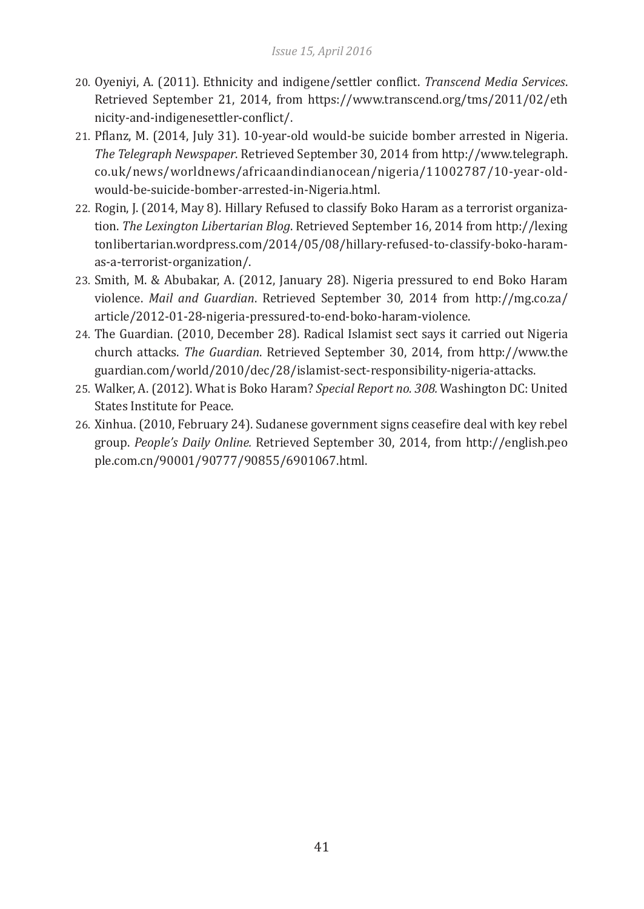- 20. Oyeniyi, A. (2011). Ethnicity and indigene/settler conflict. *Transcend Media Services*. Retrieved September 21, 2014, from https://www.transcend.org/tms/2011/02/eth nicity-and-indigenesettler-conflict/.
- 21. Pflanz, M. (2014, July 31). 10-year-old would-be suicide bomber arrested in Nigeria. *The Telegraph Newspaper*. Retrieved September 30, 2014 from http://www.telegraph. co.uk/news/worldnews/africaandindianocean/nigeria/11002787/10-year-oldwould-be-suicide-bomber-arrested-in-Nigeria.html.
- 22. Rogin, J. (2014, May 8). Hillary Refused to classify Boko Haram as a terrorist organization. *The Lexington Libertarian Blog*. Retrieved September 16, 2014 from http://lexing tonlibertarian.wordpress.com/2014/05/08/hillary-refused-to-classify-boko-haramas-a-terrorist-organization/.
- 23. Smith, M. & Abubakar, A. (2012, January 28). Nigeria pressured to end Boko Haram violence. *Mail and Guardian*. Retrieved September 30, 2014 from http://mg.co.za/ article/2012-01-28-nigeria-pressured-to-end-boko-haram-violence.
- 24. The Guardian. (2010, December 28). Radical Islamist sect says it carried out Nigeria church attacks. *The Guardian*. Retrieved September 30, 2014, from http://www.the guardian.com/world/2010/dec/28/islamist-sect-responsibility-nigeria-attacks.
- 25. Walker, A. (2012). What is Boko Haram? *Special Report no. 308.* Washington DC: United States Institute for Peace.
- 26. Xinhua. (2010, February 24). Sudanese government signs ceasefire deal with key rebel group. *People's Daily Online.* Retrieved September 30, 2014, from http://english.peo ple.com.cn/90001/90777/90855/6901067.html.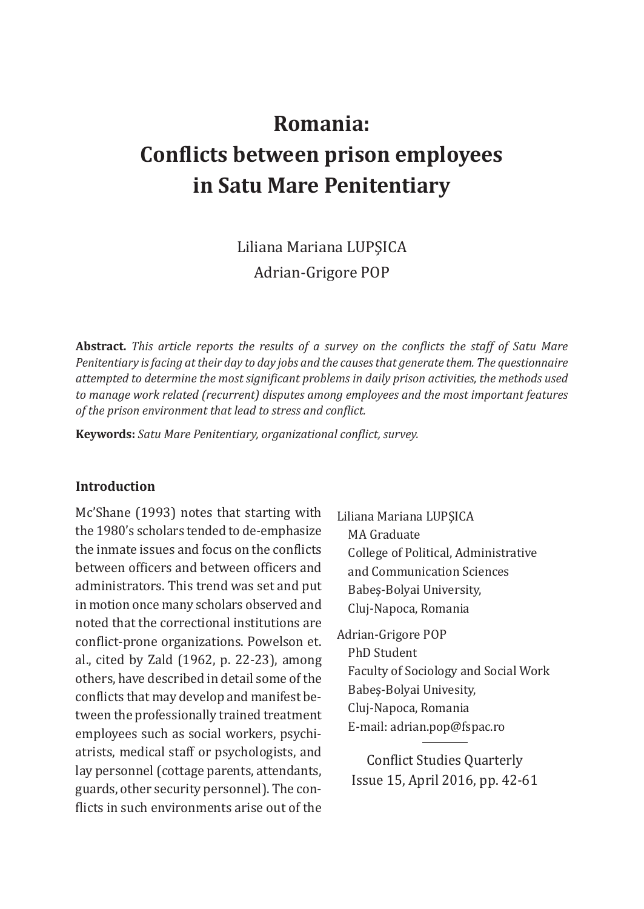# **Romania: Conflicts between prison employees in Satu Mare Penitentiary**

Liliana Mariana LUPŞICA Adrian-Grigore POP

**Abstract.** *This article reports the results of a survey on the conflicts the staff of Satu Mare Penitentiary is facing at their day to day jobs and the causes that generate them. The questionnaire attempted to determine the most significant problems in daily prison activities, the methods used to manage work related (recurrent) disputes among employees and the most important features of the prison environment that lead to stress and conflict.* 

**Keywords:** *Satu Mare Penitentiary, organizational conflict, survey.*

#### **Introduction**

Mc'Shane (1993) notes that starting with the 1980's scholars tended to de-emphasize the inmate issues and focus on the conflicts between officers and between officers and administrators. This trend was set and put in motion once many scholars observed and noted that the correctional institutions are conflict-prone organizations. Powelson et. al., cited by Zald (1962, p. 22-23), among others, have described in detail some of the conflicts that may develop and manifest between the professionally trained treatment employees such as social workers, psychiatrists, medical staff or psychologists, and lay personnel (cottage parents, attendants, guards, other security personnel). The conflicts in such environments arise out of the

Liliana Mariana LUPŞICA MA Graduate College of Political, Administrative and Communication Sciences Babeş-Bolyai University, Cluj-Napoca, Romania

Adrian-Grigore POP PhD Student Faculty of Sociology and Social Work Babeş-Bolyai Univesity, Cluj-Napoca, Romania E-mail: adrian.pop@fspac.ro

Conflict Studies Quarterly Issue 15, April 2016, pp. 42-61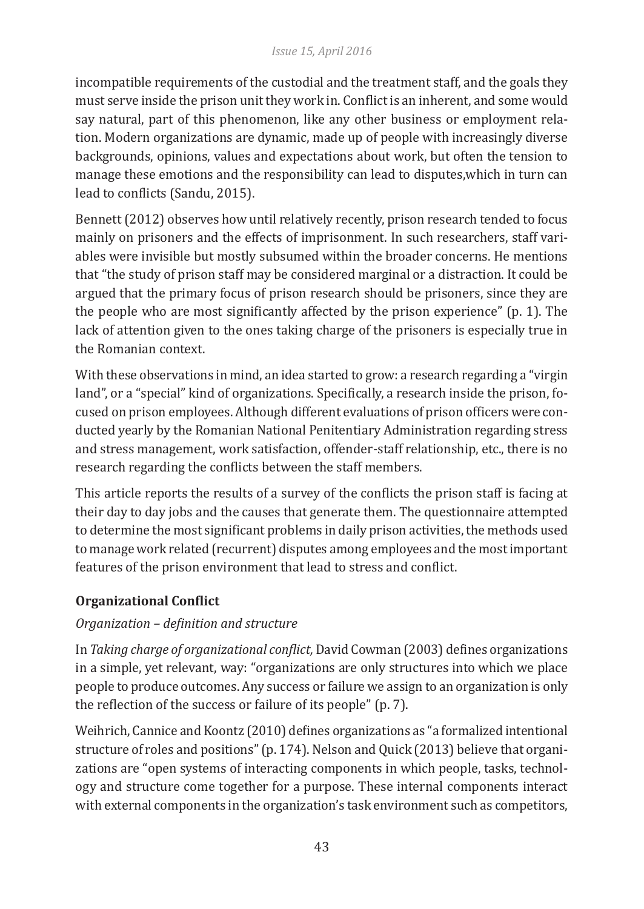incompatible requirements of the custodial and the treatment staff, and the goals they must serve inside the prison unit they work in. Conflict is an inherent, and some would say natural, part of this phenomenon, like any other business or employment relation. Modern organizations are dynamic, made up of people with increasingly diverse backgrounds, opinions, values and expectations about work, but often the tension to manage these emotions and the responsibility can lead to disputes,which in turn can lead to conflicts (Sandu, 2015).

Bennett (2012) observes how until relatively recently, prison research tended to focus mainly on prisoners and the effects of imprisonment. In such researchers, staff variables were invisible but mostly subsumed within the broader concerns. He mentions that "the study of prison staff may be considered marginal or a distraction. It could be argued that the primary focus of prison research should be prisoners, since they are the people who are most significantly affected by the prison experience" (p. 1). The lack of attention given to the ones taking charge of the prisoners is especially true in the Romanian context.

With these observations in mind, an idea started to grow: a research regarding a "virgin land", or a "special" kind of organizations. Specifically, a research inside the prison, focused on prison employees. Although different evaluations of prison officers were conducted yearly by the Romanian National Penitentiary Administration regarding stress and stress management, work satisfaction, offender-staff relationship, etc., there is no research regarding the conflicts between the staff members.

This article reports the results of a survey of the conflicts the prison staff is facing at their day to day jobs and the causes that generate them. The questionnaire attempted to determine the most significant problems in daily prison activities, the methods used to manage work related (recurrent) disputes among employees and the most important features of the prison environment that lead to stress and conflict.

# **Organizational Conflict**

# *Organization – definition and structure*

In *Taking charge of organizational conflict,* David Cowman (2003) defines organizations in a simple, yet relevant, way: "organizations are only structures into which we place people to produce outcomes. Any success or failure we assign to an organization is only the reflection of the success or failure of its people" (p. 7).

Weihrich, Cannice and Koontz (2010) defines organizations as "a formalized intentional structure of roles and positions" (p. 174). Nelson and Quick (2013) believe that organizations are "open systems of interacting components in which people, tasks, technology and structure come together for a purpose. These internal components interact with external components in the organization's task environment such as competitors,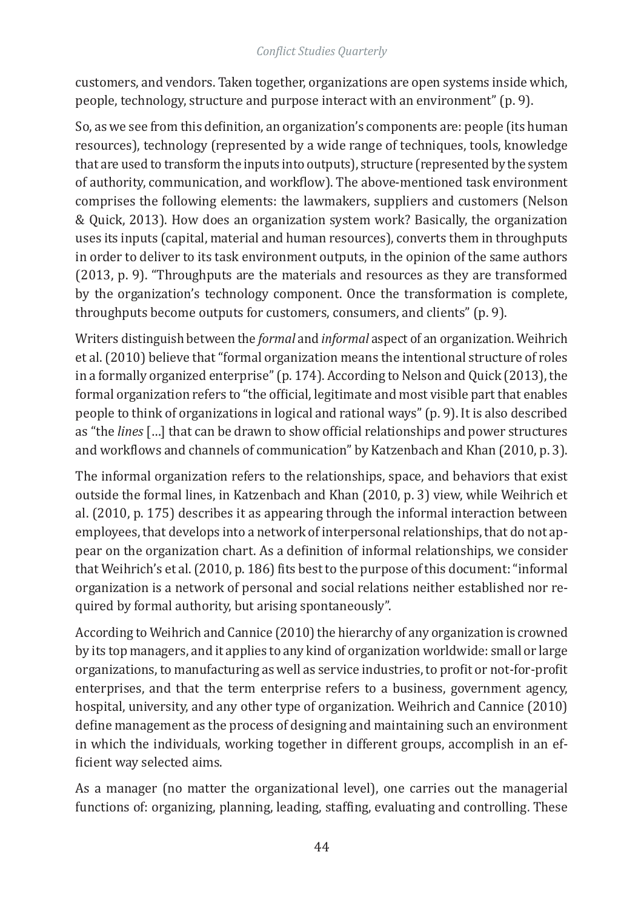customers, and vendors. Taken together, organizations are open systems inside which, people, technology, structure and purpose interact with an environment" (p. 9).

So, as we see from this definition, an organization's components are: people (its human resources), technology (represented by a wide range of techniques, tools, knowledge that are used to transform the inputs into outputs), structure (represented by the system of authority, communication, and workflow). The above-mentioned task environment comprises the following elements: the lawmakers, suppliers and customers (Nelson & Quick, 2013). How does an organization system work? Basically, the organization uses its inputs (capital, material and human resources), converts them in throughputs in order to deliver to its task environment outputs, in the opinion of the same authors (2013, p. 9). "Throughputs are the materials and resources as they are transformed by the organization's technology component. Once the transformation is complete, throughputs become outputs for customers, consumers, and clients" (p. 9).

Writers distinguish between the *formal* and *informal* aspect of an organization. Weihrich et al. (2010) believe that "formal organization means the intentional structure of roles in a formally organized enterprise" (p. 174). According to Nelson and Quick (2013), the formal organization refers to "the official, legitimate and most visible part that enables people to think of organizations in logical and rational ways" (p. 9). It is also described as "the *lines* […] that can be drawn to show official relationships and power structures and workflows and channels of communication" by Katzenbach and Khan (2010, p. 3).

The informal organization refers to the relationships, space, and behaviors that exist outside the formal lines, in Katzenbach and Khan (2010, p. 3) view, while Weihrich et al. (2010, p. 175) describes it as appearing through the informal interaction between employees, that develops into a network of interpersonal relationships, that do not appear on the organization chart. As a definition of informal relationships, we consider that Weihrich's et al. (2010, p. 186) fits best to the purpose of this document: "informal organization is a network of personal and social relations neither established nor required by formal authority, but arising spontaneously".

According to Weihrich and Cannice (2010) the hierarchy of any organization is crowned by its top managers, and it applies to any kind of organization worldwide: small or large organizations, to manufacturing as well as service industries, to profit or not-for-profit enterprises, and that the term enterprise refers to a business, government agency, hospital, university, and any other type of organization. Weihrich and Cannice (2010) define management as the process of designing and maintaining such an environment in which the individuals, working together in different groups, accomplish in an efficient way selected aims.

As a manager (no matter the organizational level), one carries out the managerial functions of: organizing, planning, leading, staffing, evaluating and controlling. These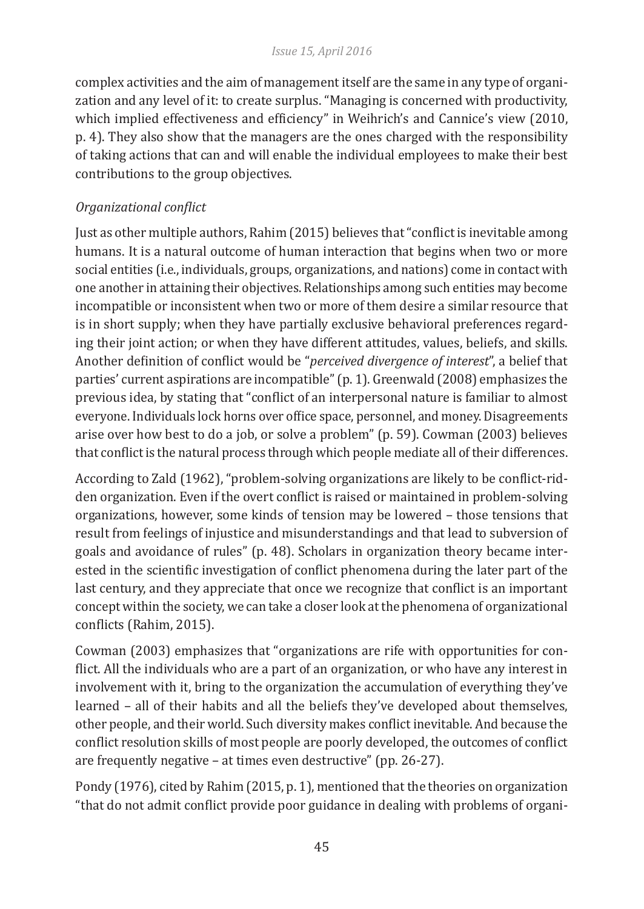complex activities and the aim of management itself are the same in any type of organization and any level of it: to create surplus. "Managing is concerned with productivity, which implied effectiveness and efficiency" in Weihrich's and Cannice's view (2010, p. 4). They also show that the managers are the ones charged with the responsibility of taking actions that can and will enable the individual employees to make their best contributions to the group objectives.

# *Organizational conflict*

Just as other multiple authors, Rahim (2015) believes that "conflict is inevitable among humans. It is a natural outcome of human interaction that begins when two or more social entities (i.e., individuals, groups, organizations, and nations) come in contact with one another in attaining their objectives. Relationships among such entities may become incompatible or inconsistent when two or more of them desire a similar resource that is in short supply; when they have partially exclusive behavioral preferences regarding their joint action; or when they have different attitudes, values, beliefs, and skills. Another definition of conflict would be "*perceived divergence of interest*", a belief that parties' current aspirations are incompatible" (p. 1). Greenwald (2008) emphasizes the previous idea, by stating that "conflict of an interpersonal nature is familiar to almost everyone. Individuals lock horns over office space, personnel, and money. Disagreements arise over how best to do a job, or solve a problem" (p. 59). Cowman (2003) believes that conflict is the natural process through which people mediate all of their differences.

According to Zald (1962), "problem-solving organizations are likely to be conflict-ridden organization. Even if the overt conflict is raised or maintained in problem-solving organizations, however, some kinds of tension may be lowered – those tensions that result from feelings of injustice and misunderstandings and that lead to subversion of goals and avoidance of rules" (p. 48). Scholars in organization theory became interested in the scientific investigation of conflict phenomena during the later part of the last century, and they appreciate that once we recognize that conflict is an important concept within the society, we can take a closer look at the phenomena of organizational conflicts (Rahim, 2015).

Cowman (2003) emphasizes that "organizations are rife with opportunities for conflict. All the individuals who are a part of an organization, or who have any interest in involvement with it, bring to the organization the accumulation of everything they've learned – all of their habits and all the beliefs they've developed about themselves, other people, and their world. Such diversity makes conflict inevitable. And because the conflict resolution skills of most people are poorly developed, the outcomes of conflict are frequently negative – at times even destructive" (pp. 26-27).

Pondy (1976), cited by Rahim (2015, p. 1), mentioned that the theories on organization "that do not admit conflict provide poor guidance in dealing with problems of organi-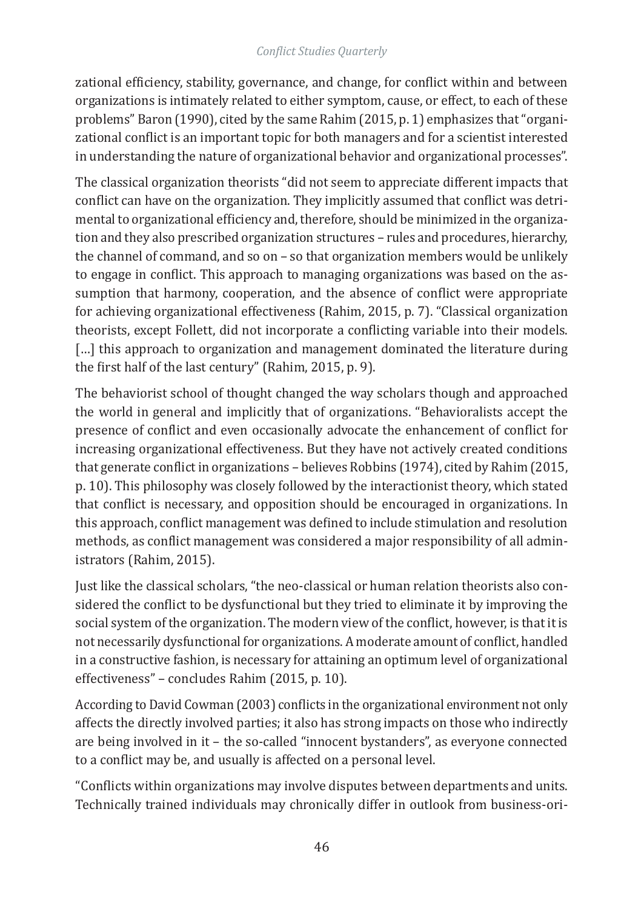zational efficiency, stability, governance, and change, for conflict within and between organizations is intimately related to either symptom, cause, or effect, to each of these problems" Baron (1990), cited by the same Rahim (2015, p. 1) emphasizes that "organizational conflict is an important topic for both managers and for a scientist interested in understanding the nature of organizational behavior and organizational processes".

The classical organization theorists "did not seem to appreciate different impacts that conflict can have on the organization. They implicitly assumed that conflict was detrimental to organizational efficiency and, therefore, should be minimized in the organization and they also prescribed organization structures – rules and procedures, hierarchy, the channel of command, and so on – so that organization members would be unlikely to engage in conflict. This approach to managing organizations was based on the assumption that harmony, cooperation, and the absence of conflict were appropriate for achieving organizational effectiveness (Rahim, 2015, p. 7). "Classical organization theorists, except Follett, did not incorporate a conflicting variable into their models. [...] this approach to organization and management dominated the literature during the first half of the last century" (Rahim, 2015, p. 9).

The behaviorist school of thought changed the way scholars though and approached the world in general and implicitly that of organizations. "Behavioralists accept the presence of conflict and even occasionally advocate the enhancement of conflict for increasing organizational effectiveness. But they have not actively created conditions that generate conflict in organizations – believes Robbins (1974), cited by Rahim (2015, p. 10). This philosophy was closely followed by the interactionist theory, which stated that conflict is necessary, and opposition should be encouraged in organizations. In this approach, conflict management was defined to include stimulation and resolution methods, as conflict management was considered a major responsibility of all administrators (Rahim, 2015).

Just like the classical scholars, "the neo-classical or human relation theorists also considered the conflict to be dysfunctional but they tried to eliminate it by improving the social system of the organization. The modern view of the conflict, however, is that it is not necessarily dysfunctional for organizations. A moderate amount of conflict, handled in a constructive fashion, is necessary for attaining an optimum level of organizational effectiveness" – concludes Rahim (2015, p. 10).

According to David Cowman (2003) conflicts in the organizational environment not only affects the directly involved parties; it also has strong impacts on those who indirectly are being involved in it – the so-called "innocent bystanders", as everyone connected to a conflict may be, and usually is affected on a personal level.

"Conflicts within organizations may involve disputes between departments and units. Technically trained individuals may chronically differ in outlook from business-ori-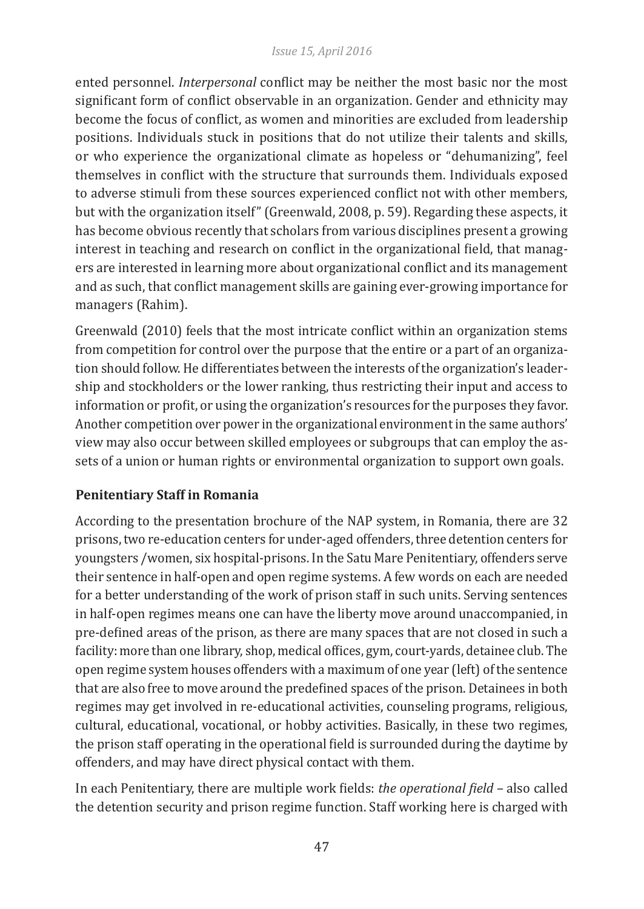#### *Issue 15, April 2016*

ented personnel. *Interpersonal* conflict may be neither the most basic nor the most significant form of conflict observable in an organization. Gender and ethnicity may become the focus of conflict, as women and minorities are excluded from leadership positions. Individuals stuck in positions that do not utilize their talents and skills, or who experience the organizational climate as hopeless or "dehumanizing", feel themselves in conflict with the structure that surrounds them. Individuals exposed to adverse stimuli from these sources experienced conflict not with other members, but with the organization itself" (Greenwald, 2008, p. 59). Regarding these aspects, it has become obvious recently that scholars from various disciplines present a growing interest in teaching and research on conflict in the organizational field, that managers are interested in learning more about organizational conflict and its management and as such, that conflict management skills are gaining ever-growing importance for managers (Rahim).

Greenwald (2010) feels that the most intricate conflict within an organization stems from competition for control over the purpose that the entire or a part of an organization should follow. He differentiates between the interests of the organization's leadership and stockholders or the lower ranking, thus restricting their input and access to information or profit, or using the organization's resources for the purposes they favor. Another competition over power in the organizational environment in the same authors' view may also occur between skilled employees or subgroups that can employ the assets of a union or human rights or environmental organization to support own goals.

# **Penitentiary Staff in Romania**

According to the presentation brochure of the NAP system, in Romania, there are 32 prisons, two re-education centers for under-aged offenders, three detention centers for youngsters /women, six hospital-prisons. In the Satu Mare Penitentiary, offenders serve their sentence in half-open and open regime systems. A few words on each are needed for a better understanding of the work of prison staff in such units. Serving sentences in half-open regimes means one can have the liberty move around unaccompanied, in pre-defined areas of the prison, as there are many spaces that are not closed in such a facility: more than one library, shop, medical offices, gym, court-yards, detainee club. The open regime system houses offenders with a maximum of one year (left) of the sentence that are also free to move around the predefined spaces of the prison. Detainees in both regimes may get involved in re-educational activities, counseling programs, religious, cultural, educational, vocational, or hobby activities. Basically, in these two regimes, the prison staff operating in the operational field is surrounded during the daytime by offenders, and may have direct physical contact with them.

In each Penitentiary, there are multiple work fields: *the operational field* – also called the detention security and prison regime function. Staff working here is charged with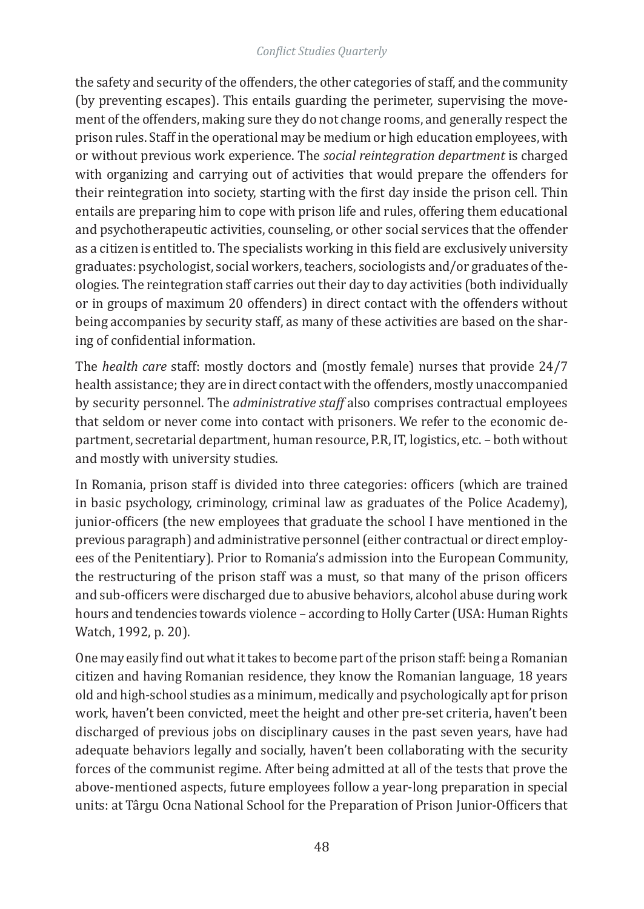the safety and security of the offenders, the other categories of staff, and the community (by preventing escapes). This entails guarding the perimeter, supervising the movement of the offenders, making sure they do not change rooms, and generally respect the prison rules. Staff in the operational may be medium or high education employees, with or without previous work experience. The *social reintegration department* is charged with organizing and carrying out of activities that would prepare the offenders for their reintegration into society, starting with the first day inside the prison cell. Thin entails are preparing him to cope with prison life and rules, offering them educational and psychotherapeutic activities, counseling, or other social services that the offender as a citizen is entitled to. The specialists working in this field are exclusively university graduates: psychologist, social workers, teachers, sociologists and/or graduates of theologies. The reintegration staff carries out their day to day activities (both individually or in groups of maximum 20 offenders) in direct contact with the offenders without being accompanies by security staff, as many of these activities are based on the sharing of confidential information.

The *health care* staff: mostly doctors and (mostly female) nurses that provide 24/7 health assistance; they are in direct contact with the offenders, mostly unaccompanied by security personnel. The *administrative staff* also comprises contractual employees that seldom or never come into contact with prisoners. We refer to the economic department, secretarial department, human resource, P.R, IT, logistics, etc. – both without and mostly with university studies.

In Romania, prison staff is divided into three categories: officers (which are trained in basic psychology, criminology, criminal law as graduates of the Police Academy), junior-officers (the new employees that graduate the school I have mentioned in the previous paragraph) and administrative personnel (either contractual or direct employees of the Penitentiary). Prior to Romania's admission into the European Community, the restructuring of the prison staff was a must, so that many of the prison officers and sub-officers were discharged due to abusive behaviors, alcohol abuse during work hours and tendencies towards violence – according to Holly Carter (USA: Human Rights Watch, 1992, p. 20).

One may easily find out what it takes to become part of the prison staff: being a Romanian citizen and having Romanian residence, they know the Romanian language, 18 years old and high-school studies as a minimum, medically and psychologically apt for prison work, haven't been convicted, meet the height and other pre-set criteria, haven't been discharged of previous jobs on disciplinary causes in the past seven years, have had adequate behaviors legally and socially, haven't been collaborating with the security forces of the communist regime. After being admitted at all of the tests that prove the above-mentioned aspects, future employees follow a year-long preparation in special units: at Târgu Ocna National School for the Preparation of Prison Junior-Officers that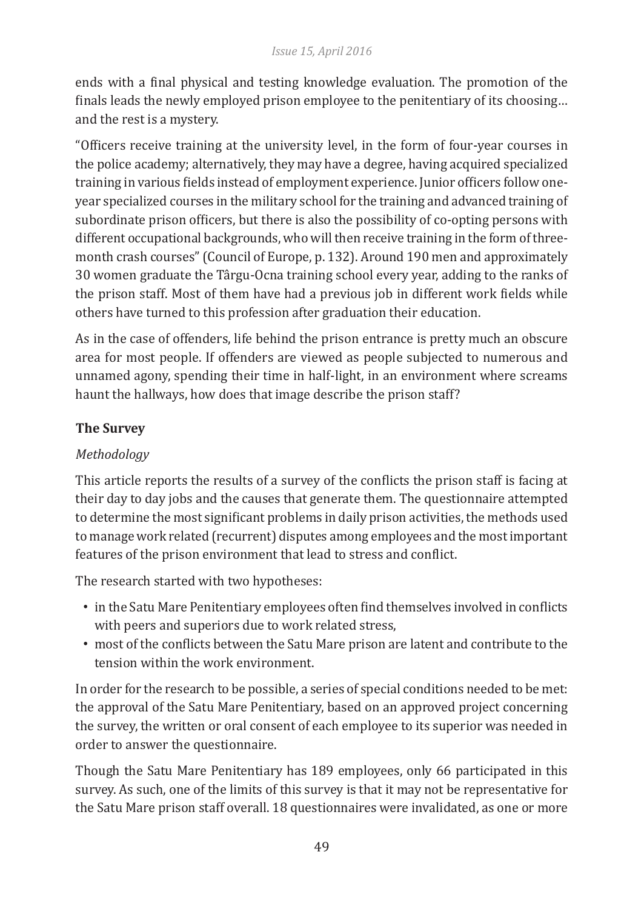ends with a final physical and testing knowledge evaluation. The promotion of the finals leads the newly employed prison employee to the penitentiary of its choosing… and the rest is a mystery.

"Officers receive training at the university level, in the form of four-year courses in the police academy; alternatively, they may have a degree, having acquired specialized training in various fields instead of employment experience. Junior officers follow oneyear specialized courses in the military school for the training and advanced training of subordinate prison officers, but there is also the possibility of co-opting persons with different occupational backgrounds, who will then receive training in the form of threemonth crash courses" (Council of Europe, p. 132). Around 190 men and approximately 30 women graduate the Târgu-Ocna training school every year, adding to the ranks of the prison staff. Most of them have had a previous job in different work fields while others have turned to this profession after graduation their education.

As in the case of offenders, life behind the prison entrance is pretty much an obscure area for most people. If offenders are viewed as people subjected to numerous and unnamed agony, spending their time in half-light, in an environment where screams haunt the hallways, how does that image describe the prison staff?

# **The Survey**

# *Methodology*

This article reports the results of a survey of the conflicts the prison staff is facing at their day to day jobs and the causes that generate them. The questionnaire attempted to determine the most significant problems in daily prison activities, the methods used to manage work related (recurrent) disputes among employees and the most important features of the prison environment that lead to stress and conflict.

The research started with two hypotheses:

- in the Satu Mare Penitentiary employees often find themselves involved in conflicts with peers and superiors due to work related stress,
- most of the conflicts between the Satu Mare prison are latent and contribute to the tension within the work environment.

In order for the research to be possible, a series of special conditions needed to be met: the approval of the Satu Mare Penitentiary, based on an approved project concerning the survey, the written or oral consent of each employee to its superior was needed in order to answer the questionnaire.

Though the Satu Mare Penitentiary has 189 employees, only 66 participated in this survey. As such, one of the limits of this survey is that it may not be representative for the Satu Mare prison staff overall. 18 questionnaires were invalidated, as one or more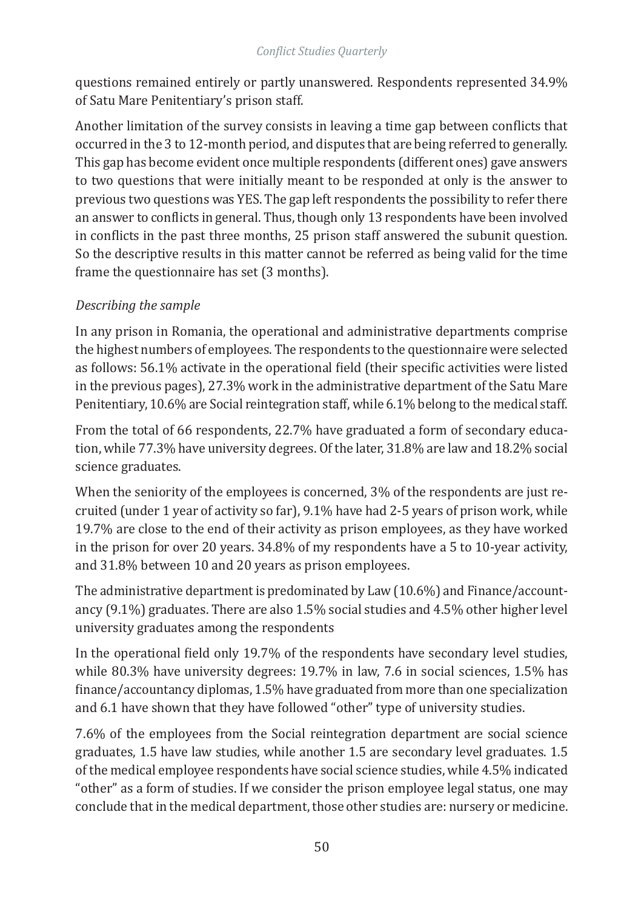questions remained entirely or partly unanswered. Respondents represented 34.9% of Satu Mare Penitentiary's prison staff.

Another limitation of the survey consists in leaving a time gap between conflicts that occurred in the 3 to 12-month period, and disputes that are being referred to generally. This gap has become evident once multiple respondents (different ones) gave answers to two questions that were initially meant to be responded at only is the answer to previous two questions was YES. The gap left respondents the possibility to refer there an answer to conflicts in general. Thus, though only 13 respondents have been involved in conflicts in the past three months, 25 prison staff answered the subunit question. So the descriptive results in this matter cannot be referred as being valid for the time frame the questionnaire has set (3 months).

# *Describing the sample*

In any prison in Romania, the operational and administrative departments comprise the highest numbers of employees. The respondents to the questionnaire were selected as follows: 56.1% activate in the operational field (their specific activities were listed in the previous pages), 27.3% work in the administrative department of the Satu Mare Penitentiary, 10.6% are Social reintegration staff, while 6.1% belong to the medical staff.

From the total of 66 respondents, 22.7% have graduated a form of secondary education, while 77.3% have university degrees. Of the later, 31.8% are law and 18.2% social science graduates.

When the seniority of the employees is concerned, 3% of the respondents are just recruited (under 1 year of activity so far), 9.1% have had 2-5 years of prison work, while 19.7% are close to the end of their activity as prison employees, as they have worked in the prison for over 20 years. 34.8% of my respondents have a 5 to 10-year activity, and 31.8% between 10 and 20 years as prison employees.

The administrative department is predominated by Law (10.6%) and Finance/accountancy (9.1%) graduates. There are also 1.5% social studies and 4.5% other higher level university graduates among the respondents

In the operational field only 19.7% of the respondents have secondary level studies, while 80.3% have university degrees: 19.7% in law, 7.6 in social sciences, 1.5% has finance/accountancy diplomas, 1.5% have graduated from more than one specialization and 6.1 have shown that they have followed "other" type of university studies.

7.6% of the employees from the Social reintegration department are social science graduates, 1.5 have law studies, while another 1.5 are secondary level graduates. 1.5 of the medical employee respondents have social science studies, while 4.5% indicated "other" as a form of studies. If we consider the prison employee legal status, one may conclude that in the medical department, those other studies are: nursery or medicine.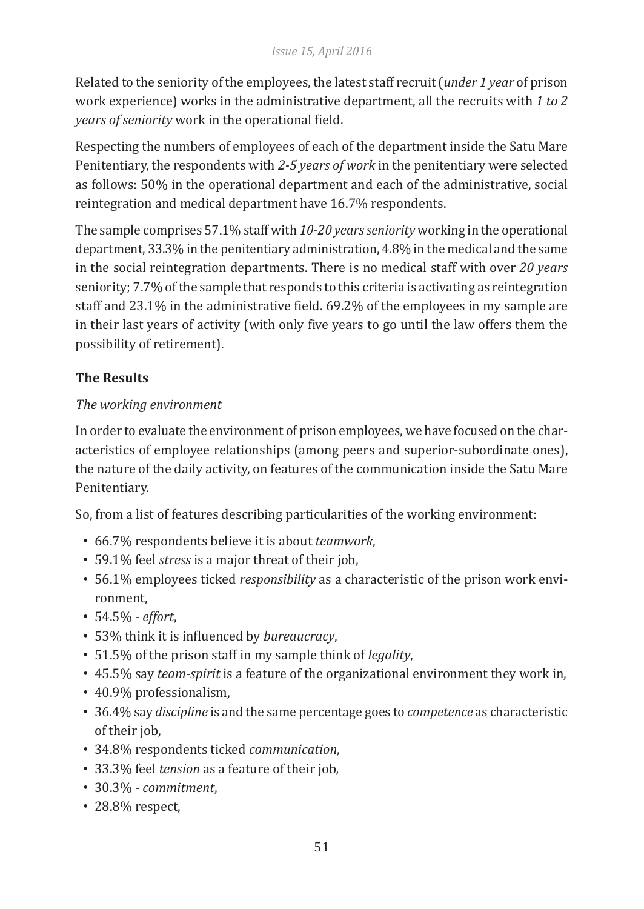Related to the seniority of the employees, the latest staff recruit (*under 1 year* of prison work experience) works in the administrative department, all the recruits with *1 to 2 years of seniority* work in the operational field.

Respecting the numbers of employees of each of the department inside the Satu Mare Penitentiary, the respondents with *2-5 years of work* in the penitentiary were selected as follows: 50% in the operational department and each of the administrative, social reintegration and medical department have 16.7% respondents.

The sample comprises 57.1% staff with *10-20 years seniority* working in the operational department, 33.3% in the penitentiary administration, 4.8% in the medical and the same in the social reintegration departments. There is no medical staff with over *20 years* seniority; 7.7% of the sample that responds to this criteria is activating as reintegration staff and 23.1% in the administrative field. 69.2% of the employees in my sample are in their last years of activity (with only five years to go until the law offers them the possibility of retirement).

# **The Results**

# *The working environment*

In order to evaluate the environment of prison employees, we have focused on the characteristics of employee relationships (among peers and superior-subordinate ones), the nature of the daily activity, on features of the communication inside the Satu Mare Penitentiary.

So, from a list of features describing particularities of the working environment:

- 66.7% respondents believe it is about *teamwork*,
- 59.1% feel *stress* is a major threat of their job,
- 56.1% employees ticked *responsibility* as a characteristic of the prison work environment,
- 54.5% *effort*,
- 53% think it is influenced by *bureaucracy*,
- 51.5% of the prison staff in my sample think of *legality*,
- 45.5% say *team-spirit* is a feature of the organizational environment they work in,
- 40.9% professionalism,
- 36.4% say *discipline* is and the same percentage goes to *competence* as characteristic of their job,
- 34.8% respondents ticked *communication*,
- 33.3% feel *tension* as a feature of their job*,*
- 30.3% *commitment*,
- 28.8% respect,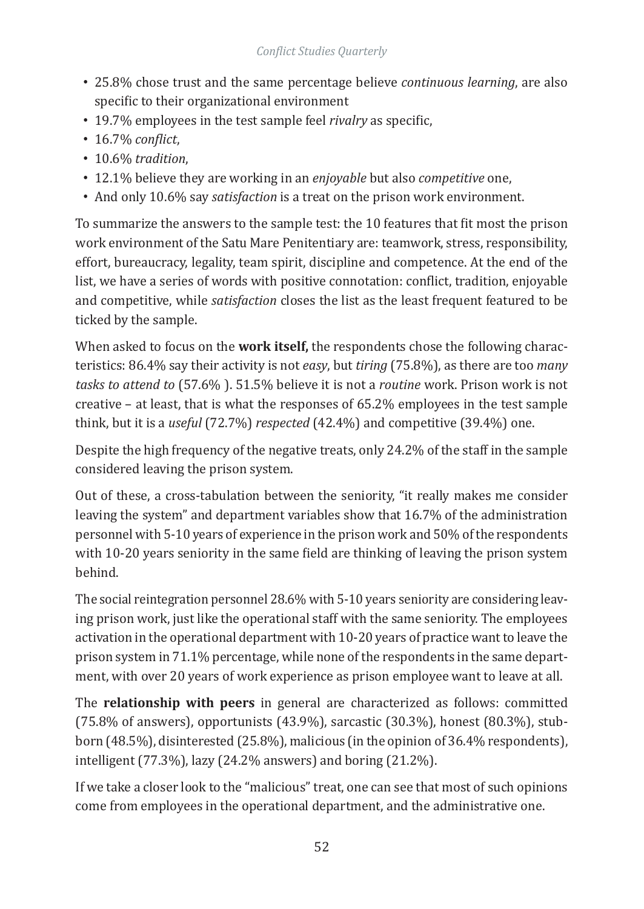- 25.8% chose trust and the same percentage believe *continuous learning*, are also specific to their organizational environment
- 19.7% employees in the test sample feel *rivalry* as specific,
- 16.7% *conflict*,
- 10.6% *tradition*,
- 12.1% believe they are working in an *enjoyable* but also *competitive* one,
- And only 10.6% say *satisfaction* is a treat on the prison work environment.

To summarize the answers to the sample test: the 10 features that fit most the prison work environment of the Satu Mare Penitentiary are: teamwork, stress, responsibility, effort, bureaucracy, legality, team spirit, discipline and competence. At the end of the list, we have a series of words with positive connotation: conflict, tradition, enjoyable and competitive, while *satisfaction* closes the list as the least frequent featured to be ticked by the sample.

When asked to focus on the **work itself,** the respondents chose the following characteristics: 86.4% say their activity is not *easy*, but *tiring* (75.8%), as there are too *many tasks to attend to* (57.6% ). 51.5% believe it is not a *routine* work. Prison work is not creative – at least, that is what the responses of 65.2% employees in the test sample think, but it is a *useful* (72.7%) *respected* (42.4%) and competitive (39.4%) one.

Despite the high frequency of the negative treats, only 24.2% of the staff in the sample considered leaving the prison system.

Out of these, a cross-tabulation between the seniority, "it really makes me consider leaving the system" and department variables show that 16.7% of the administration personnel with 5-10 years of experience in the prison work and 50% of the respondents with 10-20 years seniority in the same field are thinking of leaving the prison system behind.

The social reintegration personnel 28.6% with 5-10 years seniority are considering leaving prison work, just like the operational staff with the same seniority. The employees activation in the operational department with 10-20 years of practice want to leave the prison system in 71.1% percentage, while none of the respondents in the same department, with over 20 years of work experience as prison employee want to leave at all.

The **relationship with peers** in general are characterized as follows: committed (75.8% of answers), opportunists (43.9%), sarcastic (30.3%), honest (80.3%), stubborn (48.5%), disinterested (25.8%), malicious (in the opinion of 36.4% respondents), intelligent (77.3%), lazy (24.2% answers) and boring (21.2%).

If we take a closer look to the "malicious" treat, one can see that most of such opinions come from employees in the operational department, and the administrative one.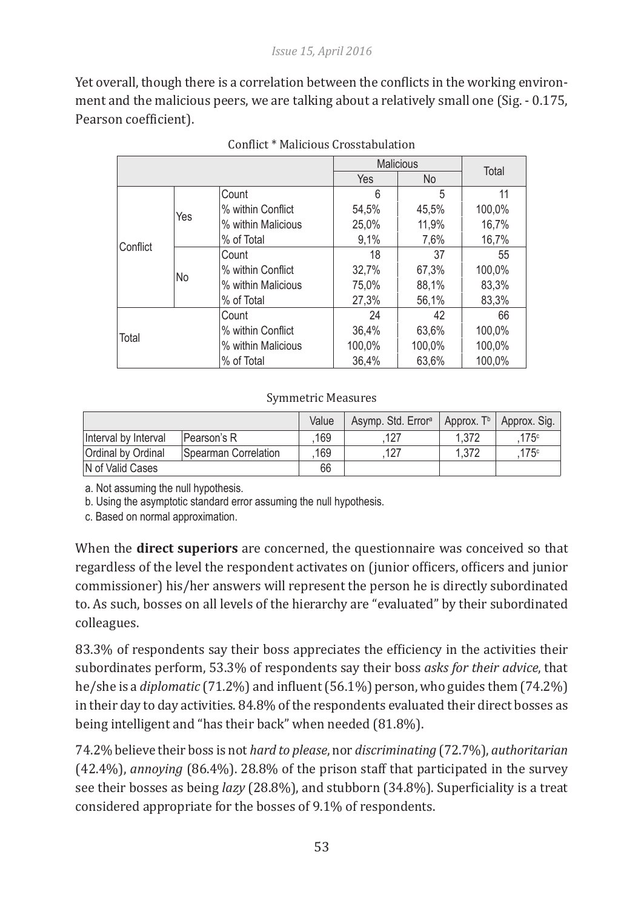Yet overall, though there is a correlation between the conflicts in the working environment and the malicious peers, we are talking about a relatively small one (Sig. - 0.175, Pearson coefficient).

|          |     | <b>Malicious</b>   |            | Total     |        |
|----------|-----|--------------------|------------|-----------|--------|
|          |     |                    | <b>Yes</b> | <b>No</b> |        |
| Conflict |     | Count              | 6          | 5         | 11     |
|          | Yes | % within Conflict  | 54,5%      | 45,5%     | 100,0% |
|          |     | % within Malicious | 25.0%      | 11.9%     | 16.7%  |
|          |     | % of Total         | 9.1%       | 7,6%      | 16,7%  |
|          |     | Count              | 18         | 37        | 55     |
|          |     | % within Conflict  | 32,7%      | 67.3%     | 100,0% |
|          | No  | % within Malicious | 75,0%      | 88,1%     | 83,3%  |
|          |     | % of Total         | 27.3%      | 56,1%     | 83,3%  |
| Total    |     | Count              | 24         | 42        | 66     |
|          |     | % within Conflict  | 36.4%      | 63.6%     | 100,0% |
|          |     | % within Malicious | 100.0%     | 100,0%    | 100,0% |
|          |     | % of Total         | 36.4%      | 63.6%     | 100.0% |

#### Conflict \* Malicious Crosstabulation

#### Symmetric Measures

|                      |                      | Value | Asymp. Std. Error <sup>a</sup> | Approx. T <sup>b</sup> | Approx. Sig.  |
|----------------------|----------------------|-------|--------------------------------|------------------------|---------------|
| Interval by Interval | Pearson's R          | 169   | 127                            | 1.372                  | $175^{\circ}$ |
| Ordinal by Ordinal   | Spearman Correlation | 169   | 127                            | 1.372                  | 175c          |
| N of Valid Cases     |                      | 66    |                                |                        |               |

a. Not assuming the null hypothesis.

b. Using the asymptotic standard error assuming the null hypothesis.

c. Based on normal approximation.

When the **direct superiors** are concerned, the questionnaire was conceived so that regardless of the level the respondent activates on (junior officers, officers and junior commissioner) his/her answers will represent the person he is directly subordinated to. As such, bosses on all levels of the hierarchy are "evaluated" by their subordinated colleagues.

83.3% of respondents say their boss appreciates the efficiency in the activities their subordinates perform, 53.3% of respondents say their boss *asks for their advice*, that he/she is a *diplomatic* (71.2%) and influent (56.1%) person, who guides them (74.2%) in their day to day activities. 84.8% of the respondents evaluated their direct bosses as being intelligent and "has their back" when needed (81.8%).

74.2% believe their boss is not *hard to please*, nor *discriminating* (72.7%), *authoritarian* (42.4%), *annoying* (86.4%). 28.8% of the prison staff that participated in the survey see their bosses as being *lazy* (28.8%), and stubborn (34.8%). Superficiality is a treat considered appropriate for the bosses of 9.1% of respondents.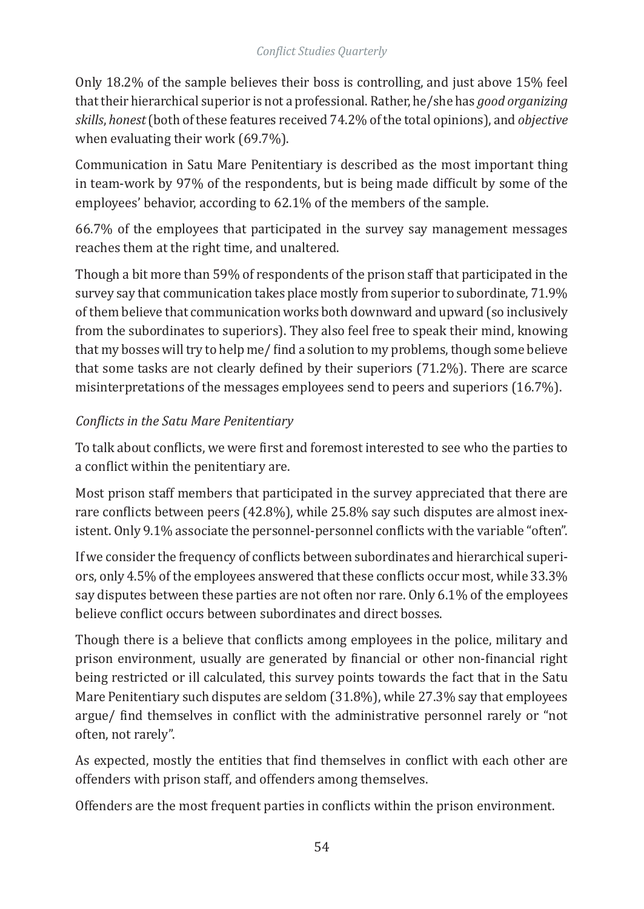Only 18.2% of the sample believes their boss is controlling, and just above 15% feel that their hierarchical superior is not a professional. Rather, he/she has *good organizing skills*, *honest* (both of these features received 74.2% of the total opinions), and *objective*  when evaluating their work (69.7%).

Communication in Satu Mare Penitentiary is described as the most important thing in team-work by 97% of the respondents, but is being made difficult by some of the employees' behavior, according to 62.1% of the members of the sample.

66.7% of the employees that participated in the survey say management messages reaches them at the right time, and unaltered.

Though a bit more than 59% of respondents of the prison staff that participated in the survey say that communication takes place mostly from superior to subordinate, 71.9% of them believe that communication works both downward and upward (so inclusively from the subordinates to superiors). They also feel free to speak their mind, knowing that my bosses will try to help me/ find a solution to my problems, though some believe that some tasks are not clearly defined by their superiors (71.2%). There are scarce misinterpretations of the messages employees send to peers and superiors (16.7%).

# *Conflicts in the Satu Mare Penitentiary*

To talk about conflicts, we were first and foremost interested to see who the parties to a conflict within the penitentiary are.

Most prison staff members that participated in the survey appreciated that there are rare conflicts between peers (42.8%), while 25.8% say such disputes are almost inexistent. Only 9.1% associate the personnel-personnel conflicts with the variable "often".

If we consider the frequency of conflicts between subordinates and hierarchical superiors, only 4.5% of the employees answered that these conflicts occur most, while 33.3% say disputes between these parties are not often nor rare. Only 6.1% of the employees believe conflict occurs between subordinates and direct bosses.

Though there is a believe that conflicts among employees in the police, military and prison environment, usually are generated by financial or other non-financial right being restricted or ill calculated, this survey points towards the fact that in the Satu Mare Penitentiary such disputes are seldom (31.8%), while 27.3% say that employees argue/ find themselves in conflict with the administrative personnel rarely or "not often, not rarely".

As expected, mostly the entities that find themselves in conflict with each other are offenders with prison staff, and offenders among themselves.

Offenders are the most frequent parties in conflicts within the prison environment.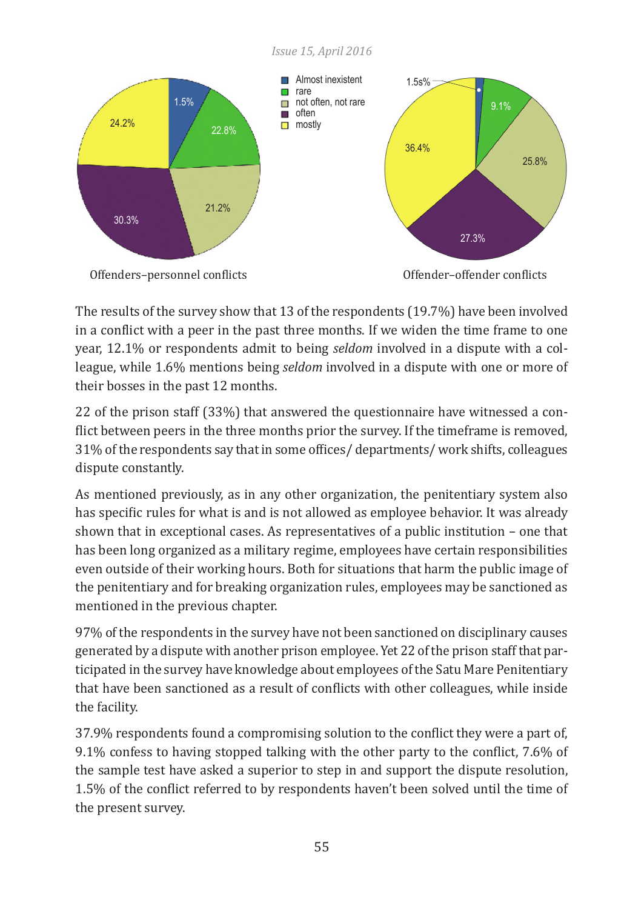



The results of the survey show that 13 of the respondents (19.7%) have been involved in a conflict with a peer in the past three months. If we widen the time frame to one year, 12.1% or respondents admit to being *seldom* involved in a dispute with a colleague, while 1.6% mentions being *seldom* involved in a dispute with one or more of their bosses in the past 12 months.

22 of the prison staff (33%) that answered the questionnaire have witnessed a conflict between peers in the three months prior the survey. If the timeframe is removed, 31% of the respondents say that in some offices/ departments/ work shifts, colleagues dispute constantly.

As mentioned previously, as in any other organization, the penitentiary system also has specific rules for what is and is not allowed as employee behavior. It was already shown that in exceptional cases. As representatives of a public institution – one that has been long organized as a military regime, employees have certain responsibilities even outside of their working hours. Both for situations that harm the public image of the penitentiary and for breaking organization rules, employees may be sanctioned as mentioned in the previous chapter.

97% of the respondents in the survey have not been sanctioned on disciplinary causes generated by a dispute with another prison employee. Yet 22 of the prison staff that participated in the survey have knowledge about employees of the Satu Mare Penitentiary that have been sanctioned as a result of conflicts with other colleagues, while inside the facility.

37.9% respondents found a compromising solution to the conflict they were a part of, 9.1% confess to having stopped talking with the other party to the conflict, 7.6% of the sample test have asked a superior to step in and support the dispute resolution, 1.5% of the conflict referred to by respondents haven't been solved until the time of the present survey.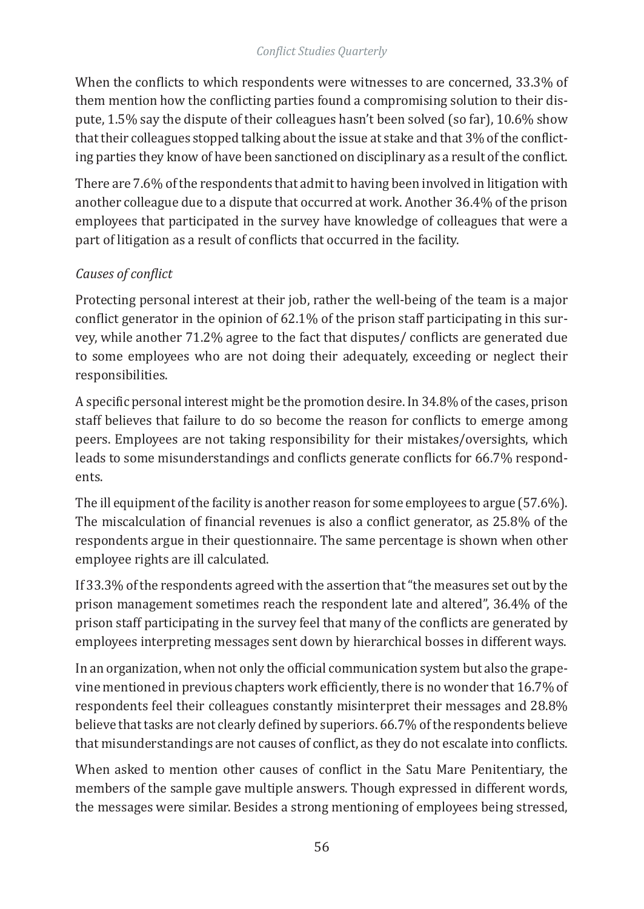When the conflicts to which respondents were witnesses to are concerned, 33.3% of them mention how the conflicting parties found a compromising solution to their dispute, 1.5% say the dispute of their colleagues hasn't been solved (so far), 10.6% show that their colleagues stopped talking about the issue at stake and that 3% of the conflicting parties they know of have been sanctioned on disciplinary as a result of the conflict.

There are 7.6% of the respondents that admit to having been involved in litigation with another colleague due to a dispute that occurred at work. Another 36.4% of the prison employees that participated in the survey have knowledge of colleagues that were a part of litigation as a result of conflicts that occurred in the facility.

# *Causes of conflict*

Protecting personal interest at their job, rather the well-being of the team is a major conflict generator in the opinion of 62.1% of the prison staff participating in this survey, while another 71.2% agree to the fact that disputes/ conflicts are generated due to some employees who are not doing their adequately, exceeding or neglect their responsibilities.

A specific personal interest might be the promotion desire. In 34.8% of the cases, prison staff believes that failure to do so become the reason for conflicts to emerge among peers. Employees are not taking responsibility for their mistakes/oversights, which leads to some misunderstandings and conflicts generate conflicts for 66.7% respondents.

The ill equipment of the facility is another reason for some employees to argue (57.6%). The miscalculation of financial revenues is also a conflict generator, as 25.8% of the respondents argue in their questionnaire. The same percentage is shown when other employee rights are ill calculated.

If 33.3% of the respondents agreed with the assertion that "the measures set out by the prison management sometimes reach the respondent late and altered", 36.4% of the prison staff participating in the survey feel that many of the conflicts are generated by employees interpreting messages sent down by hierarchical bosses in different ways.

In an organization, when not only the official communication system but also the grapevine mentioned in previous chapters work efficiently, there is no wonder that 16.7% of respondents feel their colleagues constantly misinterpret their messages and 28.8% believe that tasks are not clearly defined by superiors. 66.7% of the respondents believe that misunderstandings are not causes of conflict, as they do not escalate into conflicts.

When asked to mention other causes of conflict in the Satu Mare Penitentiary, the members of the sample gave multiple answers. Though expressed in different words, the messages were similar. Besides a strong mentioning of employees being stressed,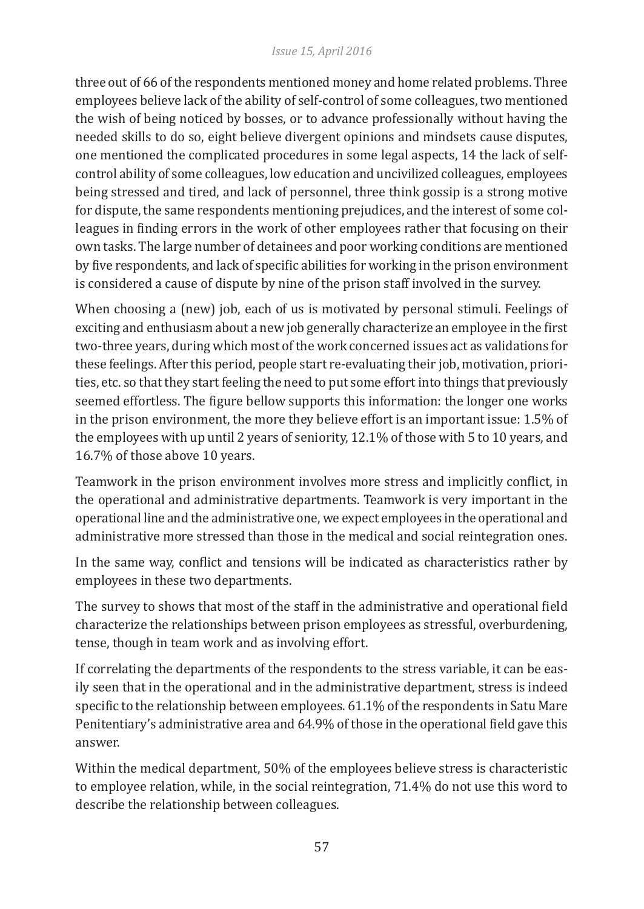#### *Issue 15, April 2016*

three out of 66 of the respondents mentioned money and home related problems. Three employees believe lack of the ability of self-control of some colleagues, two mentioned the wish of being noticed by bosses, or to advance professionally without having the needed skills to do so, eight believe divergent opinions and mindsets cause disputes, one mentioned the complicated procedures in some legal aspects, 14 the lack of selfcontrol ability of some colleagues, low education and uncivilized colleagues, employees being stressed and tired, and lack of personnel, three think gossip is a strong motive for dispute, the same respondents mentioning prejudices, and the interest of some colleagues in finding errors in the work of other employees rather that focusing on their own tasks. The large number of detainees and poor working conditions are mentioned by five respondents, and lack of specific abilities for working in the prison environment is considered a cause of dispute by nine of the prison staff involved in the survey.

When choosing a (new) job, each of us is motivated by personal stimuli. Feelings of exciting and enthusiasm about a new job generally characterize an employee in the first two-three years, during which most of the work concerned issues act as validations for these feelings. After this period, people start re-evaluating their job, motivation, priorities, etc. so that they start feeling the need to put some effort into things that previously seemed effortless. The figure bellow supports this information: the longer one works in the prison environment, the more they believe effort is an important issue: 1.5% of the employees with up until 2 years of seniority, 12.1% of those with 5 to 10 years, and 16.7% of those above 10 years.

Teamwork in the prison environment involves more stress and implicitly conflict, in the operational and administrative departments. Teamwork is very important in the operational line and the administrative one, we expect employees in the operational and administrative more stressed than those in the medical and social reintegration ones.

In the same way, conflict and tensions will be indicated as characteristics rather by employees in these two departments.

The survey to shows that most of the staff in the administrative and operational field characterize the relationships between prison employees as stressful, overburdening, tense, though in team work and as involving effort.

If correlating the departments of the respondents to the stress variable, it can be easily seen that in the operational and in the administrative department, stress is indeed specific to the relationship between employees. 61.1% of the respondents in Satu Mare Penitentiary's administrative area and 64.9% of those in the operational field gave this answer.

Within the medical department, 50% of the employees believe stress is characteristic to employee relation, while, in the social reintegration, 71.4% do not use this word to describe the relationship between colleagues.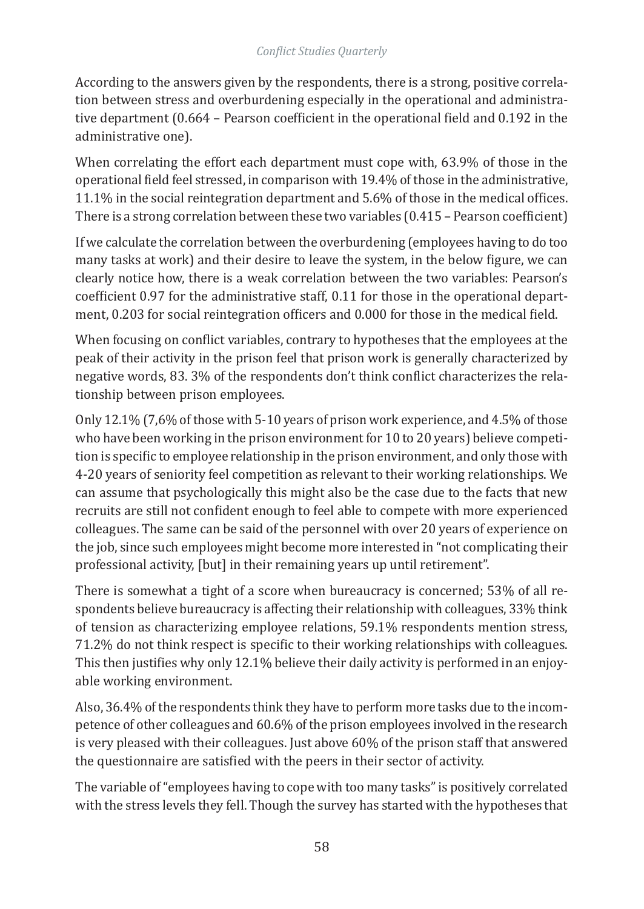According to the answers given by the respondents, there is a strong, positive correlation between stress and overburdening especially in the operational and administrative department (0.664 – Pearson coefficient in the operational field and 0.192 in the administrative one).

When correlating the effort each department must cope with, 63.9% of those in the operational field feel stressed, in comparison with 19.4% of those in the administrative, 11.1% in the social reintegration department and 5.6% of those in the medical offices. There is a strong correlation between these two variables (0.415 – Pearson coefficient)

If we calculate the correlation between the overburdening (employees having to do too many tasks at work) and their desire to leave the system, in the below figure, we can clearly notice how, there is a weak correlation between the two variables: Pearson's coefficient 0.97 for the administrative staff, 0.11 for those in the operational department, 0.203 for social reintegration officers and 0.000 for those in the medical field.

When focusing on conflict variables, contrary to hypotheses that the employees at the peak of their activity in the prison feel that prison work is generally characterized by negative words, 83. 3% of the respondents don't think conflict characterizes the relationship between prison employees.

Only 12.1% (7,6% of those with 5-10 years of prison work experience, and 4.5% of those who have been working in the prison environment for 10 to 20 years) believe competition is specific to employee relationship in the prison environment, and only those with 4-20 years of seniority feel competition as relevant to their working relationships. We can assume that psychologically this might also be the case due to the facts that new recruits are still not confident enough to feel able to compete with more experienced colleagues. The same can be said of the personnel with over 20 years of experience on the job, since such employees might become more interested in "not complicating their professional activity, [but] in their remaining years up until retirement".

There is somewhat a tight of a score when bureaucracy is concerned; 53% of all respondents believe bureaucracy is affecting their relationship with colleagues, 33% think of tension as characterizing employee relations, 59.1% respondents mention stress, 71.2% do not think respect is specific to their working relationships with colleagues. This then justifies why only 12.1% believe their daily activity is performed in an enjoyable working environment.

Also, 36.4% of the respondents think they have to perform more tasks due to the incompetence of other colleagues and 60.6% of the prison employees involved in the research is very pleased with their colleagues. Just above 60% of the prison staff that answered the questionnaire are satisfied with the peers in their sector of activity.

The variable of "employees having to cope with too many tasks" is positively correlated with the stress levels they fell. Though the survey has started with the hypotheses that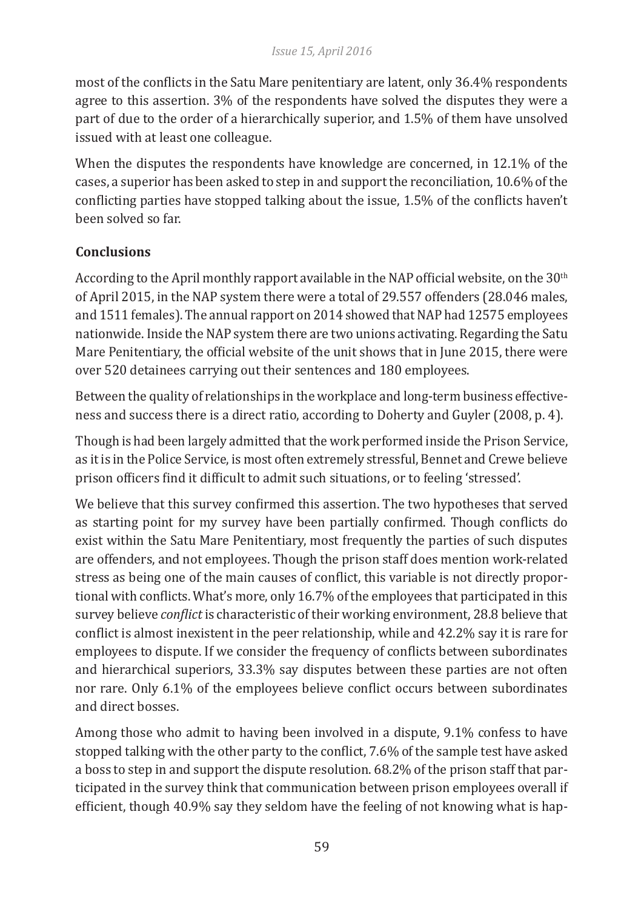most of the conflicts in the Satu Mare penitentiary are latent, only 36.4% respondents agree to this assertion. 3% of the respondents have solved the disputes they were a part of due to the order of a hierarchically superior, and 1.5% of them have unsolved issued with at least one colleague.

When the disputes the respondents have knowledge are concerned, in 12.1% of the cases, a superior has been asked to step in and support the reconciliation, 10.6% of the conflicting parties have stopped talking about the issue, 1.5% of the conflicts haven't been solved so far.

# **Conclusions**

According to the April monthly rapport available in the NAP official website, on the  $30<sup>th</sup>$ of April 2015, in the NAP system there were a total of 29.557 offenders (28.046 males, and 1511 females). The annual rapport on 2014 showed that NAP had 12575 employees nationwide. Inside the NAP system there are two unions activating. Regarding the Satu Mare Penitentiary, the official website of the unit shows that in June 2015, there were over 520 detainees carrying out their sentences and 180 employees.

Between the quality of relationships in the workplace and long-term business effectiveness and success there is a direct ratio, according to Doherty and Guyler (2008, p. 4).

Though is had been largely admitted that the work performed inside the Prison Service, as it is in the Police Service, is most often extremely stressful, Bennet and Crewe believe prison officers find it difficult to admit such situations, or to feeling 'stressed'.

We believe that this survey confirmed this assertion. The two hypotheses that served as starting point for my survey have been partially confirmed. Though conflicts do exist within the Satu Mare Penitentiary, most frequently the parties of such disputes are offenders, and not employees. Though the prison staff does mention work-related stress as being one of the main causes of conflict, this variable is not directly proportional with conflicts. What's more, only 16.7% of the employees that participated in this survey believe *conflict* is characteristic of their working environment, 28.8 believe that conflict is almost inexistent in the peer relationship, while and 42.2% say it is rare for employees to dispute. If we consider the frequency of conflicts between subordinates and hierarchical superiors, 33.3% say disputes between these parties are not often nor rare. Only 6.1% of the employees believe conflict occurs between subordinates and direct bosses.

Among those who admit to having been involved in a dispute, 9.1% confess to have stopped talking with the other party to the conflict, 7.6% of the sample test have asked a boss to step in and support the dispute resolution. 68.2% of the prison staff that participated in the survey think that communication between prison employees overall if efficient, though 40.9% say they seldom have the feeling of not knowing what is hap-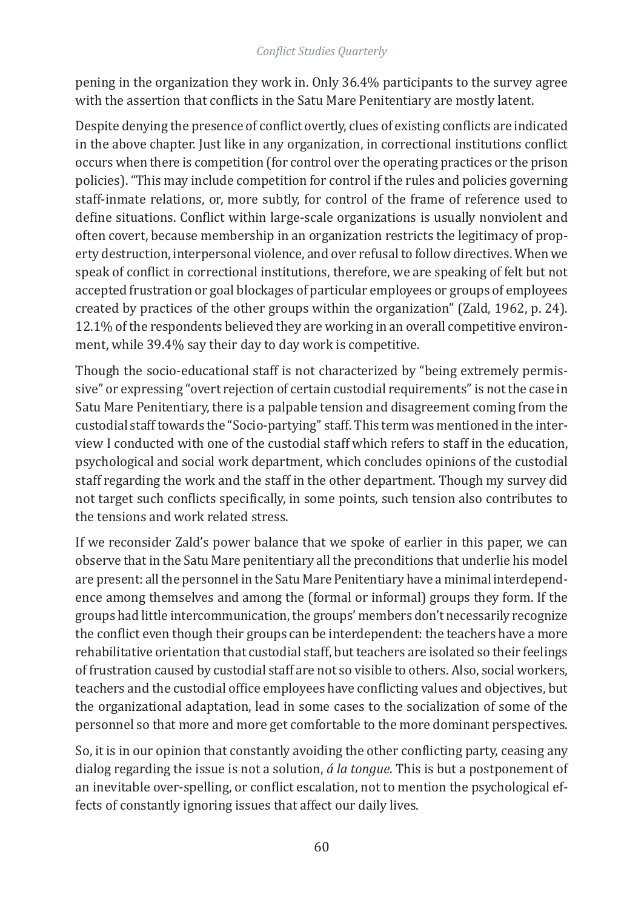pening in the organization they work in. Only 36.4% participants to the survey agree with the assertion that conflicts in the Satu Mare Penitentiary are mostly latent.

Despite denying the presence of conflict overtly, clues of existing conflicts are indicated in the above chapter. Just like in any organization, in correctional institutions conflict occurs when there is competition (for control over the operating practices or the prison policies). "This may include competition for control if the rules and policies governing staff-inmate relations, or, more subtly, for control of the frame of reference used to define situations. Conflict within large-scale organizations is usually nonviolent and often covert, because membership in an organization restricts the legitimacy of property destruction, interpersonal violence, and over refusal to follow directives. When we speak of conflict in correctional institutions, therefore, we are speaking of felt but not accepted frustration or goal blockages of particular employees or groups of employees created by practices of the other groups within the organization" (Zald, 1962, p. 24). 12.1% of the respondents believed they are working in an overall competitive environment, while 39.4% say their day to day work is competitive.

Though the socio-educational staff is not characterized by "being extremely permissive" or expressing "overt rejection of certain custodial requirements" is not the case in Satu Mare Penitentiary, there is a palpable tension and disagreement coming from the custodial staff towards the "Socio-partying" staff. This term was mentioned in the interview I conducted with one of the custodial staff which refers to staff in the education, psychological and social work department, which concludes opinions of the custodial staff regarding the work and the staff in the other department. Though my survey did not target such conflicts specifically, in some points, such tension also contributes to the tensions and work related stress.

If we reconsider Zald's power balance that we spoke of earlier in this paper, we can observe that in the Satu Mare penitentiary all the preconditions that underlie his model are present: all the personnel in the Satu Mare Penitentiary have a minimal interdependence among themselves and among the (formal or informal) groups they form. If the groups had little intercommunication, the groups' members don't necessarily recognize the conflict even though their groups can be interdependent: the teachers have a more rehabilitative orientation that custodial staff, but teachers are isolated so their feelings of frustration caused by custodial staff are not so visible to others. Also, social workers, teachers and the custodial office employees have conflicting values and objectives, but the organizational adaptation, lead in some cases to the socialization of some of the personnel so that more and more get comfortable to the more dominant perspectives.

So, it is in our opinion that constantly avoiding the other conflicting party, ceasing any dialog regarding the issue is not a solution, *á la tongue*. This is but a postponement of an inevitable over-spelling, or conflict escalation, not to mention the psychological effects of constantly ignoring issues that affect our daily lives.